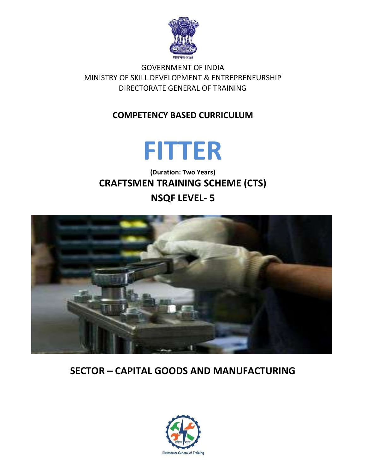

### **GOVERNMENT OF INDIA** MINISTRY OF SKILL DEVELOPMENT & ENTREPRENEURSHIP DIRECTORATE GENERAL OF TRAINING

## **COMPETENCY BASED CURRICULUM**



(Duration: Two Years) **CRAFTSMEN TRAINING SCHEME (CTS) NSQF LEVEL-5** 



# **SECTOR - CAPITAL GOODS AND MANUFACTURING**

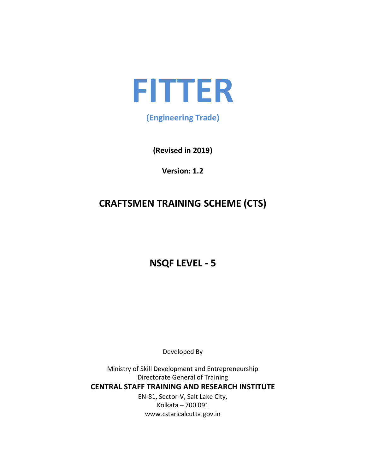

## (Engineering Trade)

(Revised in 2019)

Version: 1.2

# **CRAFTSMEN TRAINING SCHEME (CTS)**

# **NSQF LEVEL - 5**

Developed By

Ministry of Skill Development and Entrepreneurship Directorate General of Training **CENTRAL STAFF TRAINING AND RESEARCH INSTITUTE** EN-81, Sector-V, Salt Lake City, Kolkata - 700 091 www.cstaricalcutta.gov.in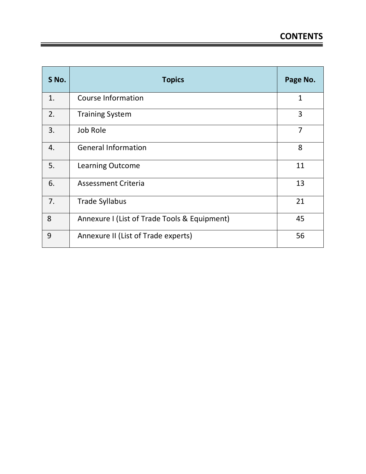| S No. | <b>Topics</b>                                | Page No.       |
|-------|----------------------------------------------|----------------|
| 1.    | <b>Course Information</b>                    | $\mathbf{1}$   |
| 2.    | <b>Training System</b>                       | 3              |
| 3.    | Job Role                                     | $\overline{7}$ |
| 4.    | <b>General Information</b>                   | 8              |
| 5.    | <b>Learning Outcome</b>                      | 11             |
| 6.    | <b>Assessment Criteria</b>                   | 13             |
| 7.    | <b>Trade Syllabus</b>                        | 21             |
| 8     | Annexure I (List of Trade Tools & Equipment) | 45             |
| 9     | Annexure II (List of Trade experts)          | 56             |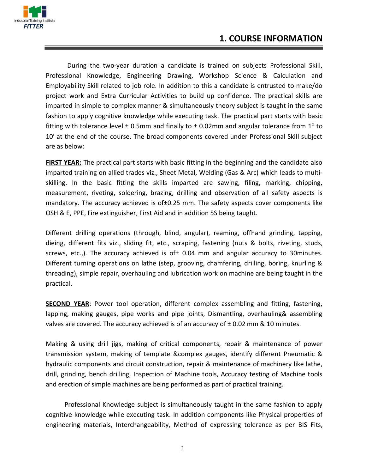

## **1. COURSE INFORMATION**

During the two-year duration a candidate is trained on subjects Professional Skill, Professional Knowledge, Engineering Drawing, Workshop Science & Calculation and Employability Skill related to job role. In addition to this a candidate is entrusted to make/do project work and Extra Curricular Activities to build up confidence. The practical skills are imparted in simple to complex manner & simultaneously theory subject is taught in the same fashion to apply cognitive knowledge while executing task. The practical part starts with basic fitting with tolerance level  $\pm$  0.5mm and finally to  $\pm$  0.02mm and angular tolerance from 1° to 10' at the end of the course. The broad components covered under Professional Skill subject are as below:

FIRST YEAR: The practical part starts with basic fitting in the beginning and the candidate also imparted training on allied trades viz., Sheet Metal, Welding (Gas & Arc) which leads to multiskilling. In the basic fitting the skills imparted are sawing, filing, marking, chipping, measurement, riveting, soldering, brazing, drilling and observation of all safety aspects is mandatory. The accuracy achieved is of ±0.25 mm. The safety aspects cover components like OSH & E, PPE, Fire extinguisher, First Aid and in addition 5S being taught.

Different drilling operations (through, blind, angular), reaming, offhand grinding, tapping, dieing, different fits viz., sliding fit, etc., scraping, fastening (nuts & bolts, riveting, studs, screws, etc.,). The accuracy achieved is of $±$  0.04 mm and angular accuracy to 30 minutes. Different turning operations on lathe (step, grooving, chamfering, drilling, boring, knurling & threading), simple repair, overhauling and lubrication work on machine are being taught in the practical.

**SECOND YEAR:** Power tool operation, different complex assembling and fitting, fastening, lapping, making gauges, pipe works and pipe joints, Dismantling, overhauling& assembling valves are covered. The accuracy achieved is of an accuracy of  $\pm$  0.02 mm & 10 minutes.

Making & using drill jigs, making of critical components, repair & maintenance of power transmission system, making of template &complex gauges, identify different Pneumatic & hydraulic components and circuit construction, repair & maintenance of machinery like lathe, drill, grinding, bench drilling, Inspection of Machine tools, Accuracy testing of Machine tools and erection of simple machines are being performed as part of practical training.

Professional Knowledge subject is simultaneously taught in the same fashion to apply cognitive knowledge while executing task. In addition components like Physical properties of engineering materials, Interchangeability, Method of expressing tolerance as per BIS Fits,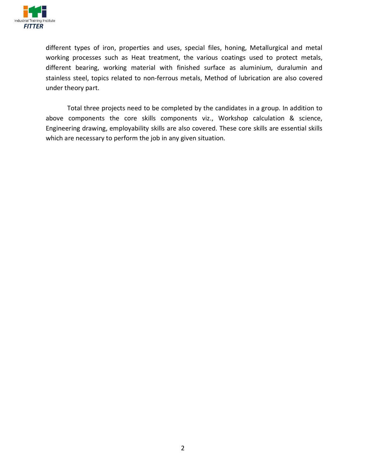

different types of iron, properties and uses, special files, honing, Metallurgical and metal working processes such as Heat treatment, the various coatings used to protect metals, different bearing, working material with finished surface as aluminium, duralumin and stainless steel, topics related to non-ferrous metals, Method of lubrication are also covered under theory part.

Total three projects need to be completed by the candidates in a group. In addition to above components the core skills components viz., Workshop calculation  $\&$  science, Engineering drawing, employability skills are also covered. These core skills are essential skills which are necessary to perform the job in any given situation.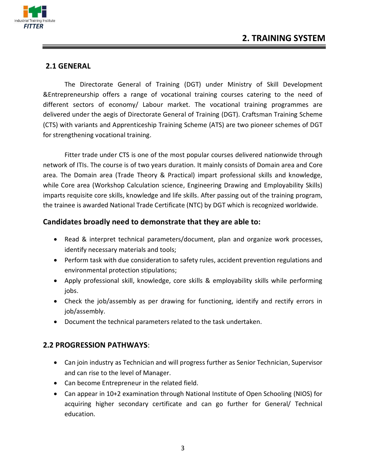

#### **2.1 GENERAL**

The Directorate General of Training (DGT) under Ministry of Skill Development  $\&$  Entrepreneurship offers a range of vocational training courses catering to the need of different sectors of economy/ Labour market. The vocational training programmes are delivered under the aegis of Directorate General of Training (DGT). Craftsman Training Scheme (CTS) with variants and Apprenticeship Training Scheme (ATS) are two pioneer schemes of DGT for strengthening vocational training.

Fitter trade under CTS is one of the most popular courses delivered nationwide through network of ITIs. The course is of two years duration. It mainly consists of Domain area and Core area. The Domain area (Trade Theory & Practical) impart professional skills and knowledge, while Core area (Workshop Calculation science, Engineering Drawing and Employability Skills) imparts requisite core skills, knowledge and life skills. After passing out of the training program, the trainee is awarded National Trade Certificate (NTC) by DGT which is recognized worldwide.

#### Candidates broadly need to demonstrate that they are able to:

- Read & interpret technical parameters/document, plan and organize work processes, identify necessary materials and tools;
- Perform task with due consideration to safety rules, accident prevention regulations and environmental protection stipulations;
- Apply professional skill, knowledge, core skills  $\&$  employability skills while performing jobs.
- Check the job/assembly as per drawing for functioning, identify and rectify errors in job/assembly.
- Document the technical parameters related to the task undertaken.

#### **2.2 PROGRESSION PATHWAYS:**

- Can join industry as Technician and will progress further as Senior Technician, Supervisor and can rise to the level of Manager.
- $\bullet$  Can become Entrepreneur in the related field.
- Can appear in 10+2 examination through National Institute of Open Schooling (NIOS) for acquiring higher secondary certificate and can go further for General/ Technical education.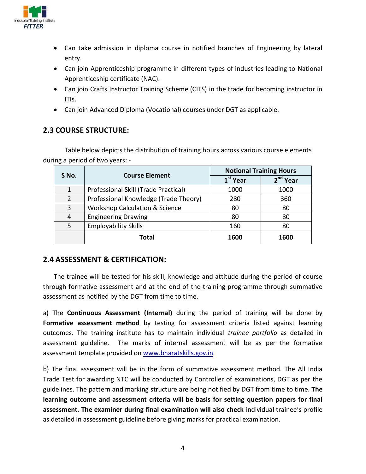

- Can take admission in diploma course in notified branches of Engineering by lateral entry.
- Can join Apprenticeship programme in different types of industries leading to National Apprenticeship certificate (NAC).
- Can join Crafts Instructor Training Scheme (CITS) in the trade for becoming instructor in ITIs.
- Can join Advanced Diploma (Vocational) courses under DGT as applicable.

#### **2.3 COURSE STRUCTURE:**

Table below depicts the distribution of training hours across various course elements during a period of two years: -

| S No. | <b>Course Element</b>                     | <b>Notional Training Hours</b> |                      |  |
|-------|-------------------------------------------|--------------------------------|----------------------|--|
|       |                                           | $1st$ Year                     | 2 <sup>nd</sup> Year |  |
| 1     | Professional Skill (Trade Practical)      | 1000                           | 1000                 |  |
| 2     | Professional Knowledge (Trade Theory)     | 280                            | 360                  |  |
| 3     | <b>Workshop Calculation &amp; Science</b> | 80                             | 80                   |  |
| 4     | <b>Engineering Drawing</b>                | 80                             | 80                   |  |
| 5     | <b>Employability Skills</b>               | 160                            | 80                   |  |
|       | Total                                     | 1600                           | 1600                 |  |

#### **2.4 ASSESSMENT & CERTIFICATION:**

The trainee will be tested for his skill, knowledge and attitude during the period of course through formative assessment and at the end of the training programme through summative assessment as notified by the DGT from time to time.

a) The **Continuous Assessment (Internal)** during the period of training will be done by Formative assessment method by testing for assessment criteria listed against learning outcomes. The training institute has to maintain individual *trainee portfolio* as detailed in assessment guideline. The marks of internal assessment will be as per the formative assessment template provided on www.bharatskills.gov.in.

b) The final assessment will be in the form of summative assessment method. The All India Trade Test for awarding NTC will be conducted by Controller of examinations, DGT as per the guidelines. The pattern and marking structure are being notified by DGT from time to time. The learning outcome and assessment criteria will be basis for setting question papers for final **assessment. The examiner during final examination will also check** individual trainee's profile as detailed in assessment guideline before giving marks for practical examination.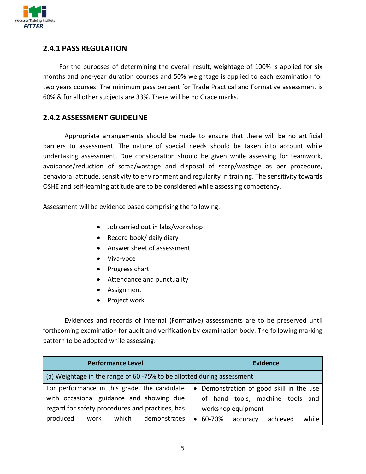

#### **2.4.1 PASS REGULATION**

For the purposes of determining the overall result, weightage of 100% is applied for six months and one-year duration courses and 50% weightage is applied to each examination for two years courses. The minimum pass percent for Trade Practical and Formative assessment is  $160\%$  & for all other subjects are 33%. There will be no Grace marks.

#### **2.4.2 ASSESSMENT GUIDELINE**

Appropriate arrangements should be made to ensure that there will be no artificial barriers to assessment. The nature of special needs should be taken into account while undertaking assessment. Due consideration should be given while assessing for teamwork, avoidance/reduction of scrap/wastage and disposal of scarp/wastage as per procedure, behavioral attitude, sensitivity to environment and regularity in training. The sensitivity towards OSHE and self-learning attitude are to be considered while assessing competency.

Assessment will be evidence based comprising the following:

- Job carried out in labs/workshop
- Record book/ daily diary
- Answer sheet of assessment
- Viva-voce
- Progress chart
- Attendance and punctuality
- Assignment
- Project work

Evidences and records of internal (Formative) assessments are to be preserved until forthcoming examination for audit and verification by examination body. The following marking pattern to be adopted while assessing:

| <b>Performance Level</b>                                               | <b>Evidence</b>                                      |
|------------------------------------------------------------------------|------------------------------------------------------|
| (a) Weightage in the range of 60 -75% to be allotted during assessment |                                                      |
| For performance in this grade, the candidate                           | • Demonstration of good skill in the use             |
| with occasional guidance and showing due                               | of hand tools, machine tools and                     |
| regard for safety procedures and practices, has                        | workshop equipment                                   |
| produced<br>which<br>demonstrates<br>work                              | 60-70%<br>achieved<br>while<br>accuracy<br>$\bullet$ |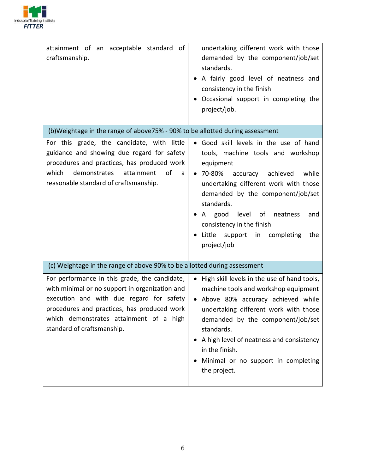

| attainment of an acceptable standard of<br>craftsmanship.                                                                                                                                                                                                           | undertaking different work with those<br>demanded by the component/job/set<br>standards.<br>A fairly good level of neatness and<br>consistency in the finish<br>Occasional support in completing the<br>project/job.                                                                                                                                                  |
|---------------------------------------------------------------------------------------------------------------------------------------------------------------------------------------------------------------------------------------------------------------------|-----------------------------------------------------------------------------------------------------------------------------------------------------------------------------------------------------------------------------------------------------------------------------------------------------------------------------------------------------------------------|
| (b)Weightage in the range of above75% - 90% to be allotted during assessment                                                                                                                                                                                        |                                                                                                                                                                                                                                                                                                                                                                       |
| For this grade, the candidate, with little<br>guidance and showing due regard for safety<br>procedures and practices, has produced work<br>which<br>demonstrates<br>attainment<br>of<br>a<br>reasonable standard of craftsmanship.                                  | . Good skill levels in the use of hand<br>tools, machine tools and workshop<br>equipment<br>70-80% accuracy achieved<br>while<br>$\bullet$<br>undertaking different work with those<br>demanded by the component/job/set<br>standards.<br>A good level<br>of<br>neatness<br>and<br>consistency in the finish<br>Little<br>support in completing<br>the<br>project/job |
| (c) Weightage in the range of above 90% to be allotted during assessment                                                                                                                                                                                            |                                                                                                                                                                                                                                                                                                                                                                       |
| For performance in this grade, the candidate,<br>with minimal or no support in organization and<br>execution and with due regard for safety<br>procedures and practices, has produced work<br>which demonstrates attainment of a high<br>standard of craftsmanship. | High skill levels in the use of hand tools,<br>$\bullet$<br>machine tools and workshop equipment<br>• Above 80% accuracy achieved while<br>undertaking different work with those<br>demanded by the component/job/set<br>standards.<br>A high level of neatness and consistency<br>in the finish.<br>Minimal or no support in completing<br>the project.              |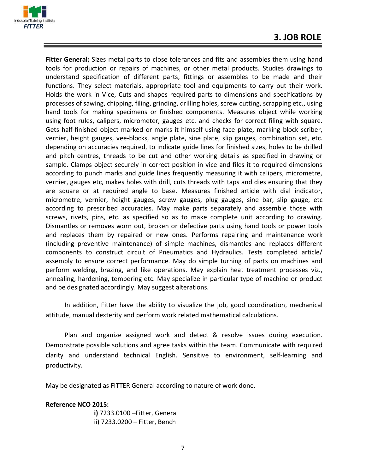

Fitter General; Sizes metal parts to close tolerances and fits and assembles them using hand tools for production or repairs of machines, or other metal products. Studies drawings to understand specification of different parts, fittings or assembles to be made and their functions. They select materials, appropriate tool and equipments to carry out their work. Holds the work in Vice, Cuts and shapes required parts to dimensions and specifications by processes of sawing, chipping, filing, grinding, drilling holes, screw cutting, scrapping etc., using hand tools for making specimens or finished components. Measures object while working using foot rules, calipers, micrometer, gauges etc. and checks for correct filing with square. Gets half-finished object marked or marks it himself using face plate, marking block scriber, vernier, height gauges, vee-blocks, angle plate, sine plate, slip gauges, combination set, etc. depending on accuracies required, to indicate guide lines for finished sizes, holes to be drilled and pitch centres, threads to be cut and other working details as specified in drawing or sample. Clamps object securely in correct position in vice and files it to required dimensions according to punch marks and guide lines frequently measuring it with calipers, micrometre, vernier, gauges etc, makes holes with drill, cuts threads with taps and dies ensuring that they are square or at required angle to base. Measures finished article with dial indicator, micrometre, vernier, height gauges, screw gauges, plug gauges, sine bar, slip gauge, etc according to prescribed accuracies. May make parts separately and assemble those with screws, rivets, pins, etc. as specified so as to make complete unit according to drawing. Dismantles or removes worn out, broken or defective parts using hand tools or power tools and replaces them by repaired or new ones. Performs repairing and maintenance work (including preventive maintenance) of simple machines, dismantles and replaces different components to construct circuit of Pneumatics and Hydraulics. Tests completed article/ assembly to ensure correct performance. May do simple turning of parts on machines and perform welding, brazing, and like operations. May explain heat treatment processes viz., annealing, hardening, tempering etc. May specialize in particular type of machine or product and be designated accordingly. May suggest alterations.

In addition, Fitter have the ability to visualize the job, good coordination, mechanical attitude, manual dexterity and perform work related mathematical calculations.

Plan and organize assigned work and detect  $\&$  resolve issues during execution. Demonstrate possible solutions and agree tasks within the team. Communicate with required clarity and understand technical English. Sensitive to environment, self-learning and productivity.

May be designated as FITTER General according to nature of work done.

#### **Reference NCO 2015:**

**i)** 7233.0100 - Fitter, General ii)  $7233.0200 -$  Fitter, Bench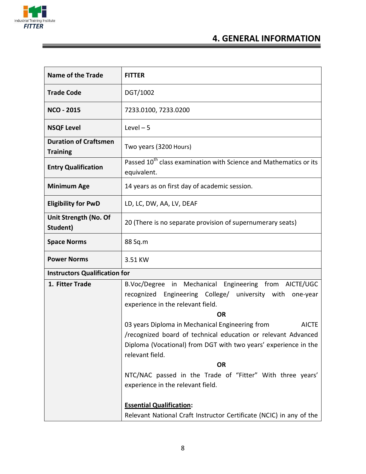

# **4. GENERAL INFORMATION**

| <b>Name of the Trade</b>                        | <b>FITTER</b>                                                                                                                                                                                                          |  |
|-------------------------------------------------|------------------------------------------------------------------------------------------------------------------------------------------------------------------------------------------------------------------------|--|
| <b>Trade Code</b>                               | DGT/1002                                                                                                                                                                                                               |  |
| <b>NCO - 2015</b>                               | 7233.0100, 7233.0200                                                                                                                                                                                                   |  |
| <b>NSQF Level</b>                               | $Level - 5$                                                                                                                                                                                                            |  |
| <b>Duration of Craftsmen</b><br><b>Training</b> | Two years (3200 Hours)                                                                                                                                                                                                 |  |
| <b>Entry Qualification</b>                      | Passed 10 <sup>th</sup> class examination with Science and Mathematics or its<br>equivalent.                                                                                                                           |  |
| <b>Minimum Age</b>                              | 14 years as on first day of academic session.                                                                                                                                                                          |  |
| <b>Eligibility for PwD</b>                      | LD, LC, DW, AA, LV, DEAF                                                                                                                                                                                               |  |
| Unit Strength (No. Of<br>Student)               | 20 (There is no separate provision of supernumerary seats)                                                                                                                                                             |  |
| <b>Space Norms</b>                              | 88 Sq.m                                                                                                                                                                                                                |  |
| <b>Power Norms</b>                              | 3.51 KW                                                                                                                                                                                                                |  |
| <b>Instructors Qualification for</b>            |                                                                                                                                                                                                                        |  |
| 1. Fitter Trade                                 | B.Voc/Degree in Mechanical Engineering from AICTE/UGC<br>recognized Engineering College/ university with one-year<br>experience in the relevant field.<br><b>OR</b>                                                    |  |
|                                                 | 03 years Diploma in Mechanical Engineering from<br><b>AICTE</b><br>/recognized board of technical education or relevant Advanced<br>Diploma (Vocational) from DGT with two years' experience in the<br>relevant field. |  |
|                                                 | <b>OR</b>                                                                                                                                                                                                              |  |
|                                                 | NTC/NAC passed in the Trade of "Fitter" With three years'                                                                                                                                                              |  |
|                                                 | experience in the relevant field.                                                                                                                                                                                      |  |
|                                                 | <b>Essential Qualification:</b><br>Relevant National Craft Instructor Certificate (NCIC) in any of the                                                                                                                 |  |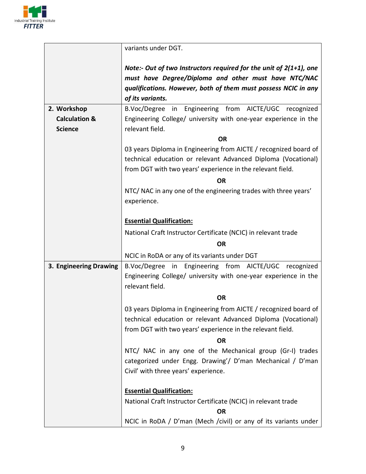

|                                            | variants under DGT.                                                                |  |  |
|--------------------------------------------|------------------------------------------------------------------------------------|--|--|
|                                            |                                                                                    |  |  |
|                                            | Note:- Out of two Instructors required for the unit of 2(1+1), one                 |  |  |
|                                            | must have Degree/Diploma and other must have NTC/NAC                               |  |  |
|                                            | qualifications. However, both of them must possess NCIC in any                     |  |  |
|                                            | of its variants.                                                                   |  |  |
| 2. Workshop                                | B.Voc/Degree in Engineering from AICTE/UGC recognized                              |  |  |
| <b>Calculation &amp;</b><br><b>Science</b> | Engineering College/ university with one-year experience in the<br>relevant field. |  |  |
|                                            | <b>OR</b>                                                                          |  |  |
|                                            | 03 years Diploma in Engineering from AICTE / recognized board of                   |  |  |
|                                            | technical education or relevant Advanced Diploma (Vocational)                      |  |  |
|                                            | from DGT with two years' experience in the relevant field.                         |  |  |
|                                            | <b>OR</b>                                                                          |  |  |
|                                            | NTC/ NAC in any one of the engineering trades with three years'                    |  |  |
|                                            | experience.                                                                        |  |  |
|                                            |                                                                                    |  |  |
|                                            | <b>Essential Qualification:</b>                                                    |  |  |
|                                            | National Craft Instructor Certificate (NCIC) in relevant trade                     |  |  |
|                                            | <b>OR</b>                                                                          |  |  |
|                                            | NCIC in RoDA or any of its variants under DGT                                      |  |  |
| 3. Engineering Drawing                     | B.Voc/Degree in Engineering from AICTE/UGC recognized                              |  |  |
|                                            | Engineering College/ university with one-year experience in the                    |  |  |
|                                            | relevant field.                                                                    |  |  |
|                                            | <b>OR</b>                                                                          |  |  |
|                                            | 03 years Diploma in Engineering from AICTE / recognized board of                   |  |  |
|                                            | technical education or relevant Advanced Diploma (Vocational)                      |  |  |
|                                            | from DGT with two years' experience in the relevant field.                         |  |  |
|                                            | <b>OR</b>                                                                          |  |  |
|                                            | NTC/ NAC in any one of the Mechanical group (Gr-I) trades                          |  |  |
|                                            | categorized under Engg. Drawing'/ D'man Mechanical / D'man                         |  |  |
|                                            | Civil' with three years' experience.                                               |  |  |
|                                            |                                                                                    |  |  |
|                                            | <b>Essential Qualification:</b>                                                    |  |  |
|                                            | National Craft Instructor Certificate (NCIC) in relevant trade                     |  |  |
|                                            | <b>OR</b>                                                                          |  |  |
|                                            | NCIC in RoDA / D'man (Mech /civil) or any of its variants under                    |  |  |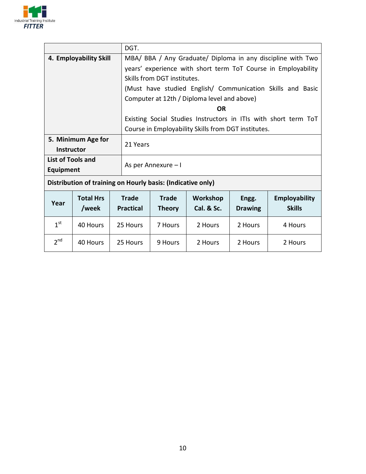

|                                                             |                  |  | DGT.                                                            |                             |            |                |                                                               |
|-------------------------------------------------------------|------------------|--|-----------------------------------------------------------------|-----------------------------|------------|----------------|---------------------------------------------------------------|
| 4. Employability Skill                                      |                  |  | MBA/ BBA / Any Graduate/ Diploma in any discipline with Two     |                             |            |                |                                                               |
|                                                             |                  |  |                                                                 |                             |            |                | years' experience with short term ToT Course in Employability |
|                                                             |                  |  |                                                                 | Skills from DGT institutes. |            |                |                                                               |
|                                                             |                  |  |                                                                 |                             |            |                | (Must have studied English/ Communication Skills and Basic    |
|                                                             |                  |  | Computer at 12th / Diploma level and above)                     |                             |            |                |                                                               |
|                                                             |                  |  | <b>OR</b>                                                       |                             |            |                |                                                               |
|                                                             |                  |  | Existing Social Studies Instructors in ITIs with short term ToT |                             |            |                |                                                               |
|                                                             |                  |  | Course in Employability Skills from DGT institutes.             |                             |            |                |                                                               |
| 5. Minimum Age for                                          |                  |  |                                                                 |                             |            |                |                                                               |
| <b>Instructor</b>                                           |                  |  | 21 Years                                                        |                             |            |                |                                                               |
| List of Tools and                                           |                  |  |                                                                 |                             |            |                |                                                               |
| <b>Equipment</b>                                            |                  |  | As per Annexure - I                                             |                             |            |                |                                                               |
| Distribution of training on Hourly basis: (Indicative only) |                  |  |                                                                 |                             |            |                |                                                               |
|                                                             | <b>Total Hrs</b> |  | <b>Trade</b>                                                    | <b>Trade</b>                | Workshop   | Engg.          | <b>Employability</b>                                          |
| Year                                                        | /week            |  | <b>Practical</b>                                                | <b>Theory</b>               | Cal. & Sc. | <b>Drawing</b> | <b>Skills</b>                                                 |
| 1 <sup>st</sup>                                             | 40 Hours         |  | 25 Hours                                                        | 7 Hours                     | 2 Hours    | 2 Hours        | 4 Hours                                                       |
| 2 <sup>nd</sup>                                             | 40 Hours         |  | 25 Hours<br>9 Hours                                             |                             | 2 Hours    | 2 Hours        | 2 Hours                                                       |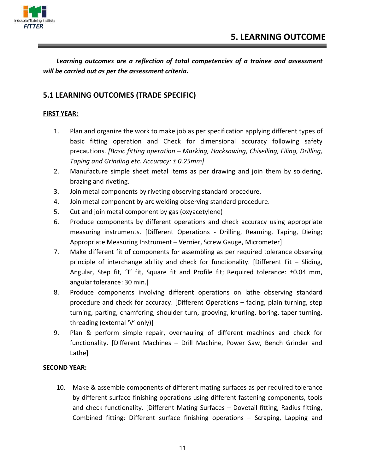

Learning outcomes are a reflection of total competencies of a trainee and assessment *will be carried out as per the assessment criteria.* 

#### **5.1 LEARNING OUTCOMES (TRADE SPECIFIC)**

#### **FIRST YEAR:**

- 1. Plan and organize the work to make job as per specification applying different types of basic fitting operation and Check for dimensional accuracy following safety precautions. [Basic fitting operation - Marking, Hacksawing, Chiselling, Filing, Drilling, *Taping and Grinding etc. Accuracy:*  $\pm$  *0.25mm*]
- 2. Manufacture simple sheet metal items as per drawing and join them by soldering, brazing and riveting.
- 3. Join metal components by riveting observing standard procedure.
- 4. Join metal component by arc welding observing standard procedure.
- 5. Cut and join metal component by gas (oxyacetylene)
- 6. Produce components by different operations and check accuracy using appropriate measuring instruments. [Different Operations - Drilling, Reaming, Taping, Dieing; Appropriate Measuring Instrument - Vernier, Screw Gauge, Micrometer]
- 7. Make different fit of components for assembling as per required tolerance observing principle of interchange ability and check for functionality. [Different Fit  $-$  Sliding, Angular, Step fit, 'T' fit, Square fit and Profile fit; Required tolerance: ±0.04 mm, angular tolerance:  $30$  min.]
- 8. Produce components involving different operations on lathe observing standard procedure and check for accuracy. [Different Operations  $-$  facing, plain turning, step turning, parting, chamfering, shoulder turn, grooving, knurling, boring, taper turning, threading (external 'V' only)]
- 9. Plan  $\&$  perform simple repair, overhauling of different machines and check for functionality. [Different Machines – Drill Machine, Power Saw, Bench Grinder and Lathel

#### **SECOND YEAR:**

10. Make  $\&$  assemble components of different mating surfaces as per required tolerance by different surface finishing operations using different fastening components, tools and check functionality. [Different Mating Surfaces  $-$  Dovetail fitting, Radius fitting, Combined fitting; Different surface finishing operations  $-$  Scraping, Lapping and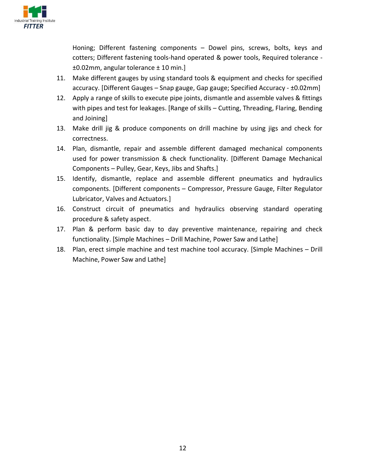

Honing; Different fastening components  $-$  Dowel pins, screws, bolts, keys and cotters; Different fastening tools-hand operated & power tools, Required tolerance - $\pm$ 0.02mm, angular tolerance  $\pm$  10 min.]

- 11. Make different gauges by using standard tools  $\&$  equipment and checks for specified  $\alpha$ accuracy. [Different Gauges – Snap gauge, Gap gauge; Specified Accuracy -  $\pm 0.02$ mm]
- 12. Apply a range of skills to execute pipe joints, dismantle and assemble valves & fittings with pipes and test for leakages. [Range of skills - Cutting, Threading, Flaring, Bending and Joining]
- 13. Make drill jig & produce components on drill machine by using jigs and check for correctness.
- 14. Plan, dismantle, repair and assemble different damaged mechanical components used for power transmission & check functionality. [Different Damage Mechanical Components  $-$  Pulley, Gear, Keys, Jibs and Shafts.]
- 15. Identify, dismantle, replace and assemble different pneumatics and hydraulics components. [Different components - Compressor, Pressure Gauge, Filter Regulator Lubricator, Valves and Actuators.]
- 16. Construct circuit of pneumatics and hydraulics observing standard operating procedure & safety aspect.
- 17. Plan  $\&$  perform basic day to day preventive maintenance, repairing and check functionality. [Simple Machines  $-$  Drill Machine, Power Saw and Lathe]
- 18. Plan, erect simple machine and test machine tool accuracy. [Simple Machines  $-$  Drill Machine, Power Saw and Lathe]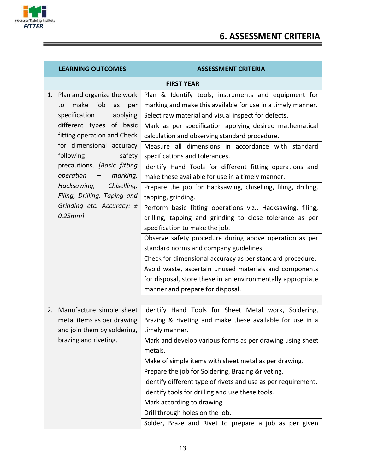

## **6. ASSESSMENT CRITERIA**

| <b>LEARNING OUTCOMES</b>                                   |                                                                                       | <b>ASSESSMENT CRITERIA</b>                                                                                                                                |  |  |  |
|------------------------------------------------------------|---------------------------------------------------------------------------------------|-----------------------------------------------------------------------------------------------------------------------------------------------------------|--|--|--|
|                                                            | <b>FIRST YEAR</b>                                                                     |                                                                                                                                                           |  |  |  |
|                                                            | 1. Plan and organize the work<br>make job<br>as<br>to<br>per                          | Plan & Identify tools, instruments and equipment for<br>marking and make this available for use in a timely manner.                                       |  |  |  |
|                                                            | specification<br>applying                                                             | Select raw material and visual inspect for defects.                                                                                                       |  |  |  |
|                                                            | different types of basic<br>fitting operation and Check                               | Mark as per specification applying desired mathematical<br>calculation and observing standard procedure.                                                  |  |  |  |
|                                                            | for dimensional accuracy<br>following<br>safety                                       | Measure all dimensions in accordance with standard<br>specifications and tolerances.                                                                      |  |  |  |
|                                                            | precautions. [Basic fitting<br>operation<br>marking,<br>$\sim$ $-$                    | Identify Hand Tools for different fitting operations and<br>make these available for use in a timely manner.                                              |  |  |  |
| Hacksawing,<br>Chiselling,<br>Filing, Drilling, Taping and | Prepare the job for Hacksawing, chiselling, filing, drilling,<br>tapping, grinding.   |                                                                                                                                                           |  |  |  |
|                                                            | Grinding etc. Accuracy: ±<br>0.25mm]                                                  | Perform basic fitting operations viz., Hacksawing, filing,<br>drilling, tapping and grinding to close tolerance as per<br>specification to make the job.  |  |  |  |
|                                                            |                                                                                       | Observe safety procedure during above operation as per<br>standard norms and company guidelines.                                                          |  |  |  |
|                                                            |                                                                                       | Check for dimensional accuracy as per standard procedure.                                                                                                 |  |  |  |
|                                                            |                                                                                       | Avoid waste, ascertain unused materials and components<br>for disposal, store these in an environmentally appropriate<br>manner and prepare for disposal. |  |  |  |
|                                                            |                                                                                       |                                                                                                                                                           |  |  |  |
| 2.                                                         | Manufacture simple sheet<br>metal items as per drawing<br>and join them by soldering, | Identify Hand Tools for Sheet Metal work, Soldering,<br>Brazing & riveting and make these available for use in a<br>timely manner.                        |  |  |  |
|                                                            | brazing and riveting.                                                                 | Mark and develop various forms as per drawing using sheet<br>metals.                                                                                      |  |  |  |
|                                                            |                                                                                       | Make of simple items with sheet metal as per drawing.                                                                                                     |  |  |  |
|                                                            |                                                                                       | Prepare the job for Soldering, Brazing & riveting.                                                                                                        |  |  |  |
|                                                            |                                                                                       | Identify different type of rivets and use as per requirement.                                                                                             |  |  |  |
|                                                            |                                                                                       | Identify tools for drilling and use these tools.                                                                                                          |  |  |  |
|                                                            |                                                                                       | Mark according to drawing.                                                                                                                                |  |  |  |
|                                                            |                                                                                       | Drill through holes on the job.                                                                                                                           |  |  |  |
|                                                            |                                                                                       | Solder, Braze and Rivet to prepare a job as per given                                                                                                     |  |  |  |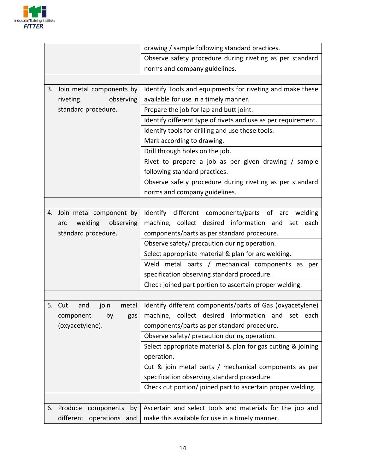

|                                   | drawing / sample following standard practices.                |
|-----------------------------------|---------------------------------------------------------------|
|                                   | Observe safety procedure during riveting as per standard      |
|                                   | norms and company guidelines.                                 |
|                                   |                                                               |
| Join metal components by<br>3.    | Identify Tools and equipments for riveting and make these     |
| riveting<br>observing             | available for use in a timely manner.                         |
| standard procedure.               | Prepare the job for lap and butt joint.                       |
|                                   | Identify different type of rivets and use as per requirement. |
|                                   | Identify tools for drilling and use these tools.              |
|                                   | Mark according to drawing.                                    |
|                                   | Drill through holes on the job.                               |
|                                   | Rivet to prepare a job as per given drawing / sample          |
|                                   | following standard practices.                                 |
|                                   | Observe safety procedure during riveting as per standard      |
|                                   | norms and company guidelines.                                 |
|                                   |                                                               |
| 4. Join metal component by        | Identify different components/parts of arc<br>welding         |
| welding<br>observing<br>arc       | machine, collect desired information and<br>set each          |
| standard procedure.               | components/parts as per standard procedure.                   |
|                                   | Observe safety/ precaution during operation.                  |
|                                   | Select appropriate material & plan for arc welding.           |
|                                   | Weld metal parts / mechanical components as per               |
|                                   | specification observing standard procedure.                   |
|                                   | Check joined part portion to ascertain proper welding.        |
|                                   |                                                               |
| 5. Cut<br>join<br>metal<br>and    | Identify different components/parts of Gas (oxyacetylene)     |
| component<br>by<br>gas            | machine, collect desired information and<br>set<br>each       |
| (oxyacetylene).                   | components/parts as per standard procedure.                   |
|                                   | Observe safety/ precaution during operation.                  |
|                                   | Select appropriate material & plan for gas cutting & joining  |
|                                   | operation.                                                    |
|                                   | Cut & join metal parts / mechanical components as per         |
|                                   | specification observing standard procedure.                   |
|                                   | Check cut portion/ joined part to ascertain proper welding.   |
|                                   |                                                               |
| Produce<br>components<br>6.<br>by | Ascertain and select tools and materials for the job and      |
| different operations and          | make this available for use in a timely manner.               |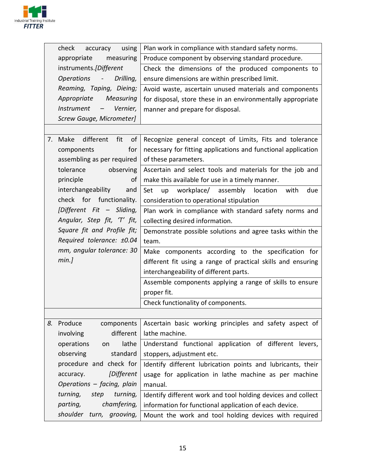

| check<br>using<br>accuracy                                | Plan work in compliance with standard safety norms.           |
|-----------------------------------------------------------|---------------------------------------------------------------|
| appropriate<br>measuring                                  | Produce component by observing standard procedure.            |
| instruments.[Different                                    | Check the dimensions of the produced components to            |
| Operations -<br>Drilling,                                 | ensure dimensions are within prescribed limit.                |
| Reaming, Taping, Dieing;                                  | Avoid waste, ascertain unused materials and components        |
| Appropriate<br>Measuring                                  | for disposal, store these in an environmentally appropriate   |
| <b>Instrument</b><br>Vernier,<br>$\overline{\phantom{m}}$ | manner and prepare for disposal.                              |
| Screw Gauge, Micrometer]                                  |                                                               |
|                                                           |                                                               |
| different<br>fit<br>of<br>Make<br>7.                      | Recognize general concept of Limits, Fits and tolerance       |
| for<br>components                                         | necessary for fitting applications and functional application |
| assembling as per required                                | of these parameters.                                          |
| tolerance<br>observing                                    | Ascertain and select tools and materials for the job and      |
| principle<br>of                                           | make this available for use in a timely manner.               |
| interchangeability<br>and                                 | workplace/ assembly location<br>Set<br>up<br>with<br>due      |
| check for functionality.                                  | consideration to operational stipulation                      |
| [Different Fit - Sliding,                                 | Plan work in compliance with standard safety norms and        |
| Angular, Step fit, 'T' fit,                               | collecting desired information.                               |
| Square fit and Profile fit;                               | Demonstrate possible solutions and agree tasks within the     |
| Required tolerance: ±0.04                                 | team.                                                         |
| mm, angular tolerance: 30                                 | Make components according to the specification for            |
| min.]                                                     | different fit using a range of practical skills and ensuring  |
|                                                           | interchangeability of different parts.                        |
|                                                           | Assemble components applying a range of skills to ensure      |
|                                                           | proper fit.                                                   |
|                                                           | Check functionality of components.                            |
|                                                           |                                                               |
| Produce<br>8.<br>components                               | Ascertain basic working principles and safety aspect of       |
| different<br>involving                                    | lathe machine.                                                |
| lathe<br>operations<br>on                                 | Understand functional application of different levers,        |
| standard<br>observing                                     | stoppers, adjustment etc.                                     |
| procedure and check for                                   | Identify different lubrication points and lubricants, their   |
| [Different<br>accuracy.                                   | usage for application in lathe machine as per machine         |
| Operations - facing, plain                                | manual.                                                       |
| turning,<br>turning,<br>step                              | Identify different work and tool holding devices and collect  |
| chamfering,<br>parting,                                   | information for functional application of each device.        |
| shoulder turn, grooving,                                  | Mount the work and tool holding devices with required         |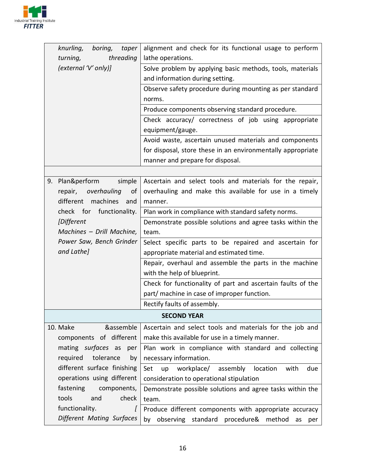

| knurling,<br>boring,<br>taper | alignment and check for its functional usage to perform        |
|-------------------------------|----------------------------------------------------------------|
| threading<br>turning,         | lathe operations.                                              |
| (external 'V' only)]          | Solve problem by applying basic methods, tools, materials      |
|                               | and information during setting.                                |
|                               | Observe safety procedure during mounting as per standard       |
|                               | norms.                                                         |
|                               | Produce components observing standard procedure.               |
|                               | Check accuracy/ correctness of job using appropriate           |
|                               | equipment/gauge.                                               |
|                               | Avoid waste, ascertain unused materials and components         |
|                               | for disposal, store these in an environmentally appropriate    |
|                               | manner and prepare for disposal.                               |
|                               |                                                                |
| Plan&perform<br>simple<br>9.  | Ascertain and select tools and materials for the repair,       |
| overhauling<br>repair,<br>0f  | overhauling and make this available for use in a timely        |
| machines<br>different<br>and  | manner.                                                        |
| check for functionality.      | Plan work in compliance with standard safety norms.            |
| [Different                    | Demonstrate possible solutions and agree tasks within the      |
| Machines - Drill Machine,     | team.                                                          |
| Power Saw, Bench Grinder      | Select specific parts to be repaired and ascertain for         |
| and Lathe]                    | appropriate material and estimated time.                       |
|                               | Repair, overhaul and assemble the parts in the machine         |
|                               | with the help of blueprint.                                    |
|                               | Check for functionality of part and ascertain faults of the    |
|                               | part/ machine in case of improper function.                    |
|                               | Rectify faults of assembly.                                    |
|                               | <b>SECOND YEAR</b>                                             |
| &assemble<br>10. Make         | Ascertain and select tools and materials for the job and       |
| components of different       | make this available for use in a timely manner.                |
| mating surfaces as<br>per     | Plan work in compliance with standard and collecting           |
| tolerance<br>required<br>by   | necessary information.                                         |
| different surface finishing   | Set<br>workplace/<br>assembly<br>location<br>up<br>with<br>due |
| operations using different    | consideration to operational stipulation                       |
| fastening<br>components,      | Demonstrate possible solutions and agree tasks within the      |
| tools<br>and<br>check         | team.                                                          |
| functionality.<br>$\prime$    | Produce different components with appropriate accuracy         |
| Different Mating Surfaces     | observing standard procedure& method<br>by<br>as<br>per        |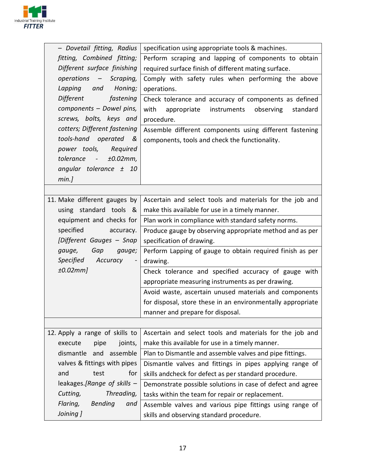

| - Dovetail fitting, Radius        | specification using appropriate tools & machines.           |
|-----------------------------------|-------------------------------------------------------------|
| fitting, Combined fitting;        | Perform scraping and lapping of components to obtain        |
| Different surface finishing       | required surface finish of different mating surface.        |
| operations -<br>Scraping,         | Comply with safety rules when performing the above          |
| Honing;<br>Lapping<br>and         | operations.                                                 |
| Different<br>fastening            | Check tolerance and accuracy of components as defined       |
| components - Dowel pins,          | with<br>instruments<br>observing<br>appropriate<br>standard |
| screws, bolts, keys and           | procedure.                                                  |
| cotters; Different fastening      | Assemble different components using different fastening     |
| tools-hand operated<br>&          | components, tools and check the functionality.              |
| power tools,<br>Required          |                                                             |
| tolerance -<br>±0.02mm,           |                                                             |
| angular tolerance $\pm$ 10        |                                                             |
| min.]                             |                                                             |
|                                   |                                                             |
| 11. Make different gauges by      | Ascertain and select tools and materials for the job and    |
| using standard tools &            | make this available for use in a timely manner.             |
| equipment and checks for          | Plan work in compliance with standard safety norms.         |
| specified<br>accuracy.            | Produce gauge by observing appropriate method and as per    |
| [Different Gauges - Snap          | specification of drawing.                                   |
| gauge,<br>Gap<br>gauge;           | Perform Lapping of gauge to obtain required finish as per   |
| Specified<br>Accuracy<br>$\equiv$ | drawing.                                                    |
| ±0.02mm]                          | Check tolerance and specified accuracy of gauge with        |
|                                   | appropriate measuring instruments as per drawing.           |
|                                   | Avoid waste, ascertain unused materials and components      |
|                                   | for disposal, store these in an environmentally appropriate |
|                                   | manner and prepare for disposal.                            |
|                                   |                                                             |
| 12. Apply a range of skills to    | Ascertain and select tools and materials for the job and    |
| joints,<br>execute<br>pipe        | make this available for use in a timely manner.             |
| assemble<br>dismantle<br>and      | Plan to Dismantle and assemble valves and pipe fittings.    |
| valves & fittings with pipes      | Dismantle valves and fittings in pipes applying range of    |
| and<br>for<br>test                | skills andcheck for defect as per standard procedure.       |
| leakages.[Range of skills -       | Demonstrate possible solutions in case of defect and agree  |
| Threading,<br>Cutting,            | tasks within the team for repair or replacement.            |
| Flaring,<br><b>Bending</b><br>and | Assemble valves and various pipe fittings using range of    |
| Joining ]                         | skills and observing standard procedure.                    |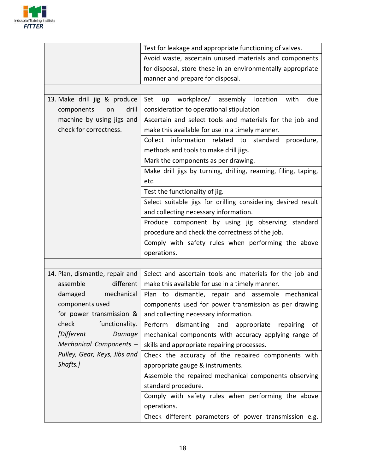

|                                 | Test for leakage and appropriate functioning of valves.         |  |  |
|---------------------------------|-----------------------------------------------------------------|--|--|
|                                 | Avoid waste, ascertain unused materials and components          |  |  |
|                                 | for disposal, store these in an environmentally appropriate     |  |  |
|                                 | manner and prepare for disposal.                                |  |  |
|                                 |                                                                 |  |  |
| 13. Make drill jig & produce    | workplace/ assembly<br>Set<br>location<br>with<br>up<br>due     |  |  |
| drill<br>components<br>on       | consideration to operational stipulation                        |  |  |
| machine by using jigs and       | Ascertain and select tools and materials for the job and        |  |  |
| check for correctness.          | make this available for use in a timely manner.                 |  |  |
|                                 | Collect information related to standard<br>procedure,           |  |  |
|                                 | methods and tools to make drill jigs.                           |  |  |
|                                 | Mark the components as per drawing.                             |  |  |
|                                 | Make drill jigs by turning, drilling, reaming, filing, taping,  |  |  |
|                                 | etc.                                                            |  |  |
|                                 | Test the functionality of jig.                                  |  |  |
|                                 | Select suitable jigs for drilling considering desired result    |  |  |
|                                 | and collecting necessary information.                           |  |  |
|                                 | Produce component by using jig observing standard               |  |  |
|                                 | procedure and check the correctness of the job.                 |  |  |
|                                 | Comply with safety rules when performing the above              |  |  |
|                                 | operations.                                                     |  |  |
|                                 |                                                                 |  |  |
| 14. Plan, dismantle, repair and | Select and ascertain tools and materials for the job and        |  |  |
| assemble<br>different           | make this available for use in a timely manner.                 |  |  |
| damaged<br>mechanical           | Plan to dismantle, repair and assemble mechanical               |  |  |
| components used                 | components used for power transmission as per drawing           |  |  |
| for power transmission &        | and collecting necessary information.                           |  |  |
| check<br>functionality.         | dismantling<br>Perform<br>appropriate<br>repairing<br>оf<br>and |  |  |
| [Different<br>Damage            | mechanical components with accuracy applying range of           |  |  |
| Mechanical Components -         | skills and appropriate repairing processes.                     |  |  |
| Pulley, Gear, Keys, Jibs and    | Check the accuracy of the repaired components with              |  |  |
| Shafts.]                        | appropriate gauge & instruments.                                |  |  |
|                                 | Assemble the repaired mechanical components observing           |  |  |
|                                 | standard procedure.                                             |  |  |
|                                 | Comply with safety rules when performing the above              |  |  |
|                                 | operations.                                                     |  |  |
|                                 | Check different parameters of power transmission e.g.           |  |  |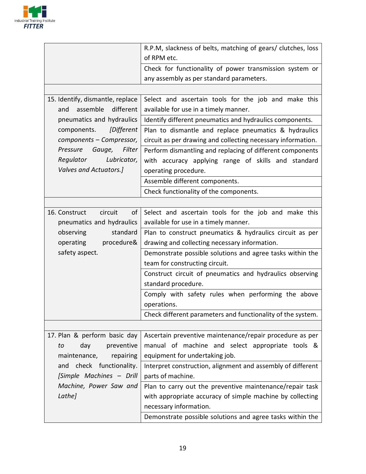

|                                  | R.P.M, slackness of belts, matching of gears/ clutches, loss |  |  |
|----------------------------------|--------------------------------------------------------------|--|--|
|                                  | of RPM etc.                                                  |  |  |
|                                  | Check for functionality of power transmission system or      |  |  |
|                                  | any assembly as per standard parameters.                     |  |  |
|                                  |                                                              |  |  |
| 15. Identify, dismantle, replace | Select and ascertain tools for the job and make this         |  |  |
| different<br>assemble<br>and     | available for use in a timely manner.                        |  |  |
| pneumatics and hydraulics        | Identify different pneumatics and hydraulics components.     |  |  |
| components. [Different           | Plan to dismantle and replace pneumatics & hydraulics        |  |  |
| components - Compressor,         | circuit as per drawing and collecting necessary information. |  |  |
| Gauge, Filter<br>Pressure        | Perform dismantling and replacing of different components    |  |  |
| Regulator<br>Lubricator,         | with accuracy applying range of skills and standard          |  |  |
| Valves and Actuators.]           | operating procedure.                                         |  |  |
|                                  | Assemble different components.                               |  |  |
|                                  | Check functionality of the components.                       |  |  |
|                                  |                                                              |  |  |
| 16. Construct<br>circuit<br>of   | Select and ascertain tools for the job and make this         |  |  |
| pneumatics and hydraulics        | available for use in a timely manner.                        |  |  |
| observing<br>standard            | Plan to construct pneumatics & hydraulics circuit as per     |  |  |
| procedure&<br>operating          | drawing and collecting necessary information.                |  |  |
| safety aspect.                   | Demonstrate possible solutions and agree tasks within the    |  |  |
|                                  | team for constructing circuit.                               |  |  |
|                                  | Construct circuit of pneumatics and hydraulics observing     |  |  |
|                                  | standard procedure.                                          |  |  |
|                                  | Comply with safety rules when performing the above           |  |  |
|                                  | operations.                                                  |  |  |
|                                  | Check different parameters and functionality of the system.  |  |  |
|                                  |                                                              |  |  |
| 17. Plan & perform basic day     | Ascertain preventive maintenance/repair procedure as per     |  |  |
| day<br>preventive<br>to          | manual of machine and select appropriate tools &             |  |  |
| repairing<br>maintenance,        | equipment for undertaking job.                               |  |  |
| check functionality.<br>and      | Interpret construction, alignment and assembly of different  |  |  |
| [Simple Machines - Drill         | parts of machine.                                            |  |  |
| Machine, Power Saw and           | Plan to carry out the preventive maintenance/repair task     |  |  |
| Lathe]                           | with appropriate accuracy of simple machine by collecting    |  |  |
|                                  | necessary information.                                       |  |  |
|                                  | Demonstrate possible solutions and agree tasks within the    |  |  |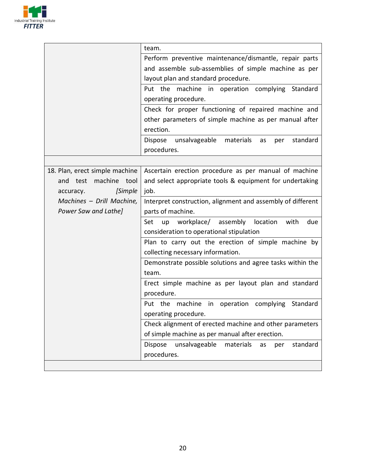

|                                | team.                                                                 |  |  |
|--------------------------------|-----------------------------------------------------------------------|--|--|
|                                | Perform preventive maintenance/dismantle, repair parts                |  |  |
|                                | and assemble sub-assemblies of simple machine as per                  |  |  |
|                                | layout plan and standard procedure.                                   |  |  |
|                                | Put the machine in operation complying Standard                       |  |  |
|                                | operating procedure.                                                  |  |  |
|                                | Check for proper functioning of repaired machine and                  |  |  |
|                                | other parameters of simple machine as per manual after                |  |  |
|                                | erection.                                                             |  |  |
|                                | unsalvageable<br>Dispose<br>materials<br>standard<br>as<br>per        |  |  |
|                                | procedures.                                                           |  |  |
|                                |                                                                       |  |  |
| 18. Plan, erect simple machine | Ascertain erection procedure as per manual of machine                 |  |  |
| machine tool<br>test<br>and    | and select appropriate tools & equipment for undertaking              |  |  |
| [Simple<br>accuracy.           | job.                                                                  |  |  |
| Machines - Drill Machine,      | Interpret construction, alignment and assembly of different           |  |  |
| Power Saw and Lathe]           | parts of machine.                                                     |  |  |
|                                | workplace/<br>assembly<br>location<br>with<br>due<br>Set<br>up        |  |  |
|                                | consideration to operational stipulation                              |  |  |
|                                | Plan to carry out the erection of simple machine by                   |  |  |
|                                | collecting necessary information.                                     |  |  |
|                                | Demonstrate possible solutions and agree tasks within the             |  |  |
|                                | team.                                                                 |  |  |
|                                | Erect simple machine as per layout plan and standard                  |  |  |
|                                | procedure.                                                            |  |  |
|                                | Put the machine in operation complying Standard                       |  |  |
|                                | operating procedure.                                                  |  |  |
|                                | Check alignment of erected machine and other parameters               |  |  |
|                                | of simple machine as per manual after erection.                       |  |  |
|                                | unsalvageable<br><b>Dispose</b><br>standard<br>materials<br>as<br>per |  |  |
|                                | procedures.                                                           |  |  |
|                                |                                                                       |  |  |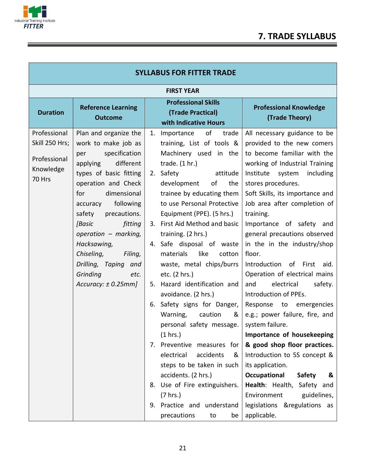

| <b>SYLLABUS FOR FITTER TRADE</b>    |                                                                                                                    |    |                                                                                                                                              |                                                                                                                                                          |
|-------------------------------------|--------------------------------------------------------------------------------------------------------------------|----|----------------------------------------------------------------------------------------------------------------------------------------------|----------------------------------------------------------------------------------------------------------------------------------------------------------|
|                                     |                                                                                                                    |    | <b>FIRST YEAR</b>                                                                                                                            |                                                                                                                                                          |
| <b>Duration</b>                     | <b>Reference Learning</b><br><b>Outcome</b>                                                                        |    | <b>Professional Skills</b><br>(Trade Practical)<br>with Indicative Hours                                                                     | <b>Professional Knowledge</b><br>(Trade Theory)                                                                                                          |
| Professional<br>Skill 250 Hrs;      | Plan and organize the<br>work to make job as<br>specification<br>per                                               | 1. | of<br>trade<br>Importance<br>training, List of tools &<br>Machinery used in the                                                              | All necessary guidance to be<br>provided to the new comers<br>to become familiar with the                                                                |
| Professional<br>Knowledge<br>70 Hrs | different<br>applying<br>types of basic fitting<br>operation and Check<br>dimensional<br>for<br>accuracy following |    | trade. $(1 hr.)$<br>2. Safety<br>attitude<br>development<br>of<br>the<br>trainee by educating them<br>to use Personal Protective             | working of Industrial Training<br>Institute system<br>including<br>stores procedures.<br>Soft Skills, its importance and<br>Job area after completion of |
|                                     | precautions.<br>safety<br>[Basic<br>fitting<br>operation - marking,<br>Hacksawing,<br>Chiseling,<br>Filing,        |    | Equipment (PPE). (5 hrs.)<br>3. First Aid Method and basic<br>training. (2 hrs.)<br>4. Safe disposal of waste<br>materials<br>like<br>cotton | training.<br>Importance of safety and<br>general precautions observed<br>in the in the industry/shop<br>floor.                                           |
|                                     | Drilling, Taping and<br>Grinding<br>etc.<br>Accuracy: $\pm$ 0.25mm]                                                | 5. | waste, metal chips/burrs<br>etc. (2 hrs.)<br>Hazard identification and<br>avoidance. (2 hrs.)                                                | Introduction of First aid.<br>Operation of electrical mains<br>electrical<br>and<br>safety.<br>Introduction of PPEs.                                     |
|                                     |                                                                                                                    |    | 6. Safety signs for Danger,<br>Warning,<br>caution<br>&<br>personal safety message.<br>(1 hrs.)                                              | Response to emergencies<br>e.g.; power failure, fire, and<br>system failure.<br>Importance of housekeeping                                               |
|                                     |                                                                                                                    | 7. | Preventive measures for<br>electrical<br>accidents<br>&<br>steps to be taken in such<br>accidents. (2 hrs.)                                  | & good shop floor practices.<br>Introduction to 5S concept &<br>its application.<br>Occupational<br><b>Safety</b><br>&                                   |
|                                     |                                                                                                                    | 8. | Use of Fire extinguishers.<br>(7 hrs.)<br>9. Practice and understand<br>precautions<br>to<br>be                                              | Health: Health, Safety and<br>Environment<br>guidelines,<br>legislations &regulations as<br>applicable.                                                  |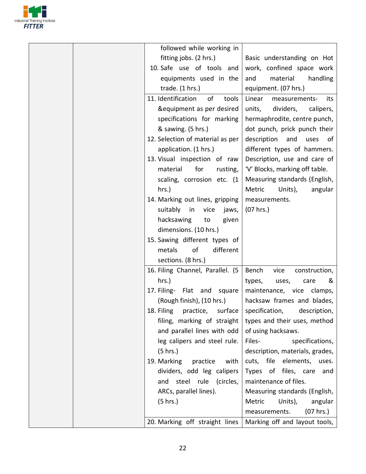

|  | followed while working in         |                                    |
|--|-----------------------------------|------------------------------------|
|  | fitting jobs. (2 hrs.)            | Basic understanding on Hot         |
|  | 10. Safe use of tools and         | work, confined space work          |
|  | equipments used in the            | material<br>handling<br>and        |
|  | trade. $(1 hrs.)$                 | equipment. (07 hrs.)               |
|  |                                   |                                    |
|  | 11. Identification<br>of<br>tools | Linear<br>measurements-<br>its     |
|  | &equipment as per desired         | dividers,<br>units,<br>calipers,   |
|  | specifications for marking        | hermaphrodite, centre punch,       |
|  | & sawing. (5 hrs.)                | dot punch, prick punch their       |
|  | 12. Selection of material as per  | description<br>and<br>uses<br>of . |
|  | application. (1 hrs.)             | different types of hammers.        |
|  | 13. Visual inspection of raw      | Description, use and care of       |
|  | for<br>material<br>rusting,       | 'V' Blocks, marking off table.     |
|  | scaling, corrosion etc. (1        | Measuring standards (English,      |
|  | hrs.)                             | Metric<br>Units),<br>angular       |
|  | 14. Marking out lines, gripping   | measurements.                      |
|  | suitably in<br>vice<br>jaws,      | (07 hrs.)                          |
|  | hacksawing<br>given<br>to         |                                    |
|  | dimensions. (10 hrs.)             |                                    |
|  | 15. Sawing different types of     |                                    |
|  | of<br>different<br>metals         |                                    |
|  | sections. (8 hrs.)                |                                    |
|  | 16. Filing Channel, Parallel. (5  | Bench<br>vice<br>construction,     |
|  | hrs.)                             | types,<br>&<br>uses,<br>care       |
|  | 17. Filing- Flat and<br>square    | maintenance, vice clamps,          |
|  | (Rough finish), (10 hrs.)         | hacksaw frames and blades,         |
|  | 18. Filing practice, surface      | specification,                     |
|  |                                   | description,                       |
|  | filing, marking of straight       | types and their uses, method       |
|  | and parallel lines with odd       | of using hacksaws.                 |
|  | leg calipers and steel rule.      | Files-<br>specifications,          |
|  | (5 hrs.)                          | description, materials, grades,    |
|  | 19. Marking<br>practice<br>with   | cuts, file elements,<br>uses.      |
|  | dividers, odd leg calipers        | Types of files, care<br>and        |
|  | and steel rule (circles,          | maintenance of files.              |
|  | ARCs, parallel lines).            | Measuring standards (English,      |
|  | (5 hrs.)                          | Metric<br>Units),<br>angular       |
|  |                                   | (07 hrs.)<br>measurements.         |
|  | 20. Marking off straight lines    | Marking off and layout tools,      |
|  |                                   |                                    |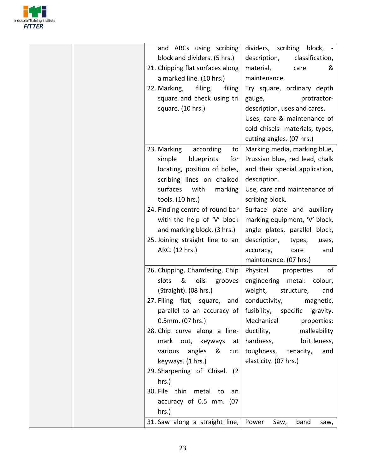

| and ARCs using scribing<br>dividers, scribing block, -<br>block and dividers. (5 hrs.)<br>classification,<br>description,<br>21. Chipping flat surfaces along<br>material,<br>care<br>&<br>a marked line. (10 hrs.)<br>maintenance.<br>filing,<br>Try square, ordinary depth<br>22. Marking,<br>filing<br>square and check using tri<br>protractor-<br>gauge,<br>square. (10 hrs.)<br>description, uses and cares.<br>Uses, care & maintenance of<br>cold chisels- materials, types,<br>cutting angles. (07 hrs.)<br>23. Marking according<br>Marking media, marking blue,<br>to<br>Prussian blue, red lead, chalk<br>simple<br>blueprints<br>for<br>locating, position of holes,<br>and their special application,<br>scribing lines on chalked<br>description.<br>surfaces<br>with<br>Use, care and maintenance of<br>marking<br>tools. (10 hrs.)<br>scribing block.<br>24. Finding centre of round bar<br>Surface plate and auxiliary<br>with the help of 'V' block<br>marking equipment, 'V' block,<br>and marking block. (3 hrs.)<br>angle plates, parallel block,<br>25. Joining straight line to an<br>description,<br>types,<br>uses, |
|-----------------------------------------------------------------------------------------------------------------------------------------------------------------------------------------------------------------------------------------------------------------------------------------------------------------------------------------------------------------------------------------------------------------------------------------------------------------------------------------------------------------------------------------------------------------------------------------------------------------------------------------------------------------------------------------------------------------------------------------------------------------------------------------------------------------------------------------------------------------------------------------------------------------------------------------------------------------------------------------------------------------------------------------------------------------------------------------------------------------------------------------------|
|                                                                                                                                                                                                                                                                                                                                                                                                                                                                                                                                                                                                                                                                                                                                                                                                                                                                                                                                                                                                                                                                                                                                               |
|                                                                                                                                                                                                                                                                                                                                                                                                                                                                                                                                                                                                                                                                                                                                                                                                                                                                                                                                                                                                                                                                                                                                               |
|                                                                                                                                                                                                                                                                                                                                                                                                                                                                                                                                                                                                                                                                                                                                                                                                                                                                                                                                                                                                                                                                                                                                               |
|                                                                                                                                                                                                                                                                                                                                                                                                                                                                                                                                                                                                                                                                                                                                                                                                                                                                                                                                                                                                                                                                                                                                               |
|                                                                                                                                                                                                                                                                                                                                                                                                                                                                                                                                                                                                                                                                                                                                                                                                                                                                                                                                                                                                                                                                                                                                               |
|                                                                                                                                                                                                                                                                                                                                                                                                                                                                                                                                                                                                                                                                                                                                                                                                                                                                                                                                                                                                                                                                                                                                               |
|                                                                                                                                                                                                                                                                                                                                                                                                                                                                                                                                                                                                                                                                                                                                                                                                                                                                                                                                                                                                                                                                                                                                               |
|                                                                                                                                                                                                                                                                                                                                                                                                                                                                                                                                                                                                                                                                                                                                                                                                                                                                                                                                                                                                                                                                                                                                               |
|                                                                                                                                                                                                                                                                                                                                                                                                                                                                                                                                                                                                                                                                                                                                                                                                                                                                                                                                                                                                                                                                                                                                               |
|                                                                                                                                                                                                                                                                                                                                                                                                                                                                                                                                                                                                                                                                                                                                                                                                                                                                                                                                                                                                                                                                                                                                               |
|                                                                                                                                                                                                                                                                                                                                                                                                                                                                                                                                                                                                                                                                                                                                                                                                                                                                                                                                                                                                                                                                                                                                               |
|                                                                                                                                                                                                                                                                                                                                                                                                                                                                                                                                                                                                                                                                                                                                                                                                                                                                                                                                                                                                                                                                                                                                               |
|                                                                                                                                                                                                                                                                                                                                                                                                                                                                                                                                                                                                                                                                                                                                                                                                                                                                                                                                                                                                                                                                                                                                               |
|                                                                                                                                                                                                                                                                                                                                                                                                                                                                                                                                                                                                                                                                                                                                                                                                                                                                                                                                                                                                                                                                                                                                               |
|                                                                                                                                                                                                                                                                                                                                                                                                                                                                                                                                                                                                                                                                                                                                                                                                                                                                                                                                                                                                                                                                                                                                               |
|                                                                                                                                                                                                                                                                                                                                                                                                                                                                                                                                                                                                                                                                                                                                                                                                                                                                                                                                                                                                                                                                                                                                               |
|                                                                                                                                                                                                                                                                                                                                                                                                                                                                                                                                                                                                                                                                                                                                                                                                                                                                                                                                                                                                                                                                                                                                               |
|                                                                                                                                                                                                                                                                                                                                                                                                                                                                                                                                                                                                                                                                                                                                                                                                                                                                                                                                                                                                                                                                                                                                               |
|                                                                                                                                                                                                                                                                                                                                                                                                                                                                                                                                                                                                                                                                                                                                                                                                                                                                                                                                                                                                                                                                                                                                               |
| ARC. (12 hrs.)<br>accuracy,<br>and<br>care                                                                                                                                                                                                                                                                                                                                                                                                                                                                                                                                                                                                                                                                                                                                                                                                                                                                                                                                                                                                                                                                                                    |
| maintenance. (07 hrs.)                                                                                                                                                                                                                                                                                                                                                                                                                                                                                                                                                                                                                                                                                                                                                                                                                                                                                                                                                                                                                                                                                                                        |
| 26. Chipping, Chamfering, Chip<br>Physical<br>of<br>properties                                                                                                                                                                                                                                                                                                                                                                                                                                                                                                                                                                                                                                                                                                                                                                                                                                                                                                                                                                                                                                                                                |
| slots<br>&<br>oils<br>engineering metal:<br>colour,<br>grooves                                                                                                                                                                                                                                                                                                                                                                                                                                                                                                                                                                                                                                                                                                                                                                                                                                                                                                                                                                                                                                                                                |
| (Straight). (08 hrs.)<br>weight,<br>structure,<br>and                                                                                                                                                                                                                                                                                                                                                                                                                                                                                                                                                                                                                                                                                                                                                                                                                                                                                                                                                                                                                                                                                         |
| 27. Filing flat, square, and<br>conductivity,<br>magnetic,                                                                                                                                                                                                                                                                                                                                                                                                                                                                                                                                                                                                                                                                                                                                                                                                                                                                                                                                                                                                                                                                                    |
| fusibility, specific gravity.<br>parallel to an accuracy of                                                                                                                                                                                                                                                                                                                                                                                                                                                                                                                                                                                                                                                                                                                                                                                                                                                                                                                                                                                                                                                                                   |
| 0.5mm. (07 hrs.)<br>Mechanical<br>properties:                                                                                                                                                                                                                                                                                                                                                                                                                                                                                                                                                                                                                                                                                                                                                                                                                                                                                                                                                                                                                                                                                                 |
| 28. Chip curve along a line-<br>malleability<br>ductility,                                                                                                                                                                                                                                                                                                                                                                                                                                                                                                                                                                                                                                                                                                                                                                                                                                                                                                                                                                                                                                                                                    |
| mark out, keyways<br>hardness,<br>brittleness,<br>at                                                                                                                                                                                                                                                                                                                                                                                                                                                                                                                                                                                                                                                                                                                                                                                                                                                                                                                                                                                                                                                                                          |
| various angles &<br>toughness, tenacity,<br>and<br>cut                                                                                                                                                                                                                                                                                                                                                                                                                                                                                                                                                                                                                                                                                                                                                                                                                                                                                                                                                                                                                                                                                        |
| keyways. (1 hrs.)<br>elasticity. (07 hrs.)                                                                                                                                                                                                                                                                                                                                                                                                                                                                                                                                                                                                                                                                                                                                                                                                                                                                                                                                                                                                                                                                                                    |
| 29. Sharpening of Chisel. (2                                                                                                                                                                                                                                                                                                                                                                                                                                                                                                                                                                                                                                                                                                                                                                                                                                                                                                                                                                                                                                                                                                                  |
| hrs.)                                                                                                                                                                                                                                                                                                                                                                                                                                                                                                                                                                                                                                                                                                                                                                                                                                                                                                                                                                                                                                                                                                                                         |
| 30. File thin metal to<br>an                                                                                                                                                                                                                                                                                                                                                                                                                                                                                                                                                                                                                                                                                                                                                                                                                                                                                                                                                                                                                                                                                                                  |
| accuracy of 0.5 mm. (07                                                                                                                                                                                                                                                                                                                                                                                                                                                                                                                                                                                                                                                                                                                                                                                                                                                                                                                                                                                                                                                                                                                       |
| hrs.)                                                                                                                                                                                                                                                                                                                                                                                                                                                                                                                                                                                                                                                                                                                                                                                                                                                                                                                                                                                                                                                                                                                                         |
| 31. Saw along a straight line,   Power<br>band<br>Saw,<br>saw,                                                                                                                                                                                                                                                                                                                                                                                                                                                                                                                                                                                                                                                                                                                                                                                                                                                                                                                                                                                                                                                                                |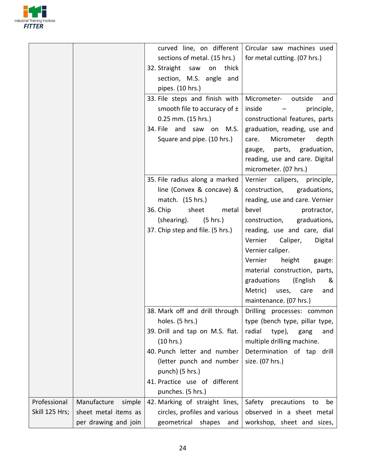

|                |                       |                                   | curved line, on different   Circular saw machines used |
|----------------|-----------------------|-----------------------------------|--------------------------------------------------------|
|                |                       |                                   | for metal cutting. (07 hrs.)                           |
|                |                       | sections of metal. (15 hrs.)      |                                                        |
|                |                       | 32. Straight saw<br>on<br>thick   |                                                        |
|                |                       | section, M.S. angle and           |                                                        |
|                |                       | pipes. (10 hrs.)                  |                                                        |
|                |                       | 33. File steps and finish with    | Micrometer-<br>outside<br>and                          |
|                |                       | smooth file to accuracy of $\pm$  | inside<br>principle,                                   |
|                |                       | $0.25$ mm. $(15$ hrs.)            | constructional features, parts                         |
|                |                       | 34. File and saw on M.S.          | graduation, reading, use and                           |
|                |                       | Square and pipe. (10 hrs.)        | Micrometer<br>depth<br>care.                           |
|                |                       |                                   | gauge, parts, graduation,                              |
|                |                       |                                   | reading, use and care. Digital                         |
|                |                       |                                   | micrometer. (07 hrs.)                                  |
|                |                       | 35. File radius along a marked    | Vernier calipers, principle,                           |
|                |                       | line (Convex & concave) &         | construction,<br>graduations,                          |
|                |                       | match. (15 hrs.)                  | reading, use and care. Vernier                         |
|                |                       | 36. Chip<br>sheet<br>metal        | bevel<br>protractor,                                   |
|                |                       | $(5 \text{ hrs.})$<br>(shearing). | construction,<br>graduations,                          |
|                |                       | 37. Chip step and file. (5 hrs.)  | reading, use and care, dial                            |
|                |                       |                                   | Vernier<br>Caliper,<br>Digital                         |
|                |                       |                                   | Vernier caliper.                                       |
|                |                       |                                   | Vernier<br>height<br>gauge:                            |
|                |                       |                                   | material construction, parts,                          |
|                |                       |                                   | graduations<br>(English<br>&                           |
|                |                       |                                   | Metric) uses,<br>care<br>and                           |
|                |                       |                                   | maintenance. (07 hrs.)                                 |
|                |                       | 38. Mark off and drill through    | Drilling processes: common                             |
|                |                       | holes. (5 hrs.)                   | type (bench type, pillar type,                         |
|                |                       | 39. Drill and tap on M.S. flat.   | radial<br>type),<br>and<br>gang                        |
|                |                       | (10 hrs.)                         | multiple drilling machine.                             |
|                |                       | 40. Punch letter and number       | Determination of tap drill                             |
|                |                       | (letter punch and number          | size. (07 hrs.)                                        |
|                |                       | punch) (5 hrs.)                   |                                                        |
|                |                       | 41. Practice use of different     |                                                        |
|                |                       | punches. (5 hrs.)                 |                                                        |
| Professional   | Manufacture<br>simple | 42. Marking of straight lines,    | Safety precautions to<br>be                            |
| Skill 125 Hrs; | sheet metal items as  | circles, profiles and various     | observed in a sheet metal                              |
|                | per drawing and join  | geometrical<br>shapes<br>and      | workshop, sheet and sizes,                             |
|                |                       |                                   |                                                        |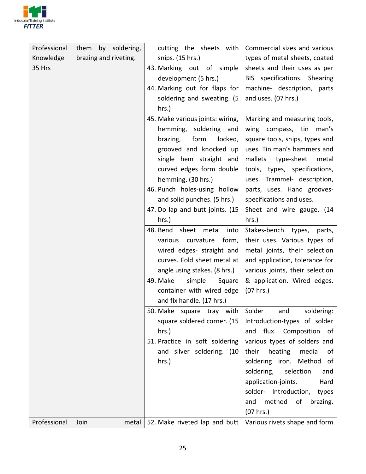

| Professional | them<br>by soldering, | cutting the sheets with          | Commercial sizes and various    |
|--------------|-----------------------|----------------------------------|---------------------------------|
| Knowledge    | brazing and riveting. | snips. (15 hrs.)                 | types of metal sheets, coated   |
| 35 Hrs       |                       | 43. Marking out of simple        | sheets and their uses as per    |
|              |                       | development (5 hrs.)             | BIS specifications. Shearing    |
|              |                       | 44. Marking out for flaps for    | machine- description, parts     |
|              |                       | soldering and sweating. (5       | and uses. (07 hrs.)             |
|              |                       | hrs.)                            |                                 |
|              |                       | 45. Make various joints: wiring, | Marking and measuring tools,    |
|              |                       | hemming, soldering and           | wing compass, tin<br>man's      |
|              |                       | brazing,<br>form<br>locked,      | square tools, snips, types and  |
|              |                       | grooved and knocked up           | uses. Tin man's hammers and     |
|              |                       | single hem straight and          | mallets<br>type-sheet<br>metal  |
|              |                       | curved edges form double         | tools, types, specifications,   |
|              |                       | hemming. (30 hrs.)               | uses. Trammel- description,     |
|              |                       | 46. Punch holes-using hollow     | parts, uses. Hand grooves-      |
|              |                       | and solid punches. (5 hrs.)      | specifications and uses.        |
|              |                       | 47. Do lap and butt joints. (15  | Sheet and wire gauge. (14       |
|              |                       | hrs.)                            | hrs.)                           |
|              |                       | 48. Bend sheet<br>metal into     | Stakes-bench types,<br>parts,   |
|              |                       | curvature<br>form,<br>various    | their uses. Various types of    |
|              |                       | wired edges- straight and        | metal joints, their selection   |
|              |                       | curves. Fold sheet metal at      | and application, tolerance for  |
|              |                       | angle using stakes. (8 hrs.)     | various joints, their selection |
|              |                       | 49. Make<br>simple<br>Square     | & application. Wired edges.     |
|              |                       | container with wired edge        | (07 hrs.)                       |
|              |                       | and fix handle. (17 hrs.)        |                                 |
|              |                       | 50. Make square tray with        | Solder<br>and<br>soldering:     |
|              |                       | square soldered corner. (15      | Introduction-types of solder    |
|              |                       | hrs.)                            | and flux. Composition of        |
|              |                       | 51. Practice in soft soldering   | various types of solders and    |
|              |                       | and silver soldering. (10        | heating<br>media<br>their<br>οf |
|              |                       | hrs.)                            | soldering iron. Method of       |
|              |                       |                                  | soldering,<br>selection<br>and  |
|              |                       |                                  | application-joints.<br>Hard     |
|              |                       |                                  | solder- Introduction,<br>types  |
|              |                       |                                  | method<br>of<br>brazing.<br>and |
|              |                       |                                  | $(07$ hrs.)                     |
| Professional | Join<br>metal         | 52. Make riveted lap and butt    | Various rivets shape and form   |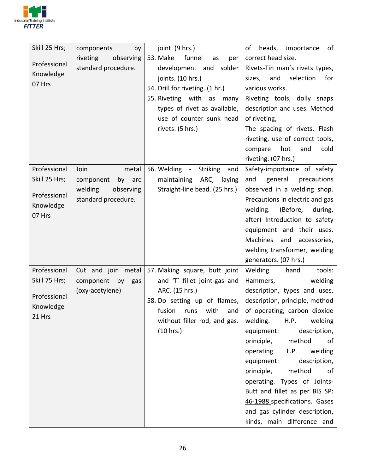

| Skill 25 Hrs;       | by<br>components       | joint. (9 hrs.)                 | of<br>heads,<br>importance<br>of       |
|---------------------|------------------------|---------------------------------|----------------------------------------|
|                     | observing<br>riveting  | 53. Make<br>funnel<br>as<br>per | correct head size.                     |
| Professional        | standard procedure.    | development and<br>solder       | Rivets-Tin man's rivets types,         |
| Knowledge           |                        | joints. (10 hrs.)               | selection<br>sizes,<br>and<br>for      |
| 07 Hrs              |                        | 54. Drill for riveting. (1 hr.) | various works.                         |
|                     |                        | 55. Riveting with as<br>many    | Riveting tools, dolly snaps            |
|                     |                        | types of rivet as available,    | description and uses. Method           |
|                     |                        | use of counter sunk head        | of riveting,                           |
|                     |                        | rivets. (5 hrs.)                | The spacing of rivets. Flash           |
|                     |                        |                                 | riveting, use of correct tools,        |
|                     |                        |                                 | hot<br>compare<br>and<br>cold          |
|                     |                        |                                 | riveting. (07 hrs.)                    |
| Professional        | metal<br>Join          | 56. Welding - Striking<br>and   | Safety-importance of safety            |
| Skill 25 Hrs;       | component<br>by<br>arc | maintaining ARC, laying         | general<br>precautions<br>and          |
| Professional        | welding<br>observing   | Straight-line bead. (25 hrs.)   | observed in a welding shop.            |
|                     | standard procedure.    |                                 | Precautions in electric and gas        |
| Knowledge<br>07 Hrs |                        |                                 | (Before,<br>welding.<br>during,        |
|                     |                        |                                 | after) Introduction to safety          |
|                     |                        |                                 | equipment and their uses.              |
|                     |                        |                                 | <b>Machines</b><br>and<br>accessories, |
|                     |                        |                                 | welding transformer, welding           |
|                     |                        |                                 | generators. (07 hrs.)                  |
| Professional        | Cut and join metal     | 57. Making square, butt joint   | Welding<br>hand<br>tools:              |
| Skill 75 Hrs;       | component<br>by<br>gas | and 'T' fillet joint-gas and    | welding<br>Hammers,                    |
| Professional        | (oxy-acetylene)        | ARC. (15 hrs.)                  | description, types and uses,           |
| Knowledge           |                        | 58. Do setting up of flames,    | description, principle, method         |
| 21 Hrs              |                        | and<br>fusion runs with         | of operating, carbon dioxide           |
|                     |                        | without filler rod, and gas.    | H.P.<br>welding<br>welding.            |
|                     |                        | (10 hrs.)                       | equipment:<br>description,             |
|                     |                        |                                 | principle,<br>method<br>of             |
|                     |                        |                                 | welding<br>operating<br>L.P.           |
|                     |                        |                                 | description,<br>equipment:             |
|                     |                        |                                 | method<br>principle,<br>of             |
|                     |                        |                                 | operating. Types of Joints-            |
|                     |                        |                                 | Butt and fillet as per BIS SP:         |
|                     |                        |                                 | 46-1988 specifications. Gases          |
|                     |                        |                                 | and gas cylinder description,          |
|                     |                        |                                 | kinds, main difference and             |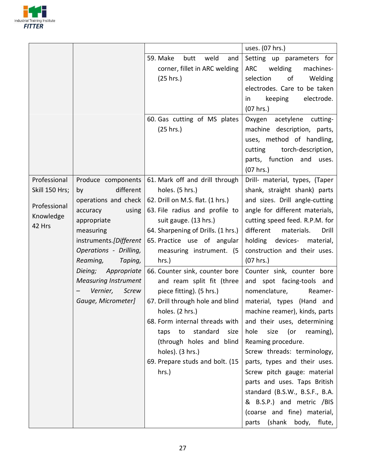

|                                                                       |                                                                                                                                                                                           |                                                                                                                                                                                                                                                                                                                | uses. (07 hrs.)                                                                                                                                                                                                                                                                                                                                                                                                                   |
|-----------------------------------------------------------------------|-------------------------------------------------------------------------------------------------------------------------------------------------------------------------------------------|----------------------------------------------------------------------------------------------------------------------------------------------------------------------------------------------------------------------------------------------------------------------------------------------------------------|-----------------------------------------------------------------------------------------------------------------------------------------------------------------------------------------------------------------------------------------------------------------------------------------------------------------------------------------------------------------------------------------------------------------------------------|
|                                                                       |                                                                                                                                                                                           | weld<br>59. Make<br>butt<br>and<br>corner, fillet in ARC welding<br>(25 hrs.)                                                                                                                                                                                                                                  | Setting up parameters for<br>ARC<br>welding<br>machines-<br>selection<br>of<br>Welding                                                                                                                                                                                                                                                                                                                                            |
|                                                                       |                                                                                                                                                                                           |                                                                                                                                                                                                                                                                                                                | electrodes. Care to be taken<br>keeping<br>electrode.<br>in<br>(07 hrs.)                                                                                                                                                                                                                                                                                                                                                          |
|                                                                       |                                                                                                                                                                                           | 60. Gas cutting of MS plates<br>(25 hrs.)                                                                                                                                                                                                                                                                      | Oxygen<br>acetylene cutting-<br>machine description, parts,<br>uses, method of handling,<br>cutting<br>torch-description,<br>parts, function and uses.<br>$(07$ hrs.)                                                                                                                                                                                                                                                             |
| Professional<br>Skill 150 Hrs;<br>Professional<br>Knowledge<br>42 Hrs | Produce components<br>different<br>by<br>operations and check<br>using<br>accuracy<br>appropriate<br>measuring<br>instruments.[Different<br>Operations - Drilling,<br>Reaming,<br>Taping, | 61. Mark off and drill through<br>holes. (5 hrs.)<br>62. Drill on M.S. flat. (1 hrs.)<br>63. File radius and profile to<br>suit gauge. (13 hrs.)<br>64. Sharpening of Drills. (1 hrs.)<br>65. Practice use of angular<br>measuring instrument. (5<br>hrs.)                                                     | Drill- material, types, (Taper<br>shank, straight shank) parts<br>and sizes. Drill angle-cutting<br>angle for different materials,<br>cutting speed feed. R.P.M. for<br>different<br>materials.<br>Drill<br>holding<br>devices-<br>material,<br>construction and their uses.<br>(07 hrs.)                                                                                                                                         |
|                                                                       | Dieing; Appropriate<br><b>Measuring Instrument</b><br>Vernier,<br>Screw<br>Gauge, Micrometer]                                                                                             | 66. Counter sink, counter bore<br>and ream split fit (three<br>piece fitting). (5 hrs.)<br>67. Drill through hole and blind<br>holes. (2 hrs.)<br>68. Form internal threads with<br>standard<br>size<br>to<br>taps<br>(through holes and blind<br>holes). (3 hrs.)<br>69. Prepare studs and bolt. (15<br>hrs.) | Counter sink, counter bore<br>and spot facing-tools and<br>nomenclature,<br>Reamer-<br>material, types (Hand and<br>machine reamer), kinds, parts<br>and their uses, determining<br>hole<br>size (or reaming),<br>Reaming procedure.<br>Screw threads: terminology,<br>parts, types and their uses.<br>Screw pitch gauge: material<br>parts and uses. Taps British<br>standard (B.S.W., B.S.F., B.A.<br>& B.S.P.) and metric /BIS |
|                                                                       |                                                                                                                                                                                           |                                                                                                                                                                                                                                                                                                                | (coarse and fine) material,<br>parts (shank body, flute,                                                                                                                                                                                                                                                                                                                                                                          |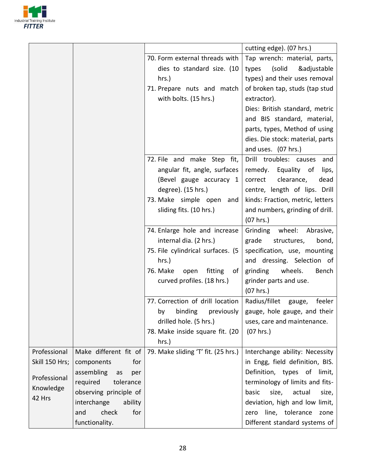

|                     |                         |                                     | cutting edge). (07 hrs.)          |
|---------------------|-------------------------|-------------------------------------|-----------------------------------|
|                     |                         | 70. Form external threads with      | Tap wrench: material, parts,      |
|                     |                         | dies to standard size. (10          | (solid<br>&adjustable<br>types    |
|                     |                         | hrs.                                | types) and their uses removal     |
|                     |                         | 71. Prepare nuts and match          | of broken tap, studs (tap stud    |
|                     |                         | with bolts. (15 hrs.)               | extractor).                       |
|                     |                         |                                     | Dies: British standard, metric    |
|                     |                         |                                     | and BIS standard, material,       |
|                     |                         |                                     | parts, types, Method of using     |
|                     |                         |                                     | dies. Die stock: material, parts  |
|                     |                         |                                     | and uses. (07 hrs.)               |
|                     |                         | 72. File and make Step fit,         | Drill troubles: causes<br>and     |
|                     |                         | angular fit, angle, surfaces        | remedy. Equality of<br>lips,      |
|                     |                         | (Bevel gauge accuracy 1             | clearance,<br>dead<br>correct     |
|                     |                         | degree). (15 hrs.)                  | centre, length of lips. Drill     |
|                     |                         | 73. Make simple open<br>and         | kinds: Fraction, metric, letters  |
|                     |                         | sliding fits. (10 hrs.)             | and numbers, grinding of drill.   |
|                     |                         |                                     | (07 hrs.)                         |
|                     |                         | 74. Enlarge hole and increase       | Grinding<br>wheel:<br>Abrasive,   |
|                     |                         | internal dia. (2 hrs.)              | grade<br>structures,<br>bond,     |
|                     |                         | 75. File cylindrical surfaces. (5   | specification, use, mounting      |
|                     |                         | $hrs.$ )                            | and dressing. Selection of        |
|                     |                         | 76. Make<br>open<br>fitting<br>0f   | grinding<br>wheels.<br>Bench      |
|                     |                         | curved profiles. (18 hrs.)          | grinder parts and use.            |
|                     |                         |                                     | $(07$ hrs.)                       |
|                     |                         | 77. Correction of drill location    | Radius/fillet<br>feeler<br>gauge, |
|                     |                         | binding<br>previously<br>by         | gauge, hole gauge, and their      |
|                     |                         | drilled hole. (5 hrs.)              | uses, care and maintenance.       |
|                     |                         | 78. Make inside square fit. (20     | (07 hrs.)                         |
|                     |                         | hrs.)                               |                                   |
| Professional        | Make different fit of   | 79. Make sliding 'T' fit. (25 hrs.) | Interchange ability: Necessity    |
| Skill 150 Hrs;      | components<br>for       |                                     | in Engg, field definition, BIS.   |
| Professional        | assembling<br>as<br>per |                                     | Definition, types of limit,       |
|                     | required<br>tolerance   |                                     | terminology of limits and fits-   |
| Knowledge<br>42 Hrs | observing principle of  |                                     | basic<br>size,<br>actual<br>size, |
|                     | interchange<br>ability  |                                     | deviation, high and low limit,    |
|                     | check<br>and<br>for     |                                     | line, tolerance<br>zone<br>zero   |
|                     | functionality.          |                                     | Different standard systems of     |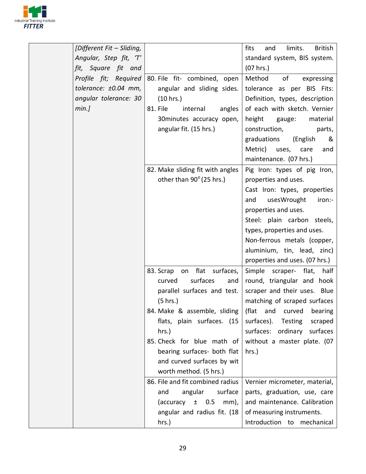

| [Different Fit - Sliding, |                                                         | fits<br>limits.<br>and<br><b>British</b> |
|---------------------------|---------------------------------------------------------|------------------------------------------|
| Angular, Step fit, 'T'    |                                                         | standard system, BIS system.             |
| fit, Square fit and       |                                                         | (07 hrs.)                                |
| Profile fit; Required     | 80. File fit- combined, open                            | of<br>Method<br>expressing               |
| tolerance: ±0.04 mm,      | angular and sliding sides.                              | tolerance as per BIS Fits:               |
| angular tolerance: 30     | (10 hrs.)                                               | Definition, types, description           |
| min.]                     | 81. File<br>internal<br>angles                          | of each with sketch. Vernier             |
|                           | 30 minutes accuracy open,                               | height<br>gauge:<br>material             |
|                           | angular fit. (15 hrs.)                                  | construction,<br>parts,                  |
|                           |                                                         | graduations<br>(English<br>&             |
|                           |                                                         | Metric) uses, care<br>and                |
|                           |                                                         | maintenance. (07 hrs.)                   |
|                           | 82. Make sliding fit with angles                        | Pig Iron: types of pig Iron,             |
|                           | other than 90° (25 hrs.)                                | properties and uses.                     |
|                           |                                                         | Cast Iron: types, properties             |
|                           |                                                         | and<br>usesWrought<br>iron:-             |
|                           |                                                         | properties and uses.                     |
|                           |                                                         | Steel: plain carbon steels,              |
|                           |                                                         | types, properties and uses.              |
|                           |                                                         | Non-ferrous metals (copper,              |
|                           |                                                         | aluminium, tin, lead, zinc)              |
|                           |                                                         | properties and uses. (07 hrs.)           |
|                           | 83. Scrap on flat surfaces,                             | Simple scraper- flat,<br>half            |
|                           | surfaces<br>curved<br>and                               | round, triangular and hook               |
|                           | parallel surfaces and test.                             | scraper and their uses. Blue             |
|                           | (5 hrs.)                                                | matching of scraped surfaces             |
|                           | 84. Make & assemble, sliding   (flat and curved bearing |                                          |
|                           | flats, plain surfaces. (15                              | surfaces).<br>Testing<br>scraped         |
|                           | hrs.)                                                   | surfaces: ordinary<br>surfaces           |
|                           | 85. Check for blue math of                              | without a master plate. (07              |
|                           | bearing surfaces- both flat                             | hrs.)                                    |
|                           | and curved surfaces by wit                              |                                          |
|                           | worth method. (5 hrs.)                                  |                                          |
|                           | 86. File and fit combined radius                        | Vernier micrometer, material,            |
|                           | angular<br>surface<br>and                               | parts, graduation, use, care             |
|                           | (accuracy<br>$\pm$ 0.5<br>mm),                          | and maintenance. Calibration             |
|                           | angular and radius fit. (18                             | of measuring instruments.                |
|                           | hrs.)                                                   | Introduction to mechanical               |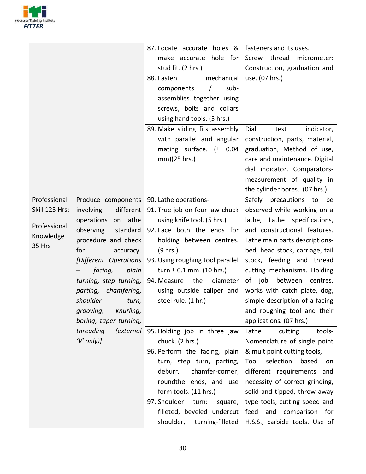

|                |                               | 87. Locate accurate holes &      | fasteners and its uses.          |
|----------------|-------------------------------|----------------------------------|----------------------------------|
|                |                               | hole for<br>make accurate        | Screw thread<br>micrometer:      |
|                |                               | stud fit. (2 hrs.)               | Construction, graduation and     |
|                |                               | 88. Fasten<br>mechanical         | use. (07 hrs.)                   |
|                |                               | sub-<br>components<br>$\prime$   |                                  |
|                |                               | assemblies together using        |                                  |
|                |                               | screws, bolts and collars        |                                  |
|                |                               | using hand tools. (5 hrs.)       |                                  |
|                |                               | 89. Make sliding fits assembly   | Dial<br>indicator,<br>test       |
|                |                               | with parallel and angular        | construction, parts, material,   |
|                |                               | mating surface. $(\pm 0.04)$     | graduation, Method of use,       |
|                |                               | mm)(25 hrs.)                     | care and maintenance. Digital    |
|                |                               |                                  | dial indicator. Comparators-     |
|                |                               |                                  | measurement of quality in        |
|                |                               |                                  | the cylinder bores. (07 hrs.)    |
| Professional   | Produce components            | 90. Lathe operations-            | Safely precautions to<br>be      |
| Skill 125 Hrs; | different<br>involving        | 91. True job on four jaw chuck   | observed while working on a      |
|                | operations on lathe           | using knife tool. (5 hrs.)       | lathe, Lathe specifications,     |
| Professional   | observing<br>standard         | 92. Face both the ends for       | and constructional features.     |
| Knowledge      | procedure and check           | holding between centres.         | Lathe main parts descriptions-   |
| 35 Hrs         | for<br>accuracy.              | (9 hrs.)                         | bed, head stock, carriage, tail  |
|                | [Different Operations         | 93. Using roughing tool parallel | stock, feeding and thread        |
|                | facing,<br>plain              | turn $\pm$ 0.1 mm. (10 hrs.)     | cutting mechanisms. Holding      |
|                | turning, step turning,        | the<br>94. Measure<br>diameter   | between<br>of job<br>centres,    |
|                | parting, chamfering,          | using outside caliper and        | works with catch plate, dog,     |
|                | shoulder<br>turn,             | steel rule. (1 hr.)              | simple description of a facing   |
|                | grooving, knurling,           |                                  | and roughing tool and their      |
|                | boring, taper turning,        |                                  | applications. (07 hrs.)          |
|                | threading<br><i>(external</i> | 95. Holding job in three jaw     | Lathe<br>cutting<br>tools-       |
|                | $'V'$ only)]                  | chuck. (2 hrs.)                  | Nomenclature of single point     |
|                |                               | 96. Perform the facing, plain    | & multipoint cutting tools,      |
|                |                               | turn, step turn, parting,        | selection<br>Tool<br>based<br>on |
|                |                               | chamfer-corner,<br>deburr,       | different requirements and       |
|                |                               | roundthe ends, and use           | necessity of correct grinding,   |
|                |                               | form tools. (11 hrs.)            | solid and tipped, throw away     |
|                |                               | 97. Shoulder<br>turn:<br>square, | type tools, cutting speed and    |
|                |                               | filleted, beveled undercut       | feed and comparison<br>for       |
|                |                               | shoulder, turning-filleted       | H.S.S., carbide tools. Use of    |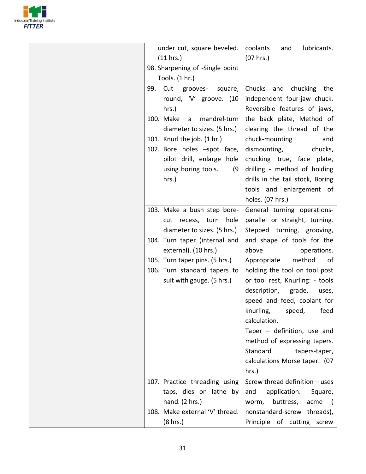

| under cut, square beveled.      | coolants<br>lubricants.<br>and                 |
|---------------------------------|------------------------------------------------|
| (11 hrs.)                       | (07 hrs.)                                      |
| 98. Sharpening of -Single point |                                                |
| Tools. (1 hr.)                  |                                                |
| 99.<br>Cut grooves-<br>square,  | Chucks<br>and chucking the                     |
| round, 'V' groove. (10          | independent four-jaw chuck.                    |
| hrs.)                           | Reversible features of jaws,                   |
| 100. Make<br>mandrel-turn<br>a  | the back plate, Method of                      |
| diameter to sizes. (5 hrs.)     | clearing the thread of the                     |
| 101. Knurl the job. (1 hr.)     | chuck-mounting<br>and                          |
| 102. Bore holes -spot face,     | dismounting,<br>chucks,                        |
| pilot drill, enlarge hole       | chucking true, face plate,                     |
| using boring tools.<br>(9)      | drilling - method of holding                   |
| hrs.)                           | drills in the tail stock, Boring               |
|                                 | tools and enlargement of                       |
|                                 | holes. (07 hrs.)                               |
| 103. Make a bush step bore-     | General turning operations-                    |
| cut recess, turn hole           | parallel or straight, turning.                 |
| diameter to sizes. (5 hrs.)     | Stepped turning, grooving,                     |
| 104. Turn taper (internal and   | and shape of tools for the                     |
| external). (10 hrs.)            | above<br>operations.                           |
| 105. Turn taper pins. (5 hrs.)  | method<br>Appropriate<br>0f                    |
| 106. Turn standard tapers to    | holding the tool on tool post                  |
| suit with gauge. (5 hrs.)       | or tool rest, Knurling: - tools                |
|                                 | description,<br>grade,<br>uses,                |
|                                 | speed and feed, coolant for                    |
|                                 | knurling, speed,<br>feed                       |
|                                 | calculation.                                   |
|                                 | Taper $-$ definition, use and                  |
|                                 | method of expressing tapers.                   |
|                                 | Standard                                       |
|                                 | tapers-taper,<br>calculations Morse taper. (07 |
|                                 |                                                |
|                                 | hrs.)                                          |
| 107. Practice threading using   | Screw thread definition - uses                 |
| taps, dies on lathe by          | and<br>application.<br>Square,                 |
| hand. (2 hrs.)                  | buttress,<br>acme<br>worm,                     |
| 108. Make external 'V' thread.  | nonstandard-screw threads),                    |
| (8 hrs.)                        | Principle of cutting screw                     |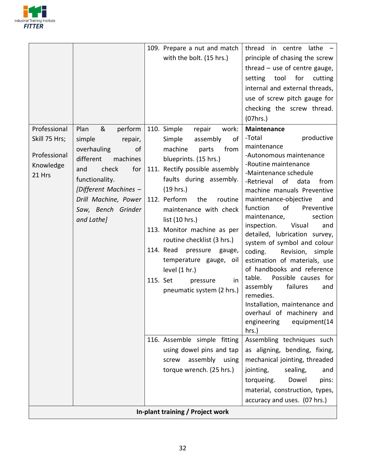

|                     |                       | 109. Prepare a nut and match     | thread in centre<br>$l$ athe $-$                        |
|---------------------|-----------------------|----------------------------------|---------------------------------------------------------|
|                     |                       | with the bolt. (15 hrs.)         | principle of chasing the screw                          |
|                     |                       |                                  | thread $-$ use of centre gauge,                         |
|                     |                       |                                  | for<br>tool<br>cutting<br>setting                       |
|                     |                       |                                  | internal and external threads,                          |
|                     |                       |                                  | use of screw pitch gauge for                            |
|                     |                       |                                  | checking the screw thread.                              |
|                     |                       |                                  | (07hrs.)                                                |
| Professional        | &<br>Plan<br>perform  | 110. Simple<br>repair<br>work:   | <b>Maintenance</b>                                      |
| Skill 75 Hrs;       | simple<br>repair,     | Simple<br>assembly<br>of         | productive<br>-Total                                    |
|                     | overhauling<br>of     | machine<br>from<br>parts         | maintenance                                             |
| Professional        | different<br>machines | blueprints. (15 hrs.)            | -Autonomous maintenance<br>-Routine maintenance         |
| Knowledge<br>21 Hrs | check<br>for<br>and   | 111. Rectify possible assembly   | -Maintenance schedule                                   |
|                     | functionality.        | faults during assembly.          | of<br>data<br>-Retrieval<br>from                        |
|                     | [Different Machines - | (19 hrs.)                        | machine manuals Preventive                              |
|                     | Drill Machine, Power  | 112. Perform<br>the<br>routine   | maintenance-objective<br>and                            |
|                     | Saw, Bench Grinder    | maintenance with check           | function<br>of<br>Preventive                            |
|                     | and Lathe]            | list (10 hrs.)                   | maintenance,<br>section<br>Visual<br>inspection.<br>and |
|                     |                       | 113. Monitor machine as per      | detailed, lubrication survey,                           |
|                     |                       | routine checklist (3 hrs.)       | system of symbol and colour                             |
|                     |                       | 114. Read<br>pressure<br>gauge,  | coding.<br>Revision, simple                             |
|                     |                       | temperature gauge, oil           | estimation of materials, use                            |
|                     |                       | level (1 hr.)                    | of handbooks and reference                              |
|                     |                       | 115. Set<br>pressure<br>in       | table.<br>Possible causes for                           |
|                     |                       | pneumatic system (2 hrs.)        | failures<br>assembly<br>and<br>remedies.                |
|                     |                       |                                  | Installation, maintenance and                           |
|                     |                       |                                  | overhaul of machinery and                               |
|                     |                       |                                  | equipment(14<br>engineering                             |
|                     |                       |                                  | hrs.)                                                   |
|                     |                       | 116. Assemble simple fitting     | Assembling techniques such                              |
|                     |                       | using dowel pins and tap         | as aligning, bending, fixing,                           |
|                     |                       | assembly<br>using<br>screw       | mechanical jointing, threaded                           |
|                     |                       | torque wrench. (25 hrs.)         | jointing,<br>sealing,<br>and                            |
|                     |                       |                                  | torqueing.<br>Dowel<br>pins:                            |
|                     |                       |                                  | material, construction, types,                          |
|                     |                       |                                  | accuracy and uses. (07 hrs.)                            |
|                     |                       | In-plant training / Project work |                                                         |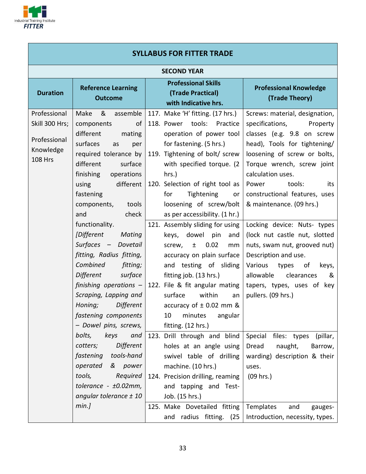

| <b>SYLLABUS FOR FITTER TRADE</b>                                              |                                                                                                                                                                                                                                                                                            |  |                                                                                                                                                                                                                                                                                                                                                                                            |                                                                                                                                                                                                                                                                                                                                                                       |  |  |  |
|-------------------------------------------------------------------------------|--------------------------------------------------------------------------------------------------------------------------------------------------------------------------------------------------------------------------------------------------------------------------------------------|--|--------------------------------------------------------------------------------------------------------------------------------------------------------------------------------------------------------------------------------------------------------------------------------------------------------------------------------------------------------------------------------------------|-----------------------------------------------------------------------------------------------------------------------------------------------------------------------------------------------------------------------------------------------------------------------------------------------------------------------------------------------------------------------|--|--|--|
| <b>SECOND YEAR</b>                                                            |                                                                                                                                                                                                                                                                                            |  |                                                                                                                                                                                                                                                                                                                                                                                            |                                                                                                                                                                                                                                                                                                                                                                       |  |  |  |
| <b>Duration</b>                                                               | <b>Reference Learning</b><br><b>Outcome</b>                                                                                                                                                                                                                                                |  | <b>Professional Skills</b><br>(Trade Practical)<br>with Indicative hrs.                                                                                                                                                                                                                                                                                                                    | <b>Professional Knowledge</b><br>(Trade Theory)                                                                                                                                                                                                                                                                                                                       |  |  |  |
| Professional<br>Skill 300 Hrs;<br>Professional<br>Knowledge<br><b>108 Hrs</b> | Make<br>&<br>assemble<br>components<br>of<br>different<br>mating<br>surfaces<br>as<br>per<br>required tolerance by<br>different<br>surface<br>finishing<br>operations<br>different<br>using<br>fastening<br>components,<br>tools<br>check<br>and<br>functionality.<br>[Different<br>Mating |  | 117. Make 'H' fitting. (17 hrs.)<br>118. Power tools: Practice<br>operation of power tool<br>for fastening. (5 hrs.)<br>119. Tightening of bolt/ screw<br>with specified torque. (2)<br>$hrs.$ )<br>120. Selection of right tool as<br>for<br>Tightening<br>or<br>loosening of screw/bolt<br>as per accessibility. (1 hr.)<br>121. Assembly sliding for using<br>keys, dowel<br>pin<br>and | Screws: material, designation,<br>specifications,<br>Property<br>classes (e.g. 9.8 on screw<br>head), Tools for tightening/<br>loosening of screw or bolts,<br>Torque wrench, screw joint<br>calculation uses.<br>Power<br>tools:<br>its<br>constructional features, uses<br>& maintenance. (09 hrs.)<br>Locking device: Nuts- types<br>(lock nut castle nut, slotted |  |  |  |
|                                                                               | Surfaces - Dovetail<br>fitting, Radius fitting,<br>Combined<br>fitting;<br><b>Different</b><br>surface<br>finishing operations $-$<br>Scraping, Lapping and<br>Different<br>Honing;<br>fastening components<br>- Dowel pins, screws,<br>bolts,<br>keys<br>and<br>Different<br>cotters;     |  | 0.02<br>screw,<br>$\pm$<br>mm<br>accuracy on plain surface<br>and testing of sliding<br>fitting job. (13 hrs.)<br>122. File & fit angular mating<br>within<br>surface<br>an<br>accuracy of $\pm$ 0.02 mm &<br>10<br>minutes<br>angular<br>fitting. (12 hrs.)<br>123. Drill through and blind<br>holes at an angle using                                                                    | nuts, swam nut, grooved nut)<br>Description and use.<br>Various types of<br>keys,<br>allowable<br>&<br>clearances<br>tapers, types, uses of key<br>pullers. (09 hrs.)<br>Special files: types<br>(pillar,<br>naught,<br>Dread<br>Barrow,                                                                                                                              |  |  |  |
|                                                                               | tools-hand<br>fastening<br>operated<br>& power<br>tools,<br>Required<br>tolerance - $\pm 0.02$ mm,<br>angular tolerance $\pm$ 10<br>min.]                                                                                                                                                  |  | swivel table of drilling<br>machine. (10 hrs.)<br>124. Precision drilling, reaming<br>and tapping and Test-<br>Job. (15 hrs.)<br>125. Make Dovetailed fitting<br>and radius fitting. (25                                                                                                                                                                                                   | warding) description & their<br>uses.<br>(09 hrs.)<br>Templates<br>and<br>gauges-<br>Introduction, necessity, types.                                                                                                                                                                                                                                                  |  |  |  |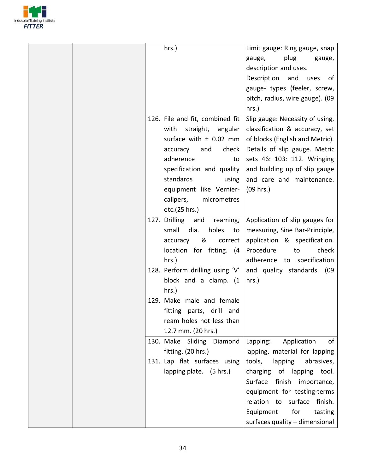

| hrs.)                            | Limit gauge: Ring gauge, snap    |
|----------------------------------|----------------------------------|
|                                  | plug<br>gauge,<br>gauge,         |
|                                  | description and uses.            |
|                                  | Description<br>and<br>uses<br>0f |
|                                  | gauge- types (feeler, screw,     |
|                                  | pitch, radius, wire gauge). (09  |
|                                  | hrs.)                            |
| 126. File and fit, combined fit  | Slip gauge: Necessity of using,  |
| with<br>straight,<br>angular     | classification & accuracy, set   |
| surface with $\pm$ 0.02 mm       | of blocks (English and Metric).  |
| check<br>accuracy<br>and         | Details of slip gauge. Metric    |
| adherence<br>to                  | sets 46: 103: 112. Wringing      |
| specification and quality        | and building up of slip gauge    |
| standards<br>using               | and care and maintenance.        |
| equipment like Vernier-          | (09 hrs.)                        |
| calipers,<br>micrometres         |                                  |
| etc.(25 hrs.)                    |                                  |
| 127. Drilling<br>and<br>reaming, | Application of slip gauges for   |
| small<br>dia.<br>holes<br>to     | measuring, Sine Bar-Principle,   |
| &<br>correct<br>accuracy         | application & specification.     |
| location for fitting. (4         | Procedure<br>check<br>to         |
| hrs.)                            | adherence to specification       |
| 128. Perform drilling using 'V'  | and quality standards. (09       |
| block and a clamp. (1            | hrs.)                            |
| $hrs.$ )                         |                                  |
| 129. Make male and female        |                                  |
| fitting parts, drill and         |                                  |
| ream holes not less than         |                                  |
| 12.7 mm. (20 hrs.)               |                                  |
| 130. Make Sliding Diamond        | Application<br>Lapping:<br>of    |
| fitting. (20 hrs.)               | lapping, material for lapping    |
| 131. Lap flat surfaces using     | tools,<br>abrasives,<br>lapping  |
| lapping plate. (5 hrs.)          | charging of lapping tool.        |
|                                  | Surface finish importance,       |
|                                  | equipment for testing-terms      |
|                                  | relation to surface finish.      |
|                                  |                                  |
|                                  | Equipment<br>for<br>tasting      |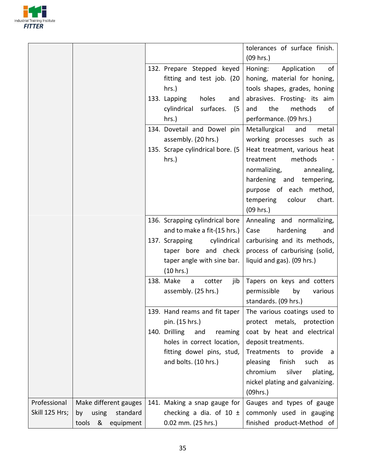

|                |                                              |                                                                                                                                 | tolerances of surface finish.<br>$(09$ hrs.)                                                                                                                                            |
|----------------|----------------------------------------------|---------------------------------------------------------------------------------------------------------------------------------|-----------------------------------------------------------------------------------------------------------------------------------------------------------------------------------------|
|                |                                              | 132. Prepare Stepped keyed<br>fitting and test job. (20<br>hrs.)<br>133. Lapping<br>holes<br>and<br>surfaces. (5<br>cylindrical | Application<br>Honing:<br>0f<br>honing, material for honing,<br>tools shapes, grades, honing<br>abrasives. Frosting- its aim<br>the<br>methods<br>and<br>of                             |
|                |                                              | $hrs.$ )                                                                                                                        | performance. (09 hrs.)                                                                                                                                                                  |
|                |                                              | 134. Dovetail and Dowel pin<br>assembly. (20 hrs.)                                                                              | Metallurgical<br>and<br>metal<br>working processes such as                                                                                                                              |
|                |                                              | 135. Scrape cylindrical bore. (5<br>hrs.)                                                                                       | Heat treatment, various heat<br>methods<br>treatment<br>normalizing,<br>annealing,<br>hardening and tempering,<br>purpose of each method,<br>tempering<br>colour<br>chart.<br>(09 hrs.) |
|                |                                              | 136. Scrapping cylindrical bore                                                                                                 | Annealing and normalizing,                                                                                                                                                              |
|                |                                              | and to make a fit-(15 hrs.)<br>137. Scrapping<br>cylindrical<br>taper bore and check<br>taper angle with sine bar.<br>(10 hrs.) | hardening<br>Case<br>and<br>carburising and its methods,<br>process of carburising (solid,<br>liquid and gas). (09 hrs.)                                                                |
|                |                                              | 138. Make<br>cotter<br>jib<br>a<br>assembly. (25 hrs.)                                                                          | Tapers on keys and cotters<br>permissible<br>by<br>various<br>standards. (09 hrs.)                                                                                                      |
|                |                                              | 139. Hand reams and fit taper<br>pin. (15 hrs.)<br>140. Drilling<br>and<br>reaming                                              | The various coatings used to<br>protect metals, protection<br>coat by heat and electrical                                                                                               |
|                |                                              | holes in correct location,<br>fitting dowel pins, stud,                                                                         | deposit treatments.<br>Treatments to<br>provide<br>- a                                                                                                                                  |
|                |                                              | and bolts. (10 hrs.)                                                                                                            | pleasing<br>finish<br>such<br>as<br>chromium<br>silver<br>plating,<br>nickel plating and galvanizing.<br>(09hrs.)                                                                       |
| Professional   | Make different gauges                        | 141. Making a snap gauge for                                                                                                    | Gauges and types of gauge                                                                                                                                                               |
| Skill 125 Hrs; | using standard<br>by<br>tools &<br>equipment | checking a dia. of 10 $\pm$<br>0.02 mm. (25 hrs.)                                                                               | commonly used in gauging<br>finished product-Method of                                                                                                                                  |
|                |                                              |                                                                                                                                 |                                                                                                                                                                                         |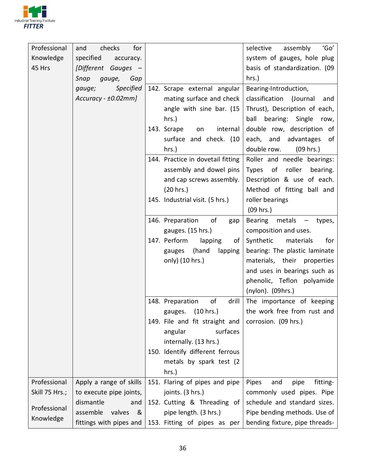

| Professional<br>Knowledge<br>45 Hrs | checks<br>and<br>for<br>specified<br>accuracy.<br>[Different Gauges -<br>Snap<br>gauge,<br>Gap |                                           | 'Go'<br>selective<br>assembly<br>system of gauges, hole plug<br>basis of standardization. (09<br>hrs.) |
|-------------------------------------|------------------------------------------------------------------------------------------------|-------------------------------------------|--------------------------------------------------------------------------------------------------------|
|                                     | Specified<br>gauge;                                                                            | 142. Scrape external angular              | Bearing-Introduction,                                                                                  |
|                                     | $Accuracy - \pm 0.02mm$ ]                                                                      | mating surface and check                  | classification<br>(Journal<br>and                                                                      |
|                                     |                                                                                                | angle with sine bar. (15                  | Thrust), Description of each,                                                                          |
|                                     |                                                                                                | $hrs.$ )                                  | ball bearing: Single<br>row,                                                                           |
|                                     |                                                                                                | 143. Scrape<br>internal<br>on             | double row, description of                                                                             |
|                                     |                                                                                                | surface and check. (10                    | each, and advantages<br>of                                                                             |
|                                     |                                                                                                | hrs.)                                     | double row.<br>(09 hrs.)                                                                               |
|                                     |                                                                                                | 144. Practice in dovetail fitting         | Roller and needle bearings:                                                                            |
|                                     |                                                                                                | assembly and dowel pins                   | <b>Types</b><br>of<br>roller<br>bearing.                                                               |
|                                     |                                                                                                | and cap screws assembly.                  | Description & use of each.                                                                             |
|                                     |                                                                                                | (20 hrs.)                                 | Method of fitting ball and                                                                             |
|                                     |                                                                                                | 145. Industrial visit. (5 hrs.)           | roller bearings                                                                                        |
|                                     |                                                                                                |                                           | $(09$ hrs.)                                                                                            |
|                                     |                                                                                                | of<br>146. Preparation<br>gap             | Bearing<br>metals<br>types,<br>$\qquad \qquad -$                                                       |
|                                     |                                                                                                | gauges. (15 hrs.)                         | composition and uses.                                                                                  |
|                                     |                                                                                                | 147. Perform<br>lapping<br>οf             | Synthetic<br>materials<br>for                                                                          |
|                                     |                                                                                                | (hand<br>lapping<br>gauges                | bearing: The plastic laminate                                                                          |
|                                     |                                                                                                | only) (10 hrs.)                           | materials, their properties                                                                            |
|                                     |                                                                                                |                                           | and uses in bearings such as                                                                           |
|                                     |                                                                                                |                                           | phenolic, Teflon polyamide                                                                             |
|                                     |                                                                                                | of<br>drill                               | (nylon). (09hrs.)                                                                                      |
|                                     |                                                                                                | 148. Preparation<br>(10 hrs.)             | The importance of keeping<br>the work free from rust and                                               |
|                                     |                                                                                                | gauges.<br>149. File and fit straight and | corrosion. (09 hrs.)                                                                                   |
|                                     |                                                                                                | surfaces<br>angular                       |                                                                                                        |
|                                     |                                                                                                | internally. (13 hrs.)                     |                                                                                                        |
|                                     |                                                                                                | 150. Identify different ferrous           |                                                                                                        |
|                                     |                                                                                                | metals by spark test (2)                  |                                                                                                        |
|                                     |                                                                                                | hrs.)                                     |                                                                                                        |
| Professional                        | Apply a range of skills                                                                        | 151. Flaring of pipes and pipe            | Pipes<br>and<br>pipe<br>fitting-                                                                       |
| Skill 75 Hrs.;                      | to execute pipe joints,                                                                        | joints. (3 hrs.)                          | commonly used pipes. Pipe                                                                              |
|                                     | dismantle<br>and                                                                               | 152. Cutting & Threading of               | schedule and standard sizes.                                                                           |
| Professional                        | assemble<br>valves<br>&                                                                        | pipe length. (3 hrs.)                     | Pipe bending methods. Use of                                                                           |
| Knowledge                           | fittings with pipes and                                                                        | 153. Fitting of pipes as per              | bending fixture, pipe threads-                                                                         |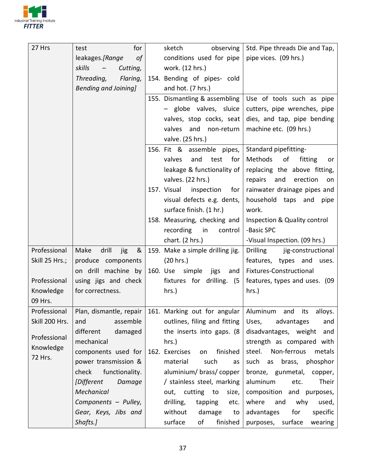

| 27 Hrs         | for<br>test                                    | sketch<br>observing                                    | Std. Pipe threads Die and Tap,        |
|----------------|------------------------------------------------|--------------------------------------------------------|---------------------------------------|
|                | leakages.[Range<br>of                          | conditions used for pipe                               | pipe vices. (09 hrs.)                 |
|                | skills<br>Cutting,<br>$\overline{\phantom{m}}$ | work. (12 hrs.)                                        |                                       |
|                | Threading,<br>Flaring,                         | 154. Bending of pipes- cold                            |                                       |
|                | <b>Bending and Joining]</b>                    | and hot. (7 hrs.)                                      |                                       |
|                |                                                | 155. Dismantling & assembling                          | Use of tools such as pipe             |
|                |                                                | - globe valves, sluice                                 | cutters, pipe wrenches, pipe          |
|                |                                                | valves, stop cocks, seat                               | dies, and tap, pipe bending           |
|                |                                                | valves and non-return                                  | machine etc. (09 hrs.)                |
|                |                                                | valve. (25 hrs.)                                       |                                       |
|                |                                                | 156. Fit & assemble pipes,                             | Standard pipefitting-                 |
|                |                                                | valves<br>and<br>test<br>for                           | Methods<br>of<br>fitting<br>or        |
|                |                                                | leakage & functionality of                             | replacing the above fitting,          |
|                |                                                | valves. (22 hrs.)                                      | repairs and<br>erection<br>on         |
|                |                                                | 157. Visual<br>inspection<br>for $ $                   | rainwater drainage pipes and          |
|                |                                                | visual defects e.g. dents,                             | household taps and<br>pipe            |
|                |                                                | surface finish. (1 hr.)                                | work.                                 |
|                |                                                | 158. Measuring, checking and                           | Inspection & Quality control          |
|                |                                                | recording<br>in<br>control                             | -Basic SPC                            |
|                |                                                | chart. (2 hrs.)                                        | -Visual Inspection. (09 hrs.)         |
| Professional   | Make<br>drill<br>&<br>jig                      | 159. Make a simple drilling jig.                       | <b>Drilling</b><br>jig-constructional |
| Skill 25 Hrs.; | produce components                             | (20 hrs.)                                              | features, types and uses.             |
|                | on drill machine by                            | 160. Use simple jigs<br>and                            | Fixtures-Constructional               |
| Professional   | using jigs and check                           | fixtures for drilling. (5                              | features, types and uses. (09         |
| Knowledge      | for correctness.                               | hrs.)                                                  | hrs.)                                 |
| 09 Hrs.        |                                                |                                                        |                                       |
| Professional   |                                                | Plan, dismantle, repair   161. Marking out for angular | Aluminum and its<br>alloys.           |
| Skill 200 Hrs. | assemble<br>and                                | outlines, filing and fitting                           | Uses,<br>advantages<br>and            |
| Professional   | different<br>damaged                           | the inserts into gaps. (8)                             | disadvantages, weight<br>and          |
| Knowledge      | mechanical                                     | $hrs.$ )                                               | strength as compared with             |
| 72 Hrs.        | components used for                            | 162. Exercises<br>finished<br>on                       | steel. Non-ferrous<br>metals          |
|                | power transmission &                           | material<br>such<br>as                                 | such<br>brass, phosphor<br>as         |
|                | functionality.<br>check                        | aluminium/ brass/ copper                               | bronze, gunmetal, copper,             |
|                | [Different<br>Damage                           | / stainless steel, marking                             | aluminum<br>Their<br>etc.             |
|                | Mechanical                                     | out, cutting to<br>size,                               | composition and purposes,             |
|                | Components - Pulley,                           | drilling,<br>tapping<br>etc.                           | where<br>and<br>why<br>used,          |
|                | Gear, Keys, Jibs and                           | without<br>damage<br>to                                | advantages<br>for<br>specific         |
|                | Shafts.]                                       | surface<br>of<br>finished                              | purposes, surface<br>wearing          |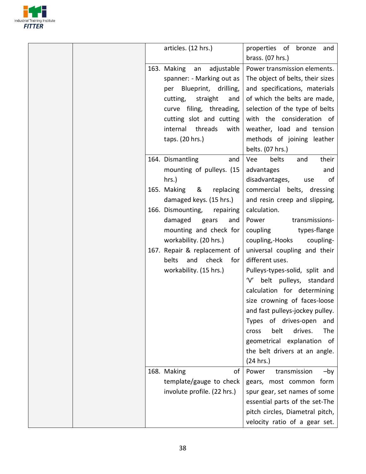

|  | articles. (12 hrs.)            | properties of bronze<br>and<br>brass. (07 hrs.) |
|--|--------------------------------|-------------------------------------------------|
|  | 163. Making an adjustable      | Power transmission elements.                    |
|  | spanner: - Marking out as      | The object of belts, their sizes                |
|  | Blueprint, drilling,<br>per    | and specifications, materials                   |
|  | cutting,<br>straight<br>and    | of which the belts are made,                    |
|  | curve filing, threading,       | selection of the type of belts                  |
|  | cutting slot and cutting       | with the consideration of                       |
|  | internal threads<br>with       | weather, load and tension                       |
|  | taps. (20 hrs.)                | methods of joining leather                      |
|  |                                | belts. (07 hrs.)                                |
|  | 164. Dismantling<br>and        | Vee<br>belts<br>their<br>and                    |
|  | mounting of pulleys. (15       | advantages<br>and                               |
|  | hrs.)                          | disadvantages,<br>of<br>use                     |
|  | 165. Making<br>&<br>replacing  | commercial belts, dressing                      |
|  | damaged keys. (15 hrs.)        | and resin creep and slipping,                   |
|  | 166. Dismounting,<br>repairing | calculation.                                    |
|  | damaged<br>gears<br>and        | Power<br>transmissions-                         |
|  | mounting and check for         | coupling<br>types-flange                        |
|  | workability. (20 hrs.)         | coupling,-Hooks<br>coupling-                    |
|  | 167. Repair & replacement of   | universal coupling and their                    |
|  | belts<br>and<br>check<br>for   | different uses.                                 |
|  | workability. (15 hrs.)         | Pulleys-types-solid, split and                  |
|  |                                | 'V' belt pulleys, standard                      |
|  |                                | calculation for determining                     |
|  |                                | size crowning of faces-loose                    |
|  |                                | and fast pulleys-jockey pulley.                 |
|  |                                | Types of drives-open<br>and                     |
|  |                                | belt<br>drives.<br>The<br>cross                 |
|  |                                | geometrical explanation<br>of                   |
|  |                                | the belt drivers at an angle.                   |
|  |                                | (24 hrs.)                                       |
|  | 168. Making<br>of              | transmission<br>Power<br>$-by$                  |
|  | template/gauge to check        | gears, most common form                         |
|  | involute profile. (22 hrs.)    | spur gear, set names of some                    |
|  |                                | essential parts of the set-The                  |
|  |                                | pitch circles, Diametral pitch,                 |
|  |                                | velocity ratio of a gear set.                   |
|  |                                |                                                 |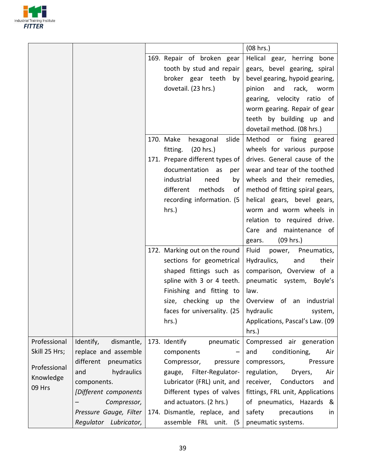

|               |                         |                                              | (08 hrs.)                        |
|---------------|-------------------------|----------------------------------------------|----------------------------------|
|               |                         | 169. Repair of broken gear                   | Helical gear, herring bone       |
|               |                         | tooth by stud and repair                     | gears, bevel gearing, spiral     |
|               |                         | broker gear teeth by                         | bevel gearing, hypoid gearing,   |
|               |                         | dovetail. (23 hrs.)                          | pinion<br>and<br>rack,<br>worm   |
|               |                         |                                              | gearing, velocity ratio of       |
|               |                         |                                              | worm gearing. Repair of gear     |
|               |                         |                                              | teeth by building up and         |
|               |                         |                                              | dovetail method. (08 hrs.)       |
|               |                         | 170. Make<br>hexagonal<br>slide              | Method or fixing geared          |
|               |                         | fitting.<br>(20 hrs.)                        | wheels for various purpose       |
|               |                         | 171. Prepare different types of              | drives. General cause of the     |
|               |                         | documentation as<br>per                      | wear and tear of the toothed     |
|               |                         | industrial<br>need<br>by                     | wheels and their remedies,       |
|               |                         | different<br>methods<br>οf                   | method of fitting spiral gears,  |
|               |                         | recording information. (5                    | helical gears, bevel gears,      |
|               |                         | hrs.)                                        | worm and worm wheels in          |
|               |                         |                                              | relation to required drive.      |
|               |                         |                                              | maintenance of<br>Care and       |
|               |                         |                                              | (09 hrs.)<br>gears.              |
|               |                         | 172. Marking out on the round                | Fluid<br>power, Pneumatics,      |
|               |                         | sections for geometrical                     | Hydraulics,<br>and<br>their      |
|               |                         | shaped fittings such as                      | comparison, Overview of a        |
|               |                         | spline with 3 or 4 teeth.                    | pneumatic system,<br>Boyle's     |
|               |                         | Finishing and fitting to                     | law.                             |
|               |                         | size, checking up the                        | Overview of an industrial        |
|               |                         | faces for universality. $(25 \mid$ hydraulic | system,                          |
|               |                         | hrs.)                                        | Applications, Pascal's Law. (09  |
|               |                         |                                              | hrs.)                            |
| Professional  | dismantle,<br>Identify, | 173. Identify<br>pneumatic                   | Compressed air generation        |
| Skill 25 Hrs; | replace and assemble    | components                                   | conditioning,<br>and<br>Air      |
| Professional  | different<br>pneumatics | Compressor,<br>pressure                      | compressors,<br>Pressure         |
| Knowledge     | hydraulics<br>and       | Filter-Regulator-<br>gauge,                  | regulation,<br>Air<br>Dryers,    |
| 09 Hrs        | components.             | Lubricator (FRL) unit, and                   | Conductors<br>receiver,<br>and   |
|               | [Different components   | Different types of valves                    | fittings, FRL unit, Applications |
|               | Compressor,             | and actuators. (2 hrs.)                      | of pneumatics, Hazards &         |
|               | Pressure Gauge, Filter  | 174. Dismantle, replace, and                 | precautions<br>safety<br>in      |
|               | Regulator Lubricator,   | assemble FRL unit. (5                        | pneumatic systems.               |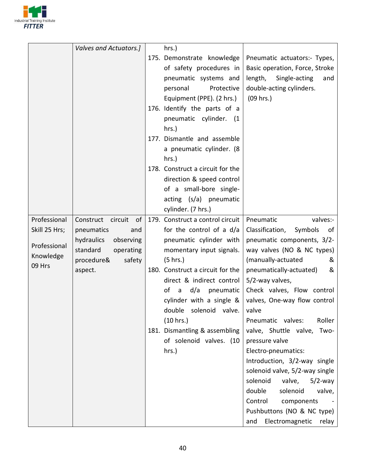

|                                            | Valves and Actuators.]                                                | hrs.)                                                                                                                                                                                                    |                                                                                                                                                                                  |
|--------------------------------------------|-----------------------------------------------------------------------|----------------------------------------------------------------------------------------------------------------------------------------------------------------------------------------------------------|----------------------------------------------------------------------------------------------------------------------------------------------------------------------------------|
|                                            |                                                                       | 175. Demonstrate knowledge<br>of safety procedures in<br>pneumatic systems and<br>personal<br>Protective<br>Equipment (PPE). (2 hrs.)<br>176. Identify the parts of a<br>pneumatic cylinder. (1<br>hrs.) | Pneumatic actuators:- Types,<br>Basic operation, Force, Stroke<br>length,<br>Single-acting<br>and<br>double-acting cylinders.<br>$(09$ hrs.)                                     |
|                                            |                                                                       | 177. Dismantle and assemble<br>a pneumatic cylinder. (8<br>hrs.)<br>178. Construct a circuit for the                                                                                                     |                                                                                                                                                                                  |
|                                            |                                                                       | direction & speed control<br>of a small-bore single-<br>acting (s/a) pneumatic<br>cylinder. (7 hrs.)                                                                                                     |                                                                                                                                                                                  |
| Professional                               | Construct circuit of                                                  | 179. Construct a control circuit                                                                                                                                                                         | Pneumatic<br>valves:-                                                                                                                                                            |
| Skill 25 Hrs;<br>Professional<br>Knowledge | pneumatics<br>and<br>hydraulics<br>observing<br>standard<br>operating | for the control of a d/a<br>pneumatic cylinder with<br>momentary input signals.                                                                                                                          | Classification,<br>Symbols<br>of<br>pneumatic components, 3/2-<br>way valves (NO & NC types)                                                                                     |
| 09 Hrs                                     | procedure&<br>safety<br>aspect.                                       | (5 hrs.)<br>180. Construct a circuit for the<br>direct & indirect control<br>d/a<br>οf<br>pneumatic  <br>$\overline{a}$<br>cylinder with a single $&$ $ $<br>double solenoid valve.<br>(10 hrs.)         | (manually-actuated<br>&<br>pneumatically-actuated)<br>&<br>5/2-way valves,<br>Check valves, Flow control<br>valves, One-way flow control<br>valve<br>Roller<br>Pneumatic valves: |
|                                            |                                                                       | 181. Dismantling & assembling<br>of solenoid valves. (10<br>hrs.)                                                                                                                                        | valve, Shuttle valve, Two-<br>pressure valve<br>Electro-pneumatics:<br>Introduction, 3/2-way single                                                                              |
|                                            |                                                                       |                                                                                                                                                                                                          | solenoid valve, 5/2-way single<br>solenoid<br>valve,<br>$5/2$ -way<br>double<br>solenoid<br>valve,<br>Control<br>components<br>Pushbuttons (NO & NC type)                        |
|                                            |                                                                       |                                                                                                                                                                                                          | Electromagnetic<br>and<br>relay                                                                                                                                                  |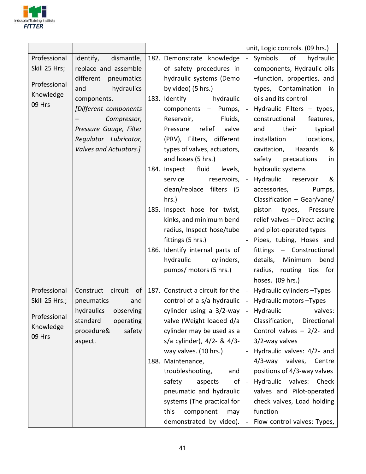

|                                               |                                                                                                                                  |                                                                                                                                                                                                                                     |                          | unit, Logic controls. (09 hrs.)                                                                                                                                                                                            |
|-----------------------------------------------|----------------------------------------------------------------------------------------------------------------------------------|-------------------------------------------------------------------------------------------------------------------------------------------------------------------------------------------------------------------------------------|--------------------------|----------------------------------------------------------------------------------------------------------------------------------------------------------------------------------------------------------------------------|
| Professional<br>Skill 25 Hrs;<br>Professional | dismantle,<br>Identify,<br>replace and assemble<br>different<br>pneumatics<br>hydraulics<br>and                                  | 182. Demonstrate knowledge<br>of safety procedures in<br>hydraulic systems (Demo<br>by video) (5 hrs.)                                                                                                                              |                          | of<br>Symbols<br>hydraulic<br>components, Hydraulic oils<br>-function, properties, and<br>types, Contamination in                                                                                                          |
| Knowledge<br>09 Hrs                           | components.<br>[Different components<br>Compressor,<br>Pressure Gauge, Filter<br>Regulator Lubricator,<br>Valves and Actuators.] | 183. Identify hydraulic<br>components $-$ Pumps, $ -$<br>Reservoir,<br>Fluids,<br>relief<br>Pressure<br>valve<br>(PRV), Filters, different<br>types of valves, actuators,<br>and hoses (5 hrs.)<br>184. Inspect<br>fluid<br>levels, |                          | oils and its control<br>Hydraulic Filters - types,<br>constructional<br>features,<br>their<br>typical<br>and<br>installation<br>locations,<br>cavitation,<br>Hazards<br>&<br>safety precautions<br>in<br>hydraulic systems |
|                                               |                                                                                                                                  | reservoirs,<br>service<br>clean/replace filters (5<br>hrs.)                                                                                                                                                                         | $\blacksquare$           | Hydraulic<br>reservoir<br>&<br>accessories,<br>Pumps,<br>Classification - Gear/vane/                                                                                                                                       |
|                                               |                                                                                                                                  | 185. Inspect hose for twist,<br>kinks, and minimum bend<br>radius, Inspect hose/tube<br>fittings (5 hrs.)                                                                                                                           | $\blacksquare$           | piston<br>types, Pressure<br>relief valves - Direct acting<br>and pilot-operated types<br>Pipes, tubing, Hoses and                                                                                                         |
|                                               |                                                                                                                                  | 186. Identify internal parts of<br>hydraulic<br>cylinders,<br>pumps/ motors (5 hrs.)                                                                                                                                                |                          | fittings - Constructional<br>details, Minimum<br>bend<br>radius, routing tips for<br>hoses. (09 hrs.)                                                                                                                      |
| Professional<br>Skill 25 Hrs.;                | Construct circuit of<br>pneumatics<br>and                                                                                        | 187. Construct a circuit for the $\vert$ -<br>control of a s/a hydraulic                                                                                                                                                            | $\sim$                   | Hydraulic cylinders - Types<br>Hydraulic motors - Types                                                                                                                                                                    |
| Professional<br>Knowledge<br>09 Hrs           | hydraulics observing<br>standard<br>operating<br>procedure&<br>safety<br>aspect.                                                 | cylinder using a 3/2-way<br>valve (Weight loaded d/a<br>cylinder may be used as a<br>s/a cylinder), 4/2- & 4/3-<br>way valves. (10 hrs.)                                                                                            | $\overline{\phantom{a}}$ | Hydraulic valves:<br>Classification,<br>Directional<br>Control valves $-2/2$ - and<br>3/2-way valves<br>Hydraulic valves: 4/2- and                                                                                         |
|                                               |                                                                                                                                  | 188. Maintenance,<br>troubleshooting,<br>and<br>of $\vert$ -<br>safety<br>aspects<br>pneumatic and hydraulic<br>systems (The practical for<br>this<br>component<br>may<br>demonstrated by video). $\vert$ -                         |                          | 4/3-way valves, Centre<br>positions of 4/3-way valves<br>Hydraulic valves: Check<br>valves and Pilot-operated<br>check valves, Load holding<br>function<br>Flow control valves: Types,                                     |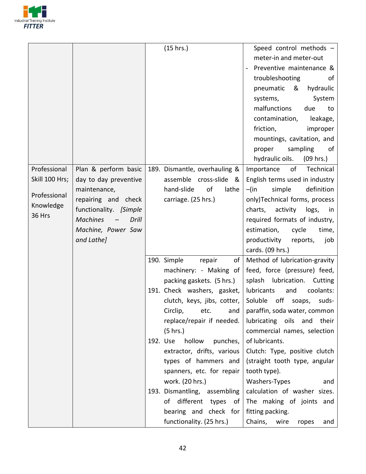

|                |                          | (15 hrs.)                      | Speed control methods -                            |
|----------------|--------------------------|--------------------------------|----------------------------------------------------|
|                |                          |                                | meter-in and meter-out                             |
|                |                          |                                | Preventive maintenance &                           |
|                |                          |                                | troubleshooting<br>0f                              |
|                |                          |                                | &<br>pneumatic<br>hydraulic                        |
|                |                          |                                | systems,<br>System                                 |
|                |                          |                                | malfunctions<br>due<br>to                          |
|                |                          |                                | contamination,<br>leakage,                         |
|                |                          |                                | friction,<br>improper                              |
|                |                          |                                | mountings, cavitation, and                         |
|                |                          |                                | sampling<br>proper<br>of                           |
|                |                          |                                | hydraulic oils.<br>(09 hrs.)                       |
| Professional   | Plan & perform basic     | 189. Dismantle, overhauling &  | of<br>Technical<br>Importance                      |
| Skill 100 Hrs; | day to day preventive    | assemble cross-slide<br>୍ଷ     | English terms used in industry                     |
|                | maintenance,             | hand-slide<br>of<br>lathe      | definition<br>simple<br>$-\mathsf{(in}$            |
| Professional   | repairing and check      | carriage. (25 hrs.)            | only)Technical forms, process                      |
| Knowledge      | functionality. [Simple   |                                | charts, activity logs, in                          |
| 36 Hrs         | <b>Machines</b><br>Drill |                                | required formats of industry,                      |
|                | Machine, Power Saw       |                                | estimation,<br>time,<br>cycle                      |
|                | and Lathe]               |                                | productivity<br>reports,<br>job                    |
|                |                          |                                | cards. (09 hrs.)                                   |
|                |                          | 190. Simple<br>of<br>repair    | Method of lubrication-gravity                      |
|                |                          | machinery: - Making of         | feed, force (pressure) feed,                       |
|                |                          | packing gaskets. (5 hrs.)      | splash lubrication.<br>Cutting                     |
|                |                          | 191. Check washers, gasket,    | lubricants<br>and<br>coolants:                     |
|                |                          | clutch, keys, jibs, cotter,    | Soluble off soaps,<br>suds-                        |
|                |                          |                                | Circlip, $etc.$ and   paraffin, soda water, common |
|                |                          | replace/repair if needed.      | lubricating oils and their                         |
|                |                          | (5 hrs.)                       | commercial names, selection                        |
|                |                          | 192. Use<br>hollow<br>punches, | of lubricants.                                     |
|                |                          | extractor, drifts, various     | Clutch: Type, positive clutch                      |
|                |                          | types of hammers and           | (straight tooth type, angular                      |
|                |                          | spanners, etc. for repair      | tooth type).                                       |
|                |                          | work. (20 hrs.)                | Washers-Types<br>and                               |
|                |                          | 193. Dismantling, assembling   | calculation of washer sizes.                       |
|                |                          | of different types of          | The making of joints and                           |
|                |                          | bearing and check for          | fitting packing.                                   |
|                |                          | functionality. (25 hrs.)       | Chains,<br>wire<br>ropes<br>and                    |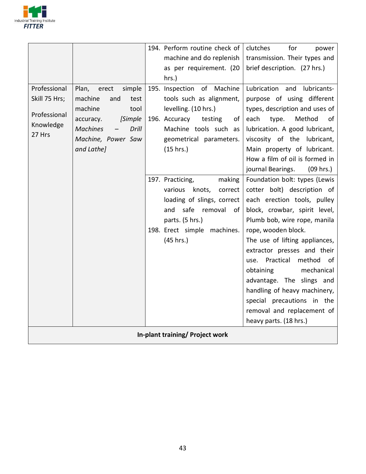

|                                 |                                 |  | 194. Perform routine check of  | clutches<br>for<br>power       |  |
|---------------------------------|---------------------------------|--|--------------------------------|--------------------------------|--|
|                                 |                                 |  | machine and do replenish       | transmission. Their types and  |  |
|                                 |                                 |  | as per requirement. (20        | brief description. (27 hrs.)   |  |
|                                 |                                 |  | hrs.)                          |                                |  |
| Professional                    | simple<br>Plan,<br>erect        |  | 195. Inspection of Machine     | Lubrication and lubricants-    |  |
| Skill 75 Hrs;                   | machine<br>and<br>test          |  | tools such as alignment,       | purpose of using different     |  |
| Professional                    | machine<br>tool                 |  | levelling. (10 hrs.)           | types, description and uses of |  |
| Knowledge                       | <b>Simple</b><br>accuracy.      |  | 196. Accuracy<br>of<br>testing | each<br>type.<br>Method<br>of  |  |
| 27 Hrs                          | <b>Machines</b><br><b>Drill</b> |  | Machine tools such as          | lubrication. A good lubricant, |  |
|                                 | Machine, Power Saw              |  | geometrical parameters.        | viscosity of the lubricant,    |  |
|                                 | and Lathe]                      |  | (15 hrs.)                      | Main property of lubricant.    |  |
|                                 |                                 |  |                                | How a film of oil is formed in |  |
|                                 |                                 |  |                                | journal Bearings.<br>(09 hrs.) |  |
|                                 |                                 |  | 197. Practicing,<br>making     | Foundation bolt: types (Lewis  |  |
|                                 |                                 |  | various<br>knots,<br>correct   | cotter bolt) description of    |  |
|                                 |                                 |  | loading of slings, correct     | each erection tools, pulley    |  |
|                                 |                                 |  | safe removal<br>and<br>- of    | block, crowbar, spirit level,  |  |
|                                 |                                 |  | parts. (5 hrs.)                | Plumb bob, wire rope, manila   |  |
|                                 |                                 |  | 198. Erect simple machines.    | rope, wooden block.            |  |
|                                 |                                 |  | (45 hrs.)                      | The use of lifting appliances, |  |
|                                 |                                 |  |                                | extractor presses and their    |  |
|                                 |                                 |  |                                | use. Practical method<br>of    |  |
|                                 |                                 |  |                                | mechanical<br>obtaining        |  |
|                                 |                                 |  |                                | advantage. The slings and      |  |
|                                 |                                 |  |                                | handling of heavy machinery,   |  |
|                                 |                                 |  |                                | special precautions in the     |  |
|                                 |                                 |  |                                | removal and replacement of     |  |
|                                 |                                 |  |                                | heavy parts. (18 hrs.)         |  |
| In-plant training/ Project work |                                 |  |                                |                                |  |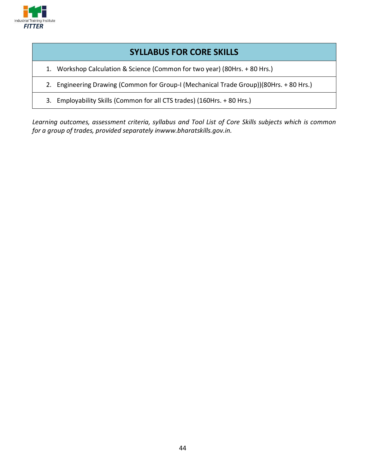

# **SYLLABUS FOR CORE SKILLS**

- 1. Workshop Calculation & Science (Common for two year) (80Hrs. + 80 Hrs.)
- 2. Engineering Drawing (Common for Group-I (Mechanical Trade Group))(80Hrs. + 80 Hrs.)
- 3. Employability Skills (Common for all CTS trades) (160Hrs. + 80 Hrs.)

Learning outcomes, assessment criteria, syllabus and Tool List of Core Skills subjects which is common for a group of trades, provided separately inwww.bharatskills.gov.in.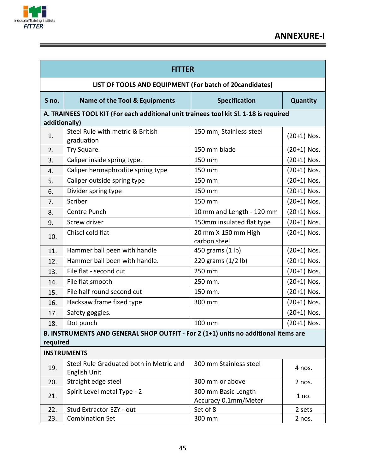

<u> 1989 - Johann Stoff, deutscher Stoffen und der Stoffen und der Stoffen und der Stoffen und der Stoffen und de</u>

| <b>FITTER</b> |                                                                                       |                                             |                 |  |  |  |
|---------------|---------------------------------------------------------------------------------------|---------------------------------------------|-----------------|--|--|--|
|               | LIST OF TOOLS AND EQUIPMENT (For batch of 20candidates)                               |                                             |                 |  |  |  |
| S no.         | <b>Name of the Tool &amp; Equipments</b>                                              | <b>Specification</b>                        | <b>Quantity</b> |  |  |  |
|               | A. TRAINEES TOOL KIT (For each additional unit trainees tool kit Sl. 1-18 is required |                                             |                 |  |  |  |
| additionally) |                                                                                       |                                             |                 |  |  |  |
| 1.            | Steel Rule with metric & British<br>graduation                                        | 150 mm, Stainless steel                     | $(20+1)$ Nos.   |  |  |  |
| 2.            | Try Square.                                                                           | 150 mm blade                                | $(20+1)$ Nos.   |  |  |  |
| 3.            | Caliper inside spring type.                                                           | 150 mm                                      | $(20+1)$ Nos.   |  |  |  |
| 4.            | Caliper hermaphrodite spring type                                                     | 150 mm                                      | $(20+1)$ Nos.   |  |  |  |
| 5.            | Caliper outside spring type                                                           | 150 mm                                      | $(20+1)$ Nos.   |  |  |  |
| 6.            | Divider spring type                                                                   | 150 mm                                      | $(20+1)$ Nos.   |  |  |  |
| 7.            | Scriber                                                                               | 150 mm                                      | $(20+1)$ Nos.   |  |  |  |
| 8.            | Centre Punch                                                                          | 10 mm and Length - 120 mm                   | $(20+1)$ Nos.   |  |  |  |
| 9.            | Screw driver                                                                          | 150mm insulated flat type                   | $(20+1)$ Nos.   |  |  |  |
| 10.           | Chisel cold flat                                                                      | 20 mm X 150 mm High<br>carbon steel         | $(20+1)$ Nos.   |  |  |  |
| 11.           | Hammer ball peen with handle                                                          | 450 grams (1 lb)                            | $(20+1)$ Nos.   |  |  |  |
| 12.           | Hammer ball peen with handle.                                                         | 220 grams (1/2 lb)                          | $(20+1)$ Nos.   |  |  |  |
| 13.           | File flat - second cut                                                                | 250 mm                                      | $(20+1)$ Nos.   |  |  |  |
| 14.           | File flat smooth                                                                      | 250 mm.                                     | $(20+1)$ Nos.   |  |  |  |
| 15.           | File half round second cut                                                            | 150 mm.                                     | (20+1) Nos.     |  |  |  |
| 16.           | Hacksaw frame fixed type                                                              | 300 mm                                      | $(20+1)$ Nos.   |  |  |  |
| 17.           | Safety goggles.                                                                       |                                             | $(20+1)$ Nos.   |  |  |  |
| 18.           | Dot punch                                                                             | 100 mm                                      | $(20+1)$ Nos.   |  |  |  |
|               | B. INSTRUMENTS AND GENERAL SHOP OUTFIT - For 2 (1+1) units no additional items are    |                                             |                 |  |  |  |
| required      |                                                                                       |                                             |                 |  |  |  |
|               | <b>INSTRUMENTS</b>                                                                    |                                             |                 |  |  |  |
| 19.           | Steel Rule Graduated both in Metric and<br>English Unit                               | 300 mm Stainless steel                      | 4 nos.          |  |  |  |
| 20.           | Straight edge steel                                                                   | 300 mm or above                             | 2 nos.          |  |  |  |
| 21.           | Spirit Level metal Type - 2                                                           | 300 mm Basic Length<br>Accuracy 0.1mm/Meter | 1 no.           |  |  |  |
| 22.           | Stud Extractor EZY - out                                                              | Set of 8                                    | 2 sets          |  |  |  |
| 23.           | <b>Combination Set</b>                                                                | 300 mm                                      | 2 nos.          |  |  |  |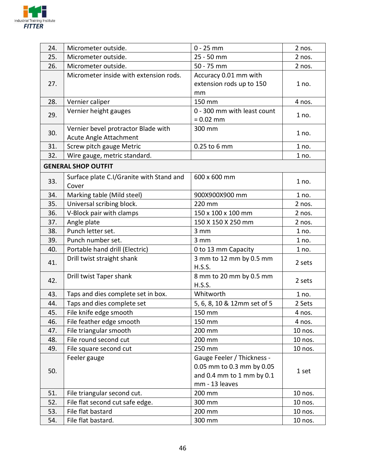

| 24. | Micrometer outside.                      | $0 - 25$ mm                 | 2 nos.  |  |
|-----|------------------------------------------|-----------------------------|---------|--|
| 25. | Micrometer outside.                      | 25 - 50 mm                  | 2 nos.  |  |
| 26. | Micrometer outside.                      | 50 - 75 mm                  | 2 nos.  |  |
|     | Micrometer inside with extension rods.   | Accuracy 0.01 mm with       |         |  |
| 27. |                                          | extension rods up to 150    | 1 no.   |  |
|     |                                          | mm                          |         |  |
| 28. | Vernier caliper                          | 150 mm                      | 4 nos.  |  |
| 29. | Vernier height gauges                    | 0 - 300 mm with least count | 1 no.   |  |
|     |                                          | $= 0.02$ mm                 |         |  |
| 30. | Vernier bevel protractor Blade with      | 300 mm                      | 1 no.   |  |
|     | Acute Angle Attachment                   |                             |         |  |
| 31. | Screw pitch gauge Metric                 | 0.25 to 6 mm                | 1 no.   |  |
| 32. | Wire gauge, metric standard.             |                             | 1 no.   |  |
|     | <b>GENERAL SHOP OUTFIT</b>               |                             |         |  |
|     |                                          | 600 x 600 mm                |         |  |
| 33. | Surface plate C.I/Granite with Stand and |                             | 1 no.   |  |
|     | Cover                                    |                             |         |  |
| 34. | Marking table (Mild steel)               | 900X900X900 mm              | 1 no.   |  |
| 35. | Universal scribing block.                | 220 mm                      | 2 nos.  |  |
| 36. | V-Block pair with clamps                 | 150 x 100 x 100 mm          | 2 nos.  |  |
| 37. | Angle plate                              | 150 X 150 X 250 mm          | 2 nos.  |  |
| 38. | Punch letter set.                        | 3 mm                        | 1 no.   |  |
| 39. | Punch number set.                        | 3 mm                        | 1 no.   |  |
| 40. | Portable hand drill (Electric)           | 0 to 13 mm Capacity         | 1 no.   |  |
| 41. | Drill twist straight shank               | 3 mm to 12 mm by 0.5 mm     | 2 sets  |  |
|     |                                          | H.S.S.                      |         |  |
| 42. | Drill twist Taper shank                  | 8 mm to 20 mm by 0.5 mm     | 2 sets  |  |
|     |                                          | H.S.S.                      |         |  |
| 43. | Taps and dies complete set in box.       | Whitworth                   | 1 no.   |  |
| 44. | Taps and dies complete set               | 5, 6, 8, 10 & 12mm set of 5 | 2 Sets  |  |
| 45. | File knife edge smooth                   | 150 mm                      | 4 nos.  |  |
| 46. | File feather edge smooth                 | 150 mm                      | 4 nos.  |  |
| 47. | File triangular smooth                   | 200 mm                      | 10 nos. |  |
| 48. | File round second cut                    | 200 mm                      | 10 nos. |  |
| 49. | File square second cut                   | 250 mm                      | 10 nos. |  |
|     | Feeler gauge                             | Gauge Feeler / Thickness -  |         |  |
|     |                                          | 0.05 mm to 0.3 mm by 0.05   |         |  |
| 50. |                                          | and 0.4 mm to 1 mm by 0.1   | 1 set   |  |
|     |                                          | mm - 13 leaves              |         |  |
| 51. | File triangular second cut.              | 200 mm                      | 10 nos. |  |
| 52. | File flat second cut safe edge.          | 300 mm                      | 10 nos. |  |
| 53. | File flat bastard                        | 200 mm                      | 10 nos. |  |
|     |                                          |                             |         |  |
| 54. | File flat bastard.                       | 300 mm                      | 10 nos. |  |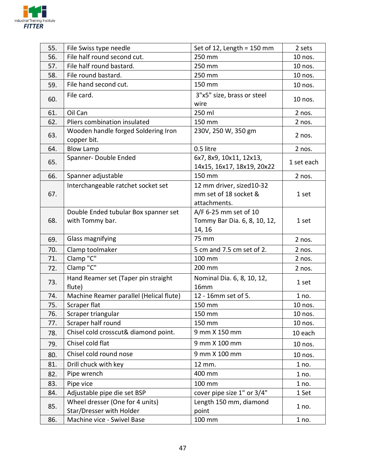

| 55. | File Swiss type needle                                      | Set of 12, Length = $150$ mm                                      | 2 sets     |
|-----|-------------------------------------------------------------|-------------------------------------------------------------------|------------|
| 56. | File half round second cut.                                 | 250 mm                                                            | 10 nos.    |
| 57. | File half round bastard.                                    | 250 mm                                                            | 10 nos.    |
| 58. | File round bastard.                                         | 250 mm                                                            | 10 nos.    |
| 59. | File hand second cut.                                       | 150 mm                                                            | 10 nos.    |
| 60. | File card.                                                  | 3"x5" size, brass or steel<br>wire                                | 10 nos.    |
| 61. | Oil Can                                                     | 250 ml                                                            | 2 nos.     |
| 62. | Pliers combination insulated                                | 150 mm                                                            | 2 nos.     |
| 63. | Wooden handle forged Soldering Iron<br>copper bit.          | 230V, 250 W, 350 gm                                               | 2 nos.     |
| 64. | <b>Blow Lamp</b>                                            | 0.5 litre                                                         | 2 nos.     |
| 65. | Spanner-Double Ended                                        | 6x7, 8x9, 10x11, 12x13,<br>14x15, 16x17, 18x19, 20x22             | 1 set each |
| 66. | Spanner adjustable                                          | 150 mm                                                            | 2 nos.     |
| 67. | Interchangeable ratchet socket set                          | 12 mm driver, sized10-32<br>mm set of 18 socket &<br>attachments. | 1 set      |
| 68. | Double Ended tubular Box spanner set<br>with Tommy bar.     | A/F 6-25 mm set of 10<br>Tommy Bar Dia. 6, 8, 10, 12,<br>14, 16   | 1 set      |
| 69. | Glass magnifying                                            | 75 mm                                                             | 2 nos.     |
| 70. | Clamp toolmaker                                             | 5 cm and 7.5 cm set of 2.                                         | 2 nos.     |
| 71. | Clamp "C"                                                   | 100 mm                                                            | 2 nos.     |
| 72. | Clamp "C"                                                   | 200 mm                                                            | 2 nos.     |
| 73. | Hand Reamer set (Taper pin straight<br>flute)               | Nominal Dia. 6, 8, 10, 12,<br>16mm                                | 1 set      |
| 74. | Machine Reamer parallel (Helical flute)                     | 12 - 16mm set of 5.                                               | 1 no.      |
| 75. | Scraper flat                                                | 150 mm                                                            | 10 nos.    |
| 76. | Scraper triangular                                          | 150 mm                                                            | 10 nos.    |
| 77. | Scraper half round                                          | 150 mm                                                            | 10 nos.    |
| 78. | Chisel cold crosscut& diamond point.                        | 9 mm X 150 mm                                                     | 10 each    |
| 79. | Chisel cold flat                                            | 9 mm X 100 mm                                                     | 10 nos.    |
| 80. | Chisel cold round nose                                      | 9 mm X 100 mm                                                     | 10 nos.    |
| 81. | Drill chuck with key                                        | 12 mm.                                                            | 1 no.      |
| 82. | Pipe wrench                                                 | 400 mm                                                            | 1 no.      |
| 83. | Pipe vice                                                   | 100 mm                                                            | 1 no.      |
| 84. | Adjustable pipe die set BSP                                 | cover pipe size 1" or 3/4"                                        | 1 Set      |
| 85. | Wheel dresser (One for 4 units)<br>Star/Dresser with Holder | Length 150 mm, diamond<br>point                                   | 1 no.      |
| 86. | Machine vice - Swivel Base                                  | 100 mm                                                            | 1 no.      |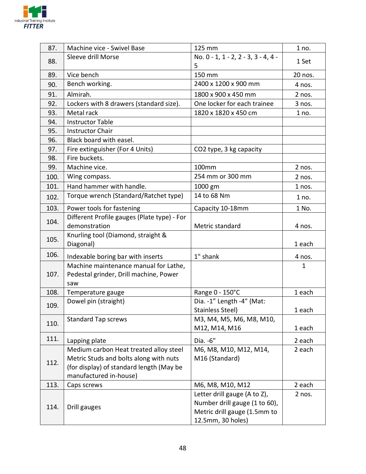

| 87.  | Machine vice - Swivel Base                  | 125 mm                              | 1 no.   |
|------|---------------------------------------------|-------------------------------------|---------|
| 88.  | Sleeve drill Morse                          | No. 0 - 1, 1 - 2, 2 - 3, 3 - 4, 4 - |         |
|      |                                             | 5                                   | 1 Set   |
| 89.  | Vice bench                                  | 150 mm                              | 20 nos. |
| 90.  | Bench working.                              | 2400 x 1200 x 900 mm                | 4 nos.  |
| 91.  | Almirah.                                    | 1800 x 900 x 450 mm                 | 2 nos.  |
| 92.  | Lockers with 8 drawers (standard size).     | One locker for each trainee         | 3 nos.  |
| 93.  | Metal rack                                  | 1820 x 1820 x 450 cm                | 1 no.   |
| 94.  | <b>Instructor Table</b>                     |                                     |         |
| 95.  | <b>Instructor Chair</b>                     |                                     |         |
| 96.  | Black board with easel.                     |                                     |         |
| 97.  | Fire extinguisher (For 4 Units)             | CO2 type, 3 kg capacity             |         |
| 98.  | Fire buckets.                               |                                     |         |
| 99.  | Machine vice.                               | 100mm                               | 2 nos.  |
| 100. | Wing compass.                               | 254 mm or 300 mm                    | 2 nos.  |
| 101. | Hand hammer with handle.                    | 1000 gm                             | 1 nos.  |
| 102. | Torque wrench (Standard/Ratchet type)       | 14 to 68 Nm                         | 1 no.   |
| 103. | Power tools for fastening                   | Capacity 10-18mm                    | 1 No.   |
| 104. | Different Profile gauges (Plate type) - For |                                     |         |
|      | demonstration                               | Metric standard                     | 4 nos.  |
| 105. | Knurling tool (Diamond, straight &          |                                     |         |
|      | Diagonal)                                   |                                     | 1 each  |
| 106. | Indexable boring bar with inserts           | 1" shank                            | 4 nos.  |
|      | Machine maintenance manual for Lathe,       |                                     | 1       |
| 107. | Pedestal grinder, Drill machine, Power      |                                     |         |
|      | saw                                         |                                     |         |
| 108. | Temperature gauge                           | Range 0 - 150°C                     | 1 each  |
| 109. | Dowel pin (straight)                        | Dia. -1" Length -4" (Mat:           |         |
|      |                                             | Stainless Steel)                    | 1 each  |
| 110. | <b>Standard Tap screws</b>                  | M3, M4, M5, M6, M8, M10,            |         |
|      |                                             | M12, M14, M16                       | 1 each  |
| 111. | Lapping plate                               | Dia. - 6"                           | 2 each  |
|      | Medium carbon Heat treated alloy steel      | M6, M8, M10, M12, M14,              | 2 each  |
| 112. | Metric Studs and bolts along with nuts      | M16 (Standard)                      |         |
|      | (for display) of standard length (May be    |                                     |         |
|      | manufactured in-house)                      |                                     |         |
| 113. | Caps screws                                 | M6, M8, M10, M12                    | 2 each  |
|      |                                             | Letter drill gauge (A to Z),        | 2 nos.  |
| 114. | Drill gauges                                | Number drill gauge (1 to 60),       |         |
|      |                                             | Metric drill gauge (1.5mm to        |         |
|      |                                             | 12.5mm, 30 holes)                   |         |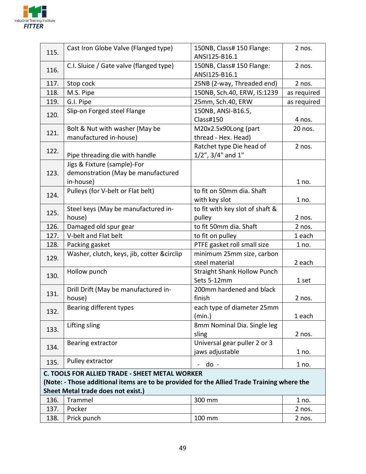

| 115.                                      | Cast Iron Globe Valve (Flanged type)                                                       | 150NB, Class# 150 Flange:          | 2 nos.      |  |  |
|-------------------------------------------|--------------------------------------------------------------------------------------------|------------------------------------|-------------|--|--|
|                                           |                                                                                            | ANSI125-B16.1                      |             |  |  |
| 116.                                      | C.I. Sluice / Gate valve (flanged type)                                                    | 150NB, Class# 150 Flange:          | 2 nos.      |  |  |
|                                           |                                                                                            | ANSI125-B16.1                      |             |  |  |
| 117.                                      | Stop cock                                                                                  | 25NB (2-way, Threaded end)         | 2 nos.      |  |  |
| 118.                                      | M.S. Pipe                                                                                  | 150NB, Sch.40, ERW, IS:1239        | as required |  |  |
| 119.                                      | G.I. Pipe                                                                                  | 25mm, Sch.40, ERW                  | as required |  |  |
| 120.                                      | Slip-on Forged steel Flange                                                                | 150NB, ANSI-B16.5,                 |             |  |  |
|                                           |                                                                                            | Class#150                          | 4 nos.      |  |  |
| 121.                                      | Bolt & Nut with washer (May be                                                             | M20x2.5x90Long (part               | 20 nos.     |  |  |
|                                           | manufactured in-house)                                                                     | thread - Hex. Head)                |             |  |  |
| 122.                                      |                                                                                            | Ratchet type Die head of           | 2 nos.      |  |  |
|                                           | Pipe threading die with handle                                                             | $1/2$ ", $3/4$ " and $1$ "         |             |  |  |
|                                           | Jigs & Fixture (sample)-For                                                                |                                    |             |  |  |
| 123.                                      | demonstration (May be manufactured                                                         |                                    |             |  |  |
|                                           | in-house)                                                                                  |                                    | 1 no.       |  |  |
| 124.                                      | Pulleys (for V-belt or Flat belt)                                                          | to fit on 50mm dia. Shaft          |             |  |  |
|                                           |                                                                                            | with key slot                      | 1 no.       |  |  |
| 125.                                      | Steel keys (May be manufactured in-                                                        | to fit with key slot of shaft &    |             |  |  |
|                                           | house)                                                                                     | pulley                             | 2 nos.      |  |  |
| 126.                                      | Damaged old spur gear                                                                      | to fit 50mm dia. Shaft             | 2 nos.      |  |  |
| 127.                                      | V-belt and Flat belt                                                                       | to fit on pulley                   | 1 each      |  |  |
| 128.                                      | Packing gasket                                                                             | PTFE gasket roll small size        | 1 no.       |  |  |
| 129.                                      | Washer, clutch, keys, jib, cotter &circlip                                                 | minimum 25mm size, carbon          |             |  |  |
|                                           |                                                                                            | steel material                     | 2 each      |  |  |
| 130.                                      | Hollow punch                                                                               | <b>Straight Shank Hollow Punch</b> |             |  |  |
|                                           |                                                                                            | Sets 5-12mm                        | 1 set       |  |  |
| 131.                                      | Drill Drift (May be manufactured in-                                                       | 200mm hardened and black           |             |  |  |
|                                           | house)                                                                                     | finish                             | 2 nos.      |  |  |
| 132.                                      | Bearing different types                                                                    | each type of diameter 25mm         |             |  |  |
|                                           |                                                                                            | (min.)                             | 1 each      |  |  |
| 133.                                      | Lifting sling                                                                              | 8mm Nominal Dia. Single leg        |             |  |  |
|                                           |                                                                                            | sling                              | 2 nos.      |  |  |
| 134.                                      | Bearing extractor                                                                          | Universal gear puller 2 or 3       |             |  |  |
|                                           |                                                                                            | jaws adjustable                    | 1 no.       |  |  |
| 135.                                      | Pulley extractor                                                                           | $do -$<br>$\blacksquare$           | 1 no.       |  |  |
|                                           | C. TOOLS FOR ALLIED TRADE - SHEET METAL WORKER                                             |                                    |             |  |  |
|                                           | (Note: - Those additional items are to be provided for the Allied Trade Training where the |                                    |             |  |  |
| <b>Sheet Metal trade does not exist.)</b> |                                                                                            |                                    |             |  |  |
| 136.                                      | Trammel                                                                                    | 300 mm                             | 1 no.       |  |  |
| 137.                                      | Pocker                                                                                     |                                    | 2 nos.      |  |  |
| 138.                                      | Prick punch                                                                                | 100 mm                             | 2 nos.      |  |  |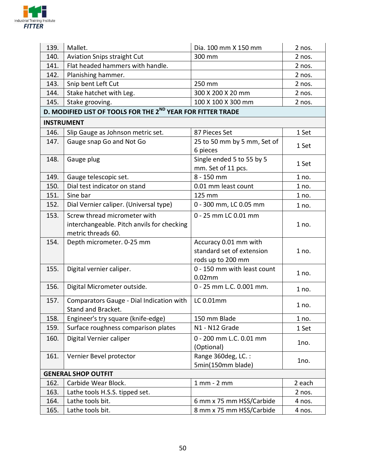

| 139. | Mallet.                                                                                          | Dia. 100 mm X 150 mm                                                    | 2 nos. |
|------|--------------------------------------------------------------------------------------------------|-------------------------------------------------------------------------|--------|
| 140. | Aviation Snips straight Cut                                                                      | 300 mm                                                                  | 2 nos. |
| 141. | Flat headed hammers with handle.                                                                 |                                                                         | 2 nos. |
| 142. | Planishing hammer.                                                                               |                                                                         | 2 nos. |
| 143. | Snip bent Left Cut                                                                               | 250 mm                                                                  | 2 nos. |
| 144. | Stake hatchet with Leg.                                                                          | 300 X 200 X 20 mm                                                       | 2 nos. |
| 145. | Stake grooving.                                                                                  | 100 X 100 X 300 mm                                                      | 2 nos. |
|      | D. MODIFIED LIST OF TOOLS FOR THE 2 <sup>ND</sup> YEAR FOR FITTER TRADE                          |                                                                         |        |
|      | <b>INSTRUMENT</b>                                                                                |                                                                         |        |
| 146. | Slip Gauge as Johnson metric set.                                                                | 87 Pieces Set                                                           | 1 Set  |
| 147. | Gauge snap Go and Not Go                                                                         | 25 to 50 mm by 5 mm, Set of<br>6 pieces                                 | 1 Set  |
| 148. | Gauge plug                                                                                       | Single ended 5 to 55 by 5<br>mm. Set of 11 pcs.                         | 1 Set  |
| 149. | Gauge telescopic set.                                                                            | 8 - 150 mm                                                              | 1 no.  |
| 150. | Dial test indicator on stand                                                                     | 0.01 mm least count                                                     | 1 no.  |
| 151. | Sine bar                                                                                         | 125 mm                                                                  | 1 no.  |
| 152. | Dial Vernier caliper. (Universal type)                                                           | 0 - 300 mm, LC 0.05 mm                                                  | 1 no.  |
| 153. | Screw thread micrometer with<br>interchangeable. Pitch anvils for checking<br>metric threads 60. | 0 - 25 mm LC 0.01 mm                                                    | 1 no.  |
| 154. | Depth micrometer. 0-25 mm                                                                        | Accuracy 0.01 mm with<br>standard set of extension<br>rods up to 200 mm | 1 no.  |
| 155. | Digital vernier caliper.                                                                         | 0 - 150 mm with least count<br>$0.02$ mm                                | 1 no.  |
| 156. | Digital Micrometer outside.                                                                      | 0 - 25 mm L.C. 0.001 mm.                                                | 1 no.  |
| 157. | Comparators Gauge - Dial Indication with<br>Stand and Bracket.                                   | LC 0.01mm                                                               | 1 no.  |
| 158. | Engineer's try square (knife-edge)                                                               | 150 mm Blade                                                            | 1 no.  |
| 159. | Surface roughness comparison plates                                                              | N1 - N12 Grade                                                          | 1 Set  |
| 160. | Digital Vernier caliper                                                                          | 0 - 200 mm L.C. 0.01 mm<br>(Optional)                                   | 1no.   |
| 161. | Vernier Bevel protector                                                                          | Range 360deg, LC.:<br>5min(150mm blade)                                 | 1no.   |
|      | <b>GENERAL SHOP OUTFIT</b>                                                                       |                                                                         |        |
| 162. | Carbide Wear Block.                                                                              | $1$ mm $-$ 2 mm                                                         | 2 each |
| 163. | Lathe tools H.S.S. tipped set.                                                                   |                                                                         | 2 nos. |
| 164. | Lathe tools bit.                                                                                 | 6 mm x 75 mm HSS/Carbide                                                | 4 nos. |
| 165. | Lathe tools bit.                                                                                 | 8 mm x 75 mm HSS/Carbide                                                | 4 nos. |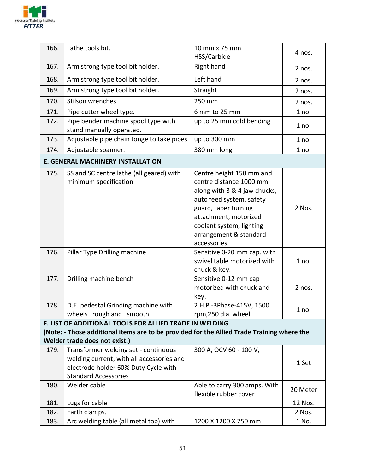

| 166.                                                                                                                                                                                   | Lathe tools bit.                                                                                                                                         | 10 mm x 75 mm<br>HSS/Carbide                                                                                                                                                                                                           | 4 nos.   |  |
|----------------------------------------------------------------------------------------------------------------------------------------------------------------------------------------|----------------------------------------------------------------------------------------------------------------------------------------------------------|----------------------------------------------------------------------------------------------------------------------------------------------------------------------------------------------------------------------------------------|----------|--|
| 167.                                                                                                                                                                                   | Arm strong type tool bit holder.                                                                                                                         | Right hand                                                                                                                                                                                                                             | 2 nos.   |  |
| 168.                                                                                                                                                                                   | Arm strong type tool bit holder.                                                                                                                         | Left hand                                                                                                                                                                                                                              | 2 nos.   |  |
| 169.                                                                                                                                                                                   | Arm strong type tool bit holder.                                                                                                                         | Straight                                                                                                                                                                                                                               | 2 nos.   |  |
| 170.                                                                                                                                                                                   | Stilson wrenches                                                                                                                                         | 250 mm                                                                                                                                                                                                                                 | 2 nos.   |  |
| 171.                                                                                                                                                                                   | Pipe cutter wheel type.                                                                                                                                  | 6 mm to 25 mm                                                                                                                                                                                                                          | 1 no.    |  |
| 172.                                                                                                                                                                                   | Pipe bender machine spool type with<br>stand manually operated.                                                                                          | up to 25 mm cold bending                                                                                                                                                                                                               | 1 no.    |  |
| 173.                                                                                                                                                                                   | Adjustable pipe chain tonge to take pipes                                                                                                                | up to 300 mm                                                                                                                                                                                                                           | 1 no.    |  |
| 174.                                                                                                                                                                                   | Adjustable spanner.                                                                                                                                      | 380 mm long                                                                                                                                                                                                                            | 1 no.    |  |
|                                                                                                                                                                                        | <b>E. GENERAL MACHINERY INSTALLATION</b>                                                                                                                 |                                                                                                                                                                                                                                        |          |  |
| 175.                                                                                                                                                                                   | SS and SC centre lathe (all geared) with<br>minimum specification                                                                                        | Centre height 150 mm and<br>centre distance 1000 mm<br>along with 3 & 4 jaw chucks,<br>auto feed system, safety<br>guard, taper turning<br>attachment, motorized<br>coolant system, lighting<br>arrangement & standard<br>accessories. | 2 Nos.   |  |
| 176.                                                                                                                                                                                   | Pillar Type Drilling machine                                                                                                                             | Sensitive 0-20 mm cap. with<br>swivel table motorized with<br>chuck & key.                                                                                                                                                             | 1 no.    |  |
| 177.                                                                                                                                                                                   | Drilling machine bench                                                                                                                                   | Sensitive 0-12 mm cap<br>motorized with chuck and<br>key.                                                                                                                                                                              | 2 nos.   |  |
| 178.                                                                                                                                                                                   | D.E. pedestal Grinding machine with<br>wheels rough and smooth                                                                                           | 2 H.P.-3Phase-415V, 1500<br>rpm,250 dia. wheel                                                                                                                                                                                         | 1 no.    |  |
| F. LIST OF ADDITIONAL TOOLS FOR ALLIED TRADE IN WELDING<br>(Note: - Those additional items are to be provided for the Allied Trade Training where the<br>Welder trade does not exist.) |                                                                                                                                                          |                                                                                                                                                                                                                                        |          |  |
| 179.                                                                                                                                                                                   | Transformer welding set - continuous<br>welding current, with all accessories and<br>electrode holder 60% Duty Cycle with<br><b>Standard Accessories</b> | 300 A, OCV 60 - 100 V,                                                                                                                                                                                                                 | 1 Set    |  |
| 180.                                                                                                                                                                                   | Welder cable                                                                                                                                             | Able to carry 300 amps. With<br>flexible rubber cover                                                                                                                                                                                  | 20 Meter |  |
| 181.                                                                                                                                                                                   | Lugs for cable                                                                                                                                           |                                                                                                                                                                                                                                        | 12 Nos.  |  |
| 182.                                                                                                                                                                                   | Earth clamps.                                                                                                                                            |                                                                                                                                                                                                                                        | 2 Nos.   |  |
| 183.                                                                                                                                                                                   | Arc welding table (all metal top) with                                                                                                                   | 1200 X 1200 X 750 mm                                                                                                                                                                                                                   | 1 No.    |  |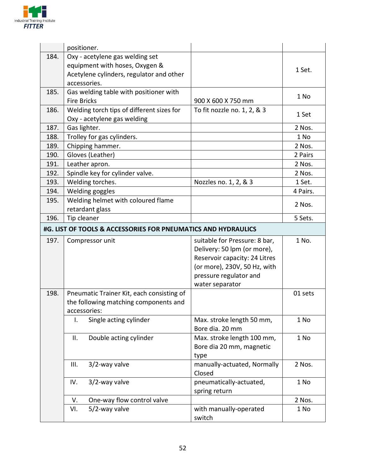

|      | positioner.                                                   |                                       |          |
|------|---------------------------------------------------------------|---------------------------------------|----------|
| 184. | Oxy - acetylene gas welding set                               |                                       |          |
|      | equipment with hoses, Oxygen &                                |                                       | 1 Set.   |
|      | Acetylene cylinders, regulator and other                      |                                       |          |
|      | accessories.                                                  |                                       |          |
| 185. | Gas welding table with positioner with                        |                                       | 1 No     |
|      | <b>Fire Bricks</b>                                            | 900 X 600 X 750 mm                    |          |
| 186. | Welding torch tips of different sizes for                     | To fit nozzle no. 1, 2, & 3           | 1 Set    |
|      | Oxy - acetylene gas welding                                   |                                       |          |
| 187. | Gas lighter.                                                  |                                       | 2 Nos.   |
| 188. | Trolley for gas cylinders.                                    |                                       | 1 No     |
| 189. | Chipping hammer.                                              |                                       | 2 Nos.   |
| 190. | Gloves (Leather)                                              |                                       | 2 Pairs  |
| 191. | Leather apron.                                                |                                       | 2 Nos.   |
| 192. | Spindle key for cylinder valve.                               |                                       | 2 Nos.   |
| 193. | Welding torches.                                              | Nozzles no. 1, 2, & 3                 | 1 Set.   |
| 194. | Welding goggles                                               |                                       | 4 Pairs. |
| 195. | Welding helmet with coloured flame                            |                                       | 2 Nos.   |
|      | retardant glass                                               |                                       |          |
| 196. | Tip cleaner                                                   |                                       | 5 Sets.  |
|      | #G. LIST OF TOOLS & ACCESSORIES FOR PNEUMATICS AND HYDRAULICS |                                       |          |
| 197. | Compressor unit                                               | suitable for Pressure: 8 bar,         | 1 No.    |
|      |                                                               | Delivery: 50 lpm (or more),           |          |
|      |                                                               | Reservoir capacity: 24 Litres         |          |
|      |                                                               | (or more), 230V, 50 Hz, with          |          |
|      |                                                               | pressure regulator and                |          |
|      |                                                               | water separator                       |          |
| 198. | Pneumatic Trainer Kit, each consisting of                     |                                       | 01 sets  |
|      | the following matching components and                         |                                       |          |
|      | accessories:                                                  |                                       |          |
|      | Single acting cylinder<br>I.                                  | Max. stroke length 50 mm,             | 1 No     |
|      |                                                               | Bore dia. 20 mm                       |          |
|      | Double acting cylinder<br>Ш.                                  | Max. stroke length 100 mm,            | 1 No     |
|      |                                                               | Bore dia 20 mm, magnetic              |          |
|      |                                                               | type                                  |          |
|      | 3/2-way valve<br>III.                                         | manually-actuated, Normally<br>Closed | 2 Nos.   |
|      | IV.<br>3/2-way valve                                          | pneumatically-actuated,               | 1 No     |
|      |                                                               | spring return                         |          |
|      | One-way flow control valve<br>V.                              |                                       | 2 Nos.   |
|      | 5/2-way valve<br>VI.                                          | with manually-operated                | 1 No     |
|      |                                                               | switch                                |          |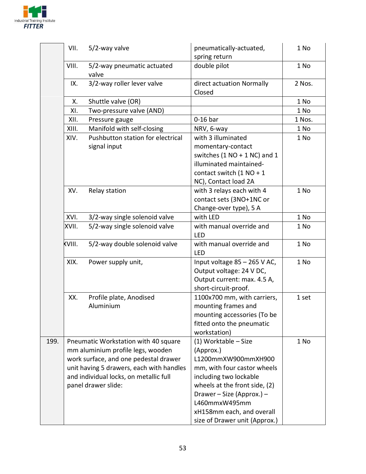

|      | VII.   | 5/2-way valve                                                                                                                                                                                                                   | pneumatically-actuated,<br>spring return                                                                                                                                                                                                                       | 1 No   |
|------|--------|---------------------------------------------------------------------------------------------------------------------------------------------------------------------------------------------------------------------------------|----------------------------------------------------------------------------------------------------------------------------------------------------------------------------------------------------------------------------------------------------------------|--------|
|      | VIII.  | 5/2-way pneumatic actuated<br>valve                                                                                                                                                                                             | double pilot                                                                                                                                                                                                                                                   | 1 No   |
|      | IX.    | 3/2-way roller lever valve                                                                                                                                                                                                      | direct actuation Normally<br>Closed                                                                                                                                                                                                                            | 2 Nos. |
|      | Х.     | Shuttle valve (OR)                                                                                                                                                                                                              |                                                                                                                                                                                                                                                                | 1 No   |
|      | XI.    | Two-pressure valve (AND)                                                                                                                                                                                                        |                                                                                                                                                                                                                                                                | 1 No   |
|      | XII.   | Pressure gauge                                                                                                                                                                                                                  | $0-16$ bar                                                                                                                                                                                                                                                     | 1 Nos. |
|      | XIII.  | Manifold with self-closing                                                                                                                                                                                                      | NRV, 6-way                                                                                                                                                                                                                                                     | 1 No   |
|      | XIV.   | Pushbutton station for electrical<br>signal input                                                                                                                                                                               | with 3 illuminated<br>momentary-contact<br>switches $(1 NO + 1 NC)$ and 1<br>illuminated maintained-<br>contact switch $(1 NO + 1$<br>NC), Contact load 2A                                                                                                     | 1 No   |
|      | XV.    | Relay station                                                                                                                                                                                                                   | with 3 relays each with 4<br>contact sets (3NO+1NC or<br>Change-over type), 5 A                                                                                                                                                                                | 1 No   |
|      | XVI.   | 3/2-way single solenoid valve                                                                                                                                                                                                   | with LED                                                                                                                                                                                                                                                       | 1 No   |
|      | XVII.  | 5/2-way single solenoid valve                                                                                                                                                                                                   | with manual override and<br><b>LED</b>                                                                                                                                                                                                                         | 1 No   |
|      | KVIII. | 5/2-way double solenoid valve                                                                                                                                                                                                   | with manual override and<br><b>LED</b>                                                                                                                                                                                                                         | 1 No   |
|      | XIX.   | Power supply unit,                                                                                                                                                                                                              | Input voltage 85 - 265 V AC,<br>Output voltage: 24 V DC,<br>Output current: max. 4.5 A,<br>short-circuit-proof.                                                                                                                                                | 1 No   |
|      | XX.    | Profile plate, Anodised<br>Aluminium                                                                                                                                                                                            | 1100x700 mm, with carriers,<br>mounting frames and<br>mounting accessories (To be<br>fitted onto the pneumatic<br>workstation)                                                                                                                                 | 1 set  |
| 199. |        | Pneumatic Workstation with 40 square<br>mm aluminium profile legs, wooden<br>work surface, and one pedestal drawer<br>unit having 5 drawers, each with handles<br>and individual locks, on metallic full<br>panel drawer slide: | (1) Worktable - Size<br>(Approx.)<br>L1200mmXW900mmXH900<br>mm, with four castor wheels<br>including two lockable<br>wheels at the front side, (2)<br>Drawer - Size (Approx.) -<br>L460mmxW495mm<br>xH158mm each, and overall<br>size of Drawer unit (Approx.) | 1 No   |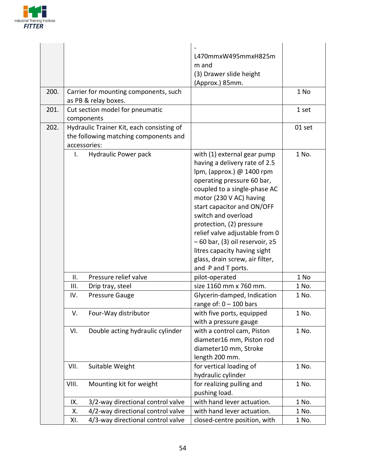

| 200. | Carrier for mounting components, such<br>as PB & relay boxes.                                                    | L470mmxW495mmxH825m<br>m and<br>(3) Drawer slide height<br>(Approx.) 85mm.                                                                                                                                                                                                                                                                                                                                                               | 1 No   |
|------|------------------------------------------------------------------------------------------------------------------|------------------------------------------------------------------------------------------------------------------------------------------------------------------------------------------------------------------------------------------------------------------------------------------------------------------------------------------------------------------------------------------------------------------------------------------|--------|
| 201. | Cut section model for pneumatic                                                                                  |                                                                                                                                                                                                                                                                                                                                                                                                                                          | 1 set  |
| 202. | components<br>Hydraulic Trainer Kit, each consisting of<br>the following matching components and<br>accessories: |                                                                                                                                                                                                                                                                                                                                                                                                                                          | 01 set |
|      | Hydraulic Power pack<br>Ι.                                                                                       | with (1) external gear pump<br>having a delivery rate of 2.5<br>lpm, (approx.) @ 1400 rpm<br>operating pressure 60 bar,<br>coupled to a single-phase AC<br>motor (230 V AC) having<br>start capacitor and ON/OFF<br>switch and overload<br>protection, (2) pressure<br>relief valve adjustable from 0<br>$-60$ bar, (3) oil reservoir, $\geq$ 5<br>litres capacity having sight<br>glass, drain screw, air filter,<br>and P and T ports. | 1 No.  |
|      | Pressure relief valve<br>ΙΙ.                                                                                     | pilot-operated                                                                                                                                                                                                                                                                                                                                                                                                                           | 1 No   |
|      | III.<br>Drip tray, steel                                                                                         | size 1160 mm x 760 mm.                                                                                                                                                                                                                                                                                                                                                                                                                   | 1 No.  |
|      | Pressure Gauge<br>IV.                                                                                            | Glycerin-damped, Indication<br>range of: $0 - 100$ bars                                                                                                                                                                                                                                                                                                                                                                                  | 1 No.  |
|      | Four-Way distributor<br>V.                                                                                       | with five ports, equipped<br>with a pressure gauge                                                                                                                                                                                                                                                                                                                                                                                       | 1 No.  |
|      | Double acting hydraulic cylinder<br>VI.                                                                          | with a control cam, Piston<br>diameter16 mm, Piston rod<br>diameter10 mm, Stroke<br>length 200 mm.                                                                                                                                                                                                                                                                                                                                       | 1 No.  |
|      | Suitable Weight<br>VII.                                                                                          | for vertical loading of<br>hydraulic cylinder                                                                                                                                                                                                                                                                                                                                                                                            | 1 No.  |
|      | VIII.<br>Mounting kit for weight                                                                                 | for realizing pulling and<br>pushing load.                                                                                                                                                                                                                                                                                                                                                                                               | 1 No.  |
|      | 3/2-way directional control valve<br>IX.                                                                         | with hand lever actuation.                                                                                                                                                                                                                                                                                                                                                                                                               | 1 No.  |
|      | 4/2-way directional control valve<br>Χ.                                                                          | with hand lever actuation.                                                                                                                                                                                                                                                                                                                                                                                                               | 1 No.  |
|      | 4/3-way directional control valve<br>XI.                                                                         | closed-centre position, with                                                                                                                                                                                                                                                                                                                                                                                                             | 1 No.  |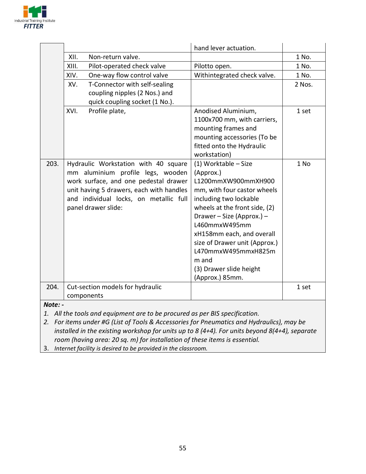

|         |       |                                          | hand lever actuation.         |        |
|---------|-------|------------------------------------------|-------------------------------|--------|
|         | XII.  | Non-return valve.                        |                               | 1 No.  |
|         | XIII. | Pilot-operated check valve               | Pilotto open.                 | 1 No.  |
|         | XIV.  | One-way flow control valve               | Withintegrated check valve.   | 1 No.  |
|         | XV.   | T-Connector with self-sealing            |                               | 2 Nos. |
|         |       | coupling nipples (2 Nos.) and            |                               |        |
|         |       | quick coupling socket (1 No.).           |                               |        |
|         | XVI.  | Profile plate,                           | Anodised Aluminium,           | 1 set  |
|         |       |                                          | 1100x700 mm, with carriers,   |        |
|         |       |                                          | mounting frames and           |        |
|         |       |                                          | mounting accessories (To be   |        |
|         |       |                                          | fitted onto the Hydraulic     |        |
|         |       |                                          | workstation)                  |        |
| 203.    |       | Hydraulic Workstation with 40 square     | (1) Worktable - Size          | 1 No   |
|         |       | mm aluminium profile legs, wooden        | (Approx.)                     |        |
|         |       | work surface, and one pedestal drawer    | L1200mmXW900mmXH900           |        |
|         |       | unit having 5 drawers, each with handles | mm, with four castor wheels   |        |
|         |       | and individual locks, on metallic full   | including two lockable        |        |
|         |       | panel drawer slide:                      | wheels at the front side, (2) |        |
|         |       |                                          | Drawer - Size (Approx.) -     |        |
|         |       |                                          | L460mmxW495mm                 |        |
|         |       |                                          | xH158mm each, and overall     |        |
|         |       |                                          | size of Drawer unit (Approx.) |        |
|         |       |                                          | L470mmxW495mmxH825m           |        |
|         |       |                                          | m and                         |        |
|         |       |                                          | (3) Drawer slide height       |        |
|         |       |                                          | (Approx.) 85mm.               |        |
| 204.    |       | Cut-section models for hydraulic         |                               | 1 set  |
|         |       | components                               |                               |        |
| Note: - |       |                                          |                               |        |

1. All the tools and equipment are to be procured as per BIS specification.

2. For items under #G (List of Tools & Accessories for Pneumatics and Hydraulics), may be installed in the existing workshop for units up to 8 (4+4). For units beyond 8(4+4), separate room (having area: 20 sq. m) for installation of these items is essential.

3. Internet facility is desired to be provided in the classroom.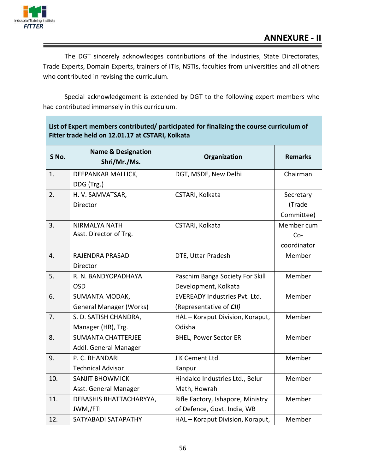

The DGT sincerely acknowledges contributions of the Industries, State Directorates, Trade Experts, Domain Experts, trainers of ITIs, NSTIs, faculties from universities and all others who contributed in revising the curriculum.

Special acknowledgement is extended by DGT to the following expert members who had contributed immensely in this curriculum.

| Fitter trade held on 12.01.17 at CSTARI, Kolkata |                                                         |                                                                  |                                    |
|--------------------------------------------------|---------------------------------------------------------|------------------------------------------------------------------|------------------------------------|
| S No.                                            | <b>Name &amp; Designation</b><br>Shri/Mr./Ms.           | Organization                                                     | <b>Remarks</b>                     |
| 1.                                               | DEEPANKAR MALLICK,<br>DDG (Trg.)                        | DGT, MSDE, New Delhi                                             | Chairman                           |
| 2.                                               | H. V. SAMVATSAR,<br>Director                            | CSTARI, Kolkata                                                  | Secretary<br>(Trade<br>Committee)  |
| 3.                                               | <b>NIRMALYA NATH</b><br>Asst. Director of Trg.          | CSTARI, Kolkata                                                  | Member cum<br>$Co-$<br>coordinator |
| 4.                                               | RAJENDRA PRASAD<br>Director                             | DTE, Uttar Pradesh                                               | Member                             |
| 5.                                               | R. N. BANDYOPADHAYA<br><b>OSD</b>                       | Paschim Banga Society For Skill<br>Development, Kolkata          | Member                             |
| 6.                                               | <b>SUMANTA MODAK,</b><br><b>General Manager (Works)</b> | <b>EVEREADY Industries Pyt. Ltd.</b><br>(Representative of CII)  | Member                             |
| 7.                                               | S. D. SATISH CHANDRA,<br>Manager (HR), Trg.             | HAL - Koraput Division, Koraput,<br>Odisha                       | Member                             |
| 8.                                               | <b>SUMANTA CHATTERJEE</b><br>Addl. General Manager      | <b>BHEL, Power Sector ER</b>                                     | Member                             |
| 9.                                               | P. C. BHANDARI<br><b>Technical Advisor</b>              | J K Cement Ltd.<br>Kanpur                                        | Member                             |
| 10.                                              | <b>SANJIT BHOWMICK</b><br>Asst. General Manager         | Hindalco Industries Ltd., Belur<br>Math, Howrah                  | Member                             |
| 11.                                              | DEBASHIS BHATTACHARYYA,<br>JWM,/FTI                     | Rifle Factory, Ishapore, Ministry<br>of Defence, Govt. India, WB | Member                             |
| 12.                                              | SATYABADI SATAPATHY                                     | HAL - Koraput Division, Koraput,                                 | Member                             |

# List of Expert members contributed/ participated for finalizing the course curriculum of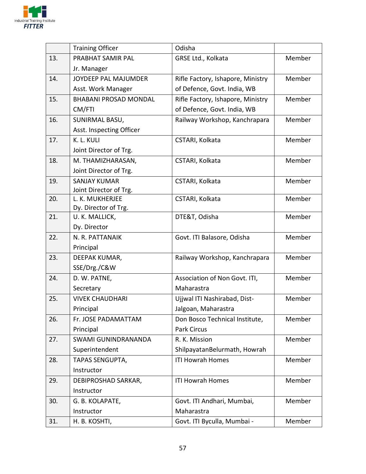

|     | <b>Training Officer</b>                | Odisha                            |        |
|-----|----------------------------------------|-----------------------------------|--------|
| 13. | PRABHAT SAMIR PAL                      | GRSE Ltd., Kolkata                | Member |
|     | Jr. Manager                            |                                   |        |
| 14. | JOYDEEP PAL MAJUMDER                   | Rifle Factory, Ishapore, Ministry | Member |
|     | Asst. Work Manager                     | of Defence, Govt. India, WB       |        |
| 15. | <b>BHABANI PROSAD MONDAL</b>           | Rifle Factory, Ishapore, Ministry | Member |
|     | CM/FTI                                 | of Defence, Govt. India, WB       |        |
| 16. | SUNIRMAL BASU,                         | Railway Workshop, Kanchrapara     | Member |
|     | Asst. Inspecting Officer               |                                   |        |
| 17. | K. L. KULI                             | CSTARI, Kolkata                   | Member |
|     | Joint Director of Trg.                 |                                   |        |
| 18. | M. THAMIZHARASAN,                      | CSTARI, Kolkata                   | Member |
|     | Joint Director of Trg.                 |                                   |        |
| 19. | <b>SANJAY KUMAR</b>                    | CSTARI, Kolkata                   | Member |
|     | Joint Director of Trg.                 |                                   |        |
| 20. | L. K. MUKHERJEE                        | CSTARI, Kolkata                   | Member |
| 21. | Dy. Director of Trg.<br>U. K. MALLICK, | DTE&T, Odisha                     | Member |
|     | Dy. Director                           |                                   |        |
| 22. | N. R. PATTANAIK                        | Govt. ITI Balasore, Odisha        | Member |
|     | Principal                              |                                   |        |
| 23. | DEEPAK KUMAR,                          | Railway Workshop, Kanchrapara     | Member |
|     | SSE/Drg./C&W                           |                                   |        |
| 24. | D. W. PATNE,                           | Association of Non Govt. ITI,     | Member |
|     | Secretary                              | Maharastra                        |        |
| 25. | <b>VIVEK CHAUDHARI</b>                 | Ujjwal ITI Nashirabad, Dist-      | Member |
|     | Principal                              | Jalgoan, Maharastra               |        |
| 26. | Fr. JOSE PADAMATTAM                    | Don Bosco Technical Institute,    | Member |
|     | Principal                              | Park Circus                       |        |
| 27. | SWAMI GUNINDRANANDA                    | R. K. Mission                     | Member |
|     | Superintendent                         | ShilpayatanBelurmath, Howrah      |        |
| 28. | <b>TAPAS SENGUPTA,</b>                 | <b>ITI Howrah Homes</b>           | Member |
|     | Instructor                             |                                   |        |
| 29. | DEBIPROSHAD SARKAR,                    | <b>ITI Howrah Homes</b>           | Member |
|     | Instructor                             |                                   |        |
| 30. | G. B. KOLAPATE,                        | Govt. ITI Andhari, Mumbai,        | Member |
|     | Instructor                             | Maharastra                        |        |
| 31. | H. B. KOSHTI,                          | Govt. ITI Byculla, Mumbai -       | Member |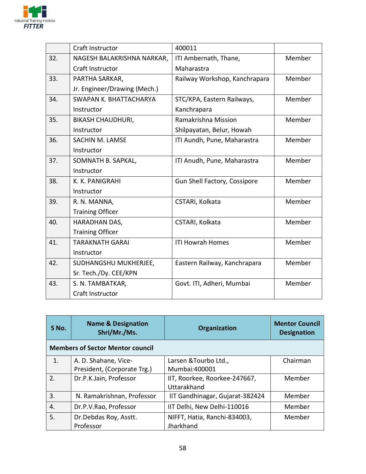

|     | Craft Instructor             | 400011                        |        |
|-----|------------------------------|-------------------------------|--------|
| 32. | NAGESH BALAKRISHNA NARKAR,   | ITI Ambernath, Thane,         | Member |
|     | Craft Instructor             | Maharastra                    |        |
| 33. | PARTHA SARKAR,               | Railway Workshop, Kanchrapara | Member |
|     | Jr. Engineer/Drawing (Mech.) |                               |        |
| 34. | SWAPAN K. BHATTACHARYA       | STC/KPA, Eastern Railways,    | Member |
|     | Instructor                   | Kanchrapara                   |        |
| 35. | <b>BIKASH CHAUDHURI,</b>     | Ramakrishna Mission           | Member |
|     | Instructor                   | Shilpayatan, Belur, Howah     |        |
| 36. | SACHIN M. LAMSE              | ITI Aundh, Pune, Maharastra   | Member |
|     | Instructor                   |                               |        |
| 37. | SOMNATH B. SAPKAL,           | ITI Anudh, Pune, Maharastra   | Member |
|     | Instructor                   |                               |        |
| 38. | K. K. PANIGRAHI              | Gun Shell Factory, Cossipore  | Member |
|     | Instructor                   |                               |        |
| 39. | R. N. MANNA,                 | CSTARI, Kolkata               | Member |
|     | <b>Training Officer</b>      |                               |        |
| 40. | HARADHAN DAS,                | CSTARI, Kolkata               | Member |
|     | <b>Training Officer</b>      |                               |        |
| 41. | <b>TARAKNATH GARAI</b>       | <b>ITI Howrah Homes</b>       | Member |
|     | Instructor                   |                               |        |
| 42. | SUDHANGSHU MUKHERJEE,        | Eastern Railway, Kanchrapara  | Member |
|     | Sr. Tech./Dy. CEE/KPN        |                               |        |
| 43. | S. N. TAMBATKAR,             | Govt. ITI, Adheri, Mumbai     | Member |
|     | Craft Instructor             |                               |        |

| S No.            | <b>Name &amp; Designation</b><br>Shri/Mr./Ms.       | <b>Organization</b>                          | <b>Mentor Council</b><br><b>Designation</b> |  |  |
|------------------|-----------------------------------------------------|----------------------------------------------|---------------------------------------------|--|--|
|                  | <b>Members of Sector Mentor council</b>             |                                              |                                             |  |  |
| 1.               | A. D. Shahane, Vice-<br>President, (Corporate Trg.) | Larsen & Tourbo Ltd.,<br>Mumbai:400001       | Chairman                                    |  |  |
| 2.               | Dr.P.K.Jain, Professor                              | IIT, Roorkee, Roorkee-247667,<br>Uttarakhand | Member                                      |  |  |
| $\overline{3}$ . | N. Ramakrishnan, Professor                          | IIT Gandhinagar, Gujarat-382424              | Member                                      |  |  |
| 4.               | Dr.P.V.Rao, Professor                               | IIT Delhi, New Delhi-110016                  | Member                                      |  |  |
| 5.               | Dr.Debdas Roy, Asstt.<br>Professor                  | NIFFT, Hatia, Ranchi-834003,<br>Jharkhand    | Member                                      |  |  |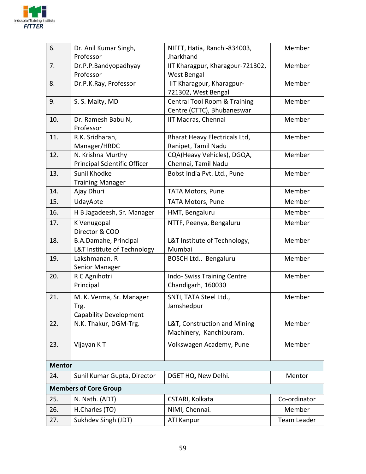

| 6.            | Dr. Anil Kumar Singh,                 | NIFFT, Hatia, Ranchi-834003,            | Member       |  |
|---------------|---------------------------------------|-----------------------------------------|--------------|--|
|               | Professor                             | Jharkhand                               |              |  |
| 7.            | Dr.P.P.Bandyopadhyay                  | IIT Kharagpur, Kharagpur-721302,        | Member       |  |
|               | Professor                             | West Bengal                             |              |  |
| 8.            | Dr.P.K.Ray, Professor                 | IIT Kharagpur, Kharagpur-               | Member       |  |
|               |                                       | 721302, West Bengal                     |              |  |
| 9.            | S. S. Maity, MD                       | <b>Central Tool Room &amp; Training</b> | Member       |  |
|               |                                       | Centre (CTTC), Bhubaneswar              |              |  |
| 10.           | Dr. Ramesh Babu N,                    | IIT Madras, Chennai                     | Member       |  |
|               | Professor                             |                                         |              |  |
| 11.           | R.K. Sridharan,                       | Bharat Heavy Electricals Ltd,           | Member       |  |
|               | Manager/HRDC                          | Ranipet, Tamil Nadu                     |              |  |
| 12.           | N. Krishna Murthy                     | CQA(Heavy Vehicles), DGQA,              | Member       |  |
|               | Principal Scientific Officer          | Chennai, Tamil Nadu                     |              |  |
| 13.           | Sunil Khodke                          | Bobst India Pvt. Ltd., Pune             | Member       |  |
| 14.           | <b>Training Manager</b><br>Ajay Dhuri | <b>TATA Motors, Pune</b>                | Member       |  |
| 15.           | UdayApte                              | <b>TATA Motors, Pune</b>                | Member       |  |
|               |                                       |                                         | Member       |  |
| 16.           | H B Jagadeesh, Sr. Manager            | HMT, Bengaluru                          |              |  |
| 17.           | K Venugopal<br>Director & COO         | NTTF, Peenya, Bengaluru                 | Member       |  |
| 18.           | B.A.Damahe, Principal                 | L&T Institute of Technology,            | Member       |  |
|               | L&T Institute of Technology           | Mumbai                                  |              |  |
| 19.           | Lakshmanan. R                         | BOSCH Ltd., Bengaluru                   | Member       |  |
|               | Senior Manager                        |                                         |              |  |
| 20.           | R C Agnihotri                         | Indo-Swiss Training Centre              | Member       |  |
|               | Principal                             | Chandigarh, 160030                      |              |  |
| 21.           | M. K. Verma, Sr. Manager              | SNTI, TATA Steel Ltd.,                  | Member       |  |
|               | Trg.                                  | Jamshedpur                              |              |  |
|               | <b>Capability Development</b>         |                                         |              |  |
| 22.           | N.K. Thakur, DGM-Trg.                 | L&T, Construction and Mining            | Member       |  |
|               |                                       | Machinery, Kanchipuram.                 |              |  |
| 23.           | Vijayan KT                            | Volkswagen Academy, Pune                | Member       |  |
|               |                                       |                                         |              |  |
| <b>Mentor</b> |                                       |                                         |              |  |
| 24.           | Sunil Kumar Gupta, Director           | DGET HQ, New Delhi.                     | Mentor       |  |
|               | <b>Members of Core Group</b>          |                                         |              |  |
| 25.           | N. Nath. (ADT)                        | CSTARI, Kolkata                         | Co-ordinator |  |
| 26.           | H.Charles (TO)                        | NIMI, Chennai.                          | Member       |  |
| 27.           | Sukhdev Singh (JDT)                   | <b>ATI Kanpur</b>                       | Team Leader  |  |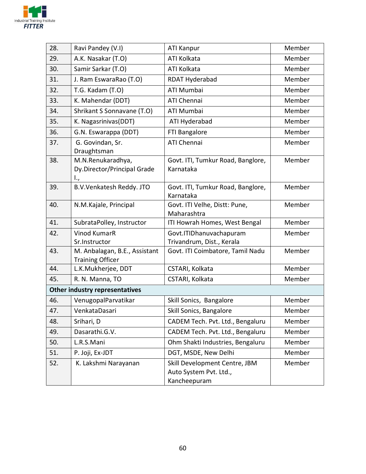

| 28.                            | Ravi Pandey (V.I)                                        | <b>ATI Kanpur</b>                                                       | Member |
|--------------------------------|----------------------------------------------------------|-------------------------------------------------------------------------|--------|
| 29.                            | A.K. Nasakar (T.O)                                       | ATI Kolkata                                                             | Member |
| 30.                            | Samir Sarkar (T.O)                                       | ATI Kolkata                                                             | Member |
| 31.                            | J. Ram EswaraRao (T.O)                                   | RDAT Hyderabad                                                          | Member |
| 32.                            | T.G. Kadam (T.O)                                         | ATI Mumbai                                                              | Member |
| 33.                            | K. Mahendar (DDT)                                        | ATI Chennai                                                             | Member |
| 34.                            | Shrikant S Sonnavane (T.O)                               | ATI Mumbai                                                              | Member |
| 35.                            | K. Nagasrinivas(DDT)                                     | ATI Hyderabad                                                           | Member |
| 36.                            | G.N. Eswarappa (DDT)                                     | FTI Bangalore                                                           | Member |
| 37.                            | G. Govindan, Sr.<br>Draughtsman                          | <b>ATI Chennai</b>                                                      | Member |
| 38.                            | M.N.Renukaradhya,<br>Dy.Director/Principal Grade<br>I.,  | Govt. ITI, Tumkur Road, Banglore,<br>Karnataka                          | Member |
| 39.                            | B.V.Venkatesh Reddy. JTO                                 | Govt. ITI, Tumkur Road, Banglore,<br>Karnataka                          | Member |
| 40.                            | N.M.Kajale, Principal                                    | Govt. ITI Velhe, Distt: Pune,<br>Maharashtra                            | Member |
| 41.                            | SubrataPolley, Instructor                                | ITI Howrah Homes, West Bengal                                           | Member |
| 42.                            | <b>Vinod KumarR</b><br>Sr.Instructor                     | Govt.ITIDhanuvachapuram<br>Trivandrum, Dist., Kerala                    | Member |
| 43.                            | M. Anbalagan, B.E., Assistant<br><b>Training Officer</b> | Govt. ITI Coimbatore, Tamil Nadu                                        | Member |
| 44.                            | L.K.Mukherjee, DDT                                       | CSTARI, Kolkata                                                         | Member |
| 45.                            | R. N. Manna, TO                                          | CSTARI, Kolkata                                                         | Member |
| Other industry representatives |                                                          |                                                                         |        |
| 46.                            | VenugopalParvatikar                                      | Skill Sonics, Bangalore                                                 | Member |
| 47.                            | VenkataDasari                                            | Skill Sonics, Bangalore                                                 | Member |
| 48.                            | Srihari, D                                               | CADEM Tech. Pvt. Ltd., Bengaluru                                        | Member |
| 49.                            | Dasarathi.G.V.                                           | CADEM Tech. Pvt. Ltd., Bengaluru                                        | Member |
| 50.                            | L.R.S.Mani                                               | Ohm Shakti Industries, Bengaluru                                        | Member |
| 51.                            | P. Joji, Ex-JDT                                          | DGT, MSDE, New Delhi                                                    | Member |
| 52.                            | K. Lakshmi Narayanan                                     | Skill Development Centre, JBM<br>Auto System Pvt. Ltd.,<br>Kancheepuram | Member |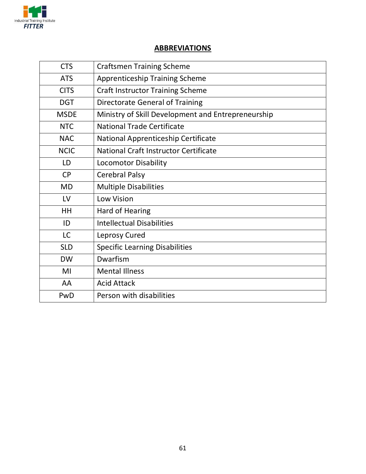

#### **ABBREVIATIONS**

| <b>CTS</b>  | <b>Craftsmen Training Scheme</b>                   |  |
|-------------|----------------------------------------------------|--|
| <b>ATS</b>  | <b>Apprenticeship Training Scheme</b>              |  |
| <b>CITS</b> | <b>Craft Instructor Training Scheme</b>            |  |
| <b>DGT</b>  | Directorate General of Training                    |  |
| <b>MSDE</b> | Ministry of Skill Development and Entrepreneurship |  |
| <b>NTC</b>  | <b>National Trade Certificate</b>                  |  |
| <b>NAC</b>  | National Apprenticeship Certificate                |  |
| <b>NCIC</b> | National Craft Instructor Certificate              |  |
| LD          | <b>Locomotor Disability</b>                        |  |
| <b>CP</b>   | <b>Cerebral Palsy</b>                              |  |
| <b>MD</b>   | <b>Multiple Disabilities</b>                       |  |
| LV          | <b>Low Vision</b>                                  |  |
| HH          | Hard of Hearing                                    |  |
| ID          | <b>Intellectual Disabilities</b>                   |  |
| <b>LC</b>   | Leprosy Cured                                      |  |
| <b>SLD</b>  | <b>Specific Learning Disabilities</b>              |  |
| <b>DW</b>   | Dwarfism                                           |  |
| MI          | <b>Mental Illness</b>                              |  |
| AA          | <b>Acid Attack</b>                                 |  |
| PwD         | Person with disabilities                           |  |